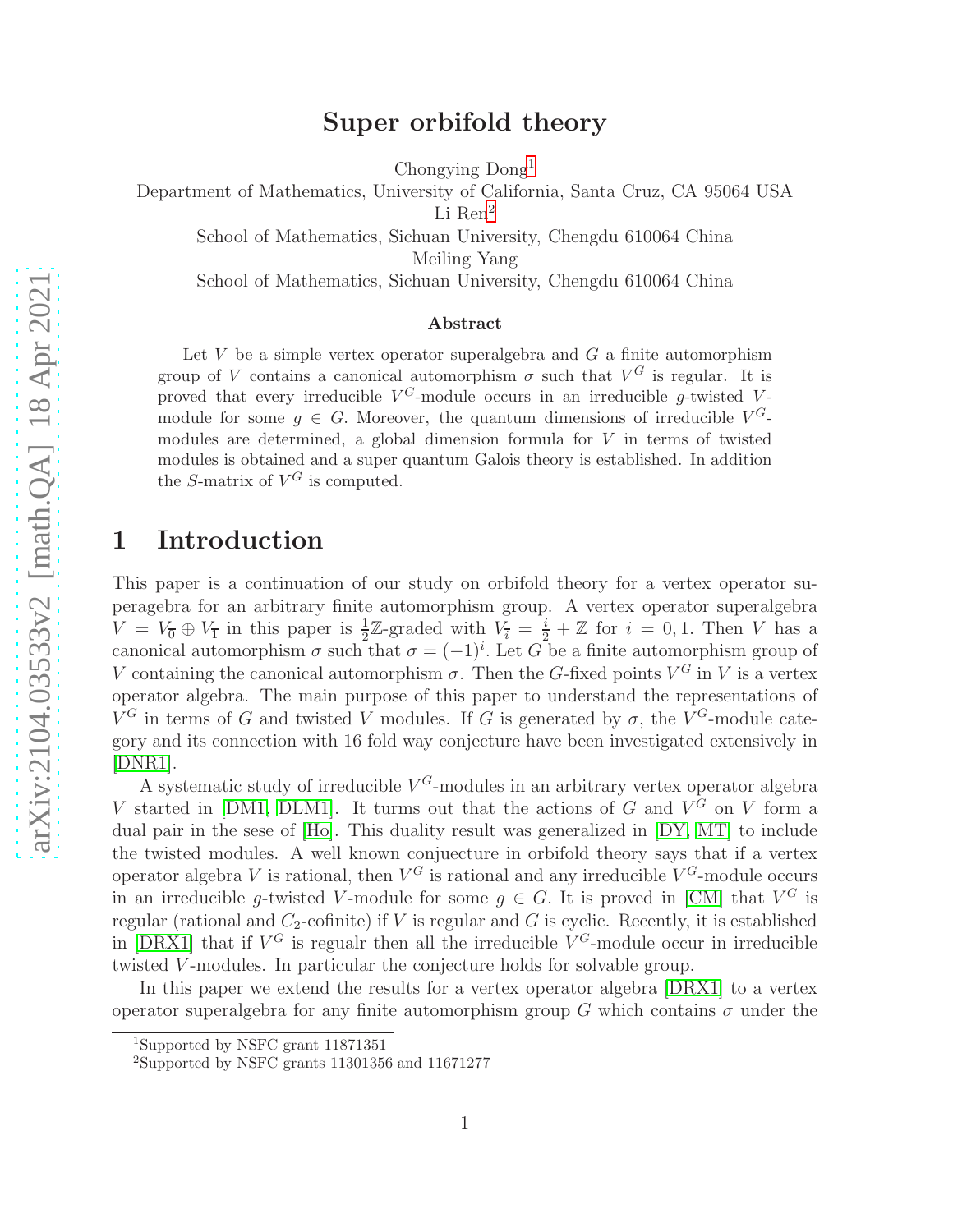### Super orbifold theory

Chongying Dong[1](#page-0-0)

Department of Mathematics, University of California, Santa Cruz, CA 95064 USA

Li Ren<sup>[2](#page-0-1)</sup>

School of Mathematics, Sichuan University, Chengdu 610064 China

Meiling Yang

School of Mathematics, Sichuan University, Chengdu 610064 China

#### Abstract

Let  $V$  be a simple vertex operator superalgebra and  $G$  a finite automorphism group of V contains a canonical automorphism  $\sigma$  such that  $V^G$  is regular. It is proved that every irreducible  $V^G$ -module occurs in an irreducible g-twisted Vmodule for some  $g \in G$ . Moreover, the quantum dimensions of irreducible  $V^G$ modules are determined, a global dimension formula for V in terms of twisted modules is obtained and a super quantum Galois theory is established. In addition the S-matrix of  $V^G$  is computed.

### 1 Introduction

This paper is a continuation of our study on orbifold theory for a vertex operator superagebra for an arbitrary finite automorphism group. A vertex operator superalgebra  $V = V_0 \oplus V_1$  in this paper is  $\frac{1}{2}\mathbb{Z}$ -graded with  $V_i = \frac{i}{2} + \mathbb{Z}$  for  $i = 0, 1$ . Then V has a canonical automorphism  $\sigma$  such that  $\sigma = (-1)^i$ . Let G be a finite automorphism group of V containing the canonical automorphism  $\sigma$ . Then the G-fixed points  $V^G$  in V is a vertex operator algebra. The main purpose of this paper to understand the representations of  $V^G$  in terms of G and twisted V modules. If G is generated by  $\sigma$ , the  $V^G$ -module category and its connection with 16 fold way conjecture have been investigated extensively in [\[DNR1\]](#page-30-0).

A systematic study of irreducible  $V^G$ -modules in an arbitrary vertex operator algebra V started in [\[DM1,](#page-30-1) [DLM1\]](#page-30-2). It turms out that the actions of G and  $V^G$  on V form a dual pair in the sese of [\[Ho\]](#page-31-0). This duality result was generalized in [\[DY,](#page-31-1) [MT\]](#page-32-0) to include the twisted modules. A well known conjuecture in orbifold theory says that if a vertex operator algebra V is rational, then  $V^G$  is rational and any irreducible  $V^G$ -module occurs in an irreducible g-twisted V-module for some  $g \in G$ . It is proved in [\[CM\]](#page-29-0) that  $V^G$  is regular (rational and  $C_2$ -cofinite) if V is regular and G is cyclic. Recently, it is established in [\[DRX1\]](#page-31-2) that if  $V^G$  is regualr then all the irreducible  $V^G$ -module occur in irreducible twisted V -modules. In particular the conjecture holds for solvable group.

In this paper we extend the results for a vertex operator algebra [\[DRX1\]](#page-31-2) to a vertex operator superalgebra for any finite automorphism group G which contains  $\sigma$  under the

<sup>1</sup>Supported by NSFC grant 11871351

<span id="page-0-1"></span><span id="page-0-0"></span><sup>2</sup>Supported by NSFC grants 11301356 and 11671277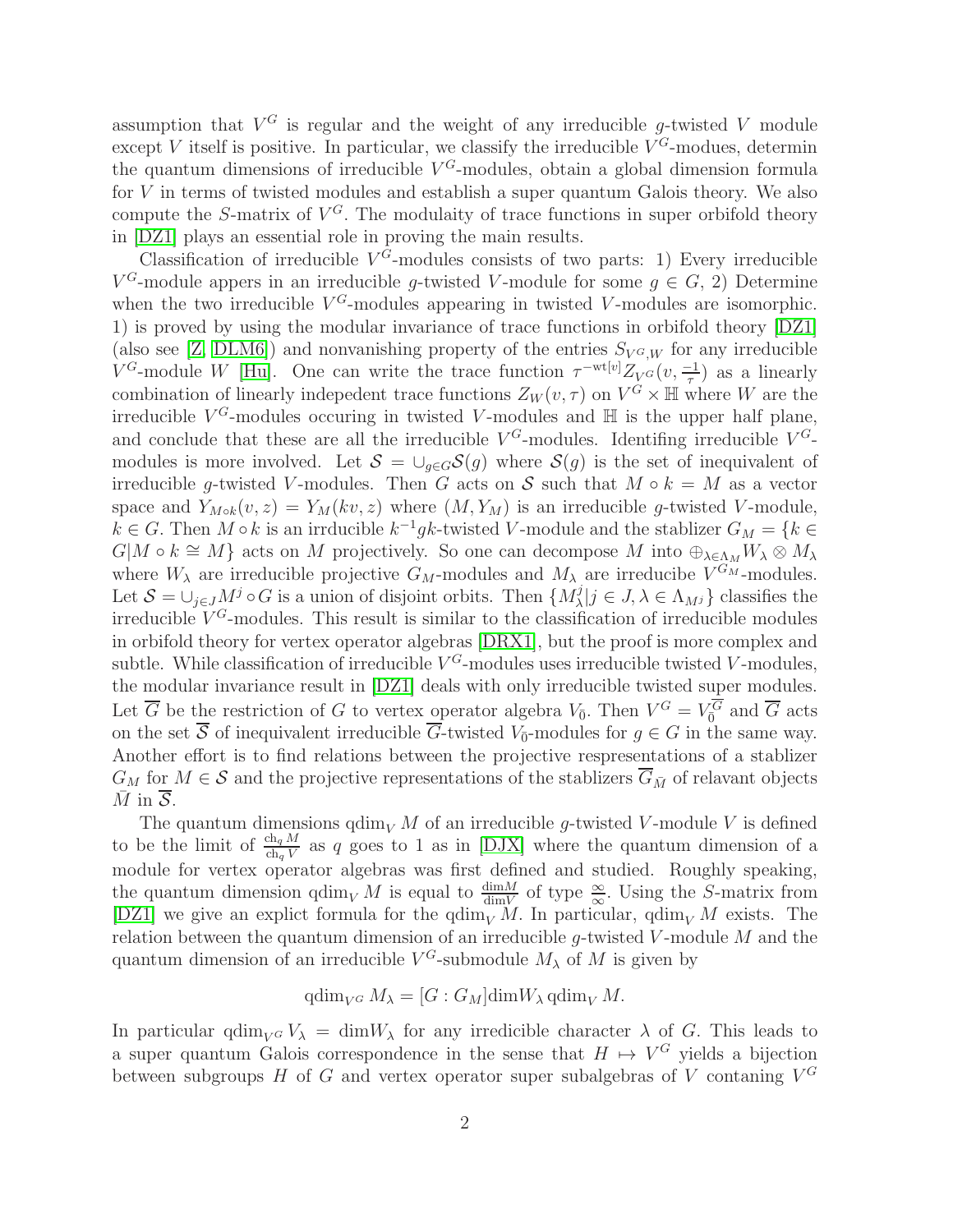assumption that  $V^G$  is regular and the weight of any irreducible g-twisted V module except V itself is positive. In particular, we classify the irreducible  $V^G$ -modues, determin the quantum dimensions of irreducible  $V^G$ -modules, obtain a global dimension formula for V in terms of twisted modules and establish a super quantum Galois theory. We also compute the S-matrix of  $V^G$ . The modulaity of trace functions in super orbifold theory in [\[DZ1\]](#page-31-3) plays an essential role in proving the main results.

Classification of irreducible  $V^G$ -modules consists of two parts: 1) Every irreducible  $V^G$ -module appers in an irreducible g-twisted V-module for some  $g \in G$ , 2) Determine when the two irreducible  $V^G$ -modules appearing in twisted V-modules are isomorphic. 1) is proved by using the modular invariance of trace functions in orbifold theory [\[DZ1\]](#page-31-3) (also see [\[Z,](#page-32-1) [DLM6\]](#page-30-3)) and nonvanishing property of the entries  $S_{V^G,W}$  for any irreducible  $V^G$ -module W [\[Hu\]](#page-31-4). One can write the trace function  $\tau^{-wt[v]}Z_{V^G}(v, \frac{-1}{\tau})$  as a linearly combination of linearly indepedent trace functions  $Z_W(v, \tau)$  on  $V^{\tilde{G}} \times \mathbb{H}$  where W are the irreducible  $V^G$ -modules occuring in twisted V-modules and  $\mathbb H$  is the upper half plane, and conclude that these are all the irreducible  $V^G$ -modules. Identifing irreducible  $V^G$ modules is more involved. Let  $S = \bigcup_{g \in G} S(g)$  where  $S(g)$  is the set of inequivalent of irreducible g-twisted V-modules. Then G acts on S such that  $M \circ k = M$  as a vector space and  $Y_{M\circ k}(v, z) = Y_M(kv, z)$  where  $(M, Y_M)$  is an irreducible g-twisted V-module,  $k \in G$ . Then  $M \circ k$  is an irrducible  $k^{-1}gk$ -twisted V-module and the stablizer  $G_M = \{k \in G\}$  $G|M \circ k \cong M$  acts on M projectively. So one can decompose M into  $\bigoplus_{\lambda \in \Lambda_M} W_{\lambda} \otimes M_{\lambda}$ where  $W_{\lambda}$  are irreducible projective  $G_M$ -modules and  $M_{\lambda}$  are irreducibe  $V^{G_M}$ -modules. Let  $\mathcal{S} = \bigcup_{j \in J} M^j \circ G$  is a union of disjoint orbits. Then  $\{M^j_\lambda | j \in J, \lambda \in \Lambda_{M^j}\}\)$  classifies the irreducible  $V^G$ -modules. This result is similar to the classification of irreducible modules in orbifold theory for vertex operator algebras [\[DRX1\]](#page-31-2), but the proof is more complex and subtle. While classification of irreducible  $V^G$ -modules uses irreducible twisted V-modules, the modular invariance result in [\[DZ1\]](#page-31-3) deals with only irreducible twisted super modules. Let  $\overline{G}$  be the restriction of G to vertex operator algebra  $V_{\overline{0}}$ . Then  $V^G = V_{\overline{0}}^G$  and  $\overline{G}$  acts on the set S of inequivalent irreducible G-twisted  $V_{\overline{0}}$ -modules for  $g \in G$  in the same way. Another effort is to find relations between the projective respresentations of a stablizer  $G_M$  for  $M \in \mathcal{S}$  and the projective representations of the stablizers  $\overline{G}_{\bar{M}}$  of relavant objects  $\overline{M}$  in  $\overline{S}$ .

The quantum dimensions  $\dim_V M$  of an irreducible q-twisted V-module V is defined to be the limit of  $\frac{ch_q M}{ch_q V}$  as q goes to 1 as in [\[DJX\]](#page-30-4) where the quantum dimension of a module for vertex operator algebras was first defined and studied. Roughly speaking, the quantum dimension  $qdim_V M$  is equal to  $\frac{dimM}{dimV}$  of type  $\frac{\infty}{\infty}$ . Using the S-matrix from [\[DZ1\]](#page-31-3) we give an explict formula for the  $\dim_V M$ . In particular,  $\dim_V M$  exists. The relation between the quantum dimension of an irreducible  $g$ -twisted  $V$ -module  $M$  and the quantum dimension of an irreducible  $V^G$ -submodule  $M_\lambda$  of M is given by

$$
\operatorname{qdim}_{V^G} M_{\lambda} = [G:G_M]\operatorname{dim} W_{\lambda} \operatorname{qdim}_V M.
$$

In particular  $\operatorname{qdim}_{V} G V_{\lambda} = \operatorname{dim} W_{\lambda}$  for any irredicible character  $\lambda$  of G. This leads to a super quantum Galois correspondence in the sense that  $H \mapsto V^G$  yields a bijection between subgroups H of G and vertex operator super subalgebras of V contaning  $V^G$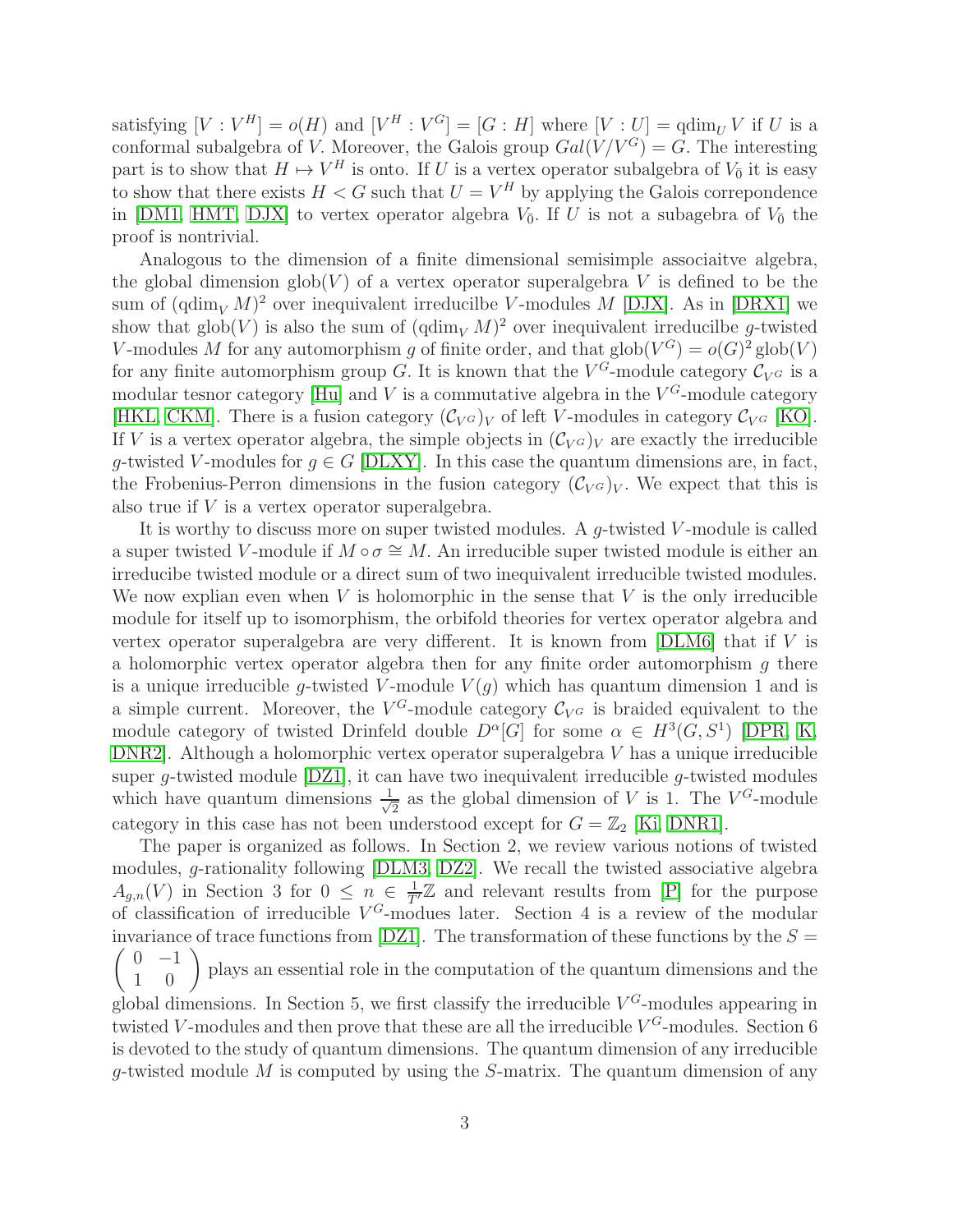satisfying  $[V: V^H] = o(H)$  and  $[V^H: V^G] = [G: H]$  where  $[V: U] = \text{qdim}_U V$  if U is a conformal subalgebra of V. Moreover, the Galois group  $Gal(V/V^G) = G$ . The interesting part is to show that  $H \mapsto V^H$  is onto. If U is a vertex operator subalgebra of  $V_0$  it is easy to show that there exists  $H < G$  such that  $U = V^H$  by applying the Galois correpondence in [\[DM1,](#page-30-1) [HMT,](#page-31-5) [DJX\]](#page-30-4) to vertex operator algebra  $V_{\bar{0}}$ . If U is not a subagebra of  $V_{\bar{0}}$  the proof is nontrivial.

Analogous to the dimension of a finite dimensional semisimple associaitve algebra, the global dimension  $\text{glob}(V)$  of a vertex operator superalgebra V is defined to be the sum of  $(\text{qdim}_V M)^2$  over inequivalent irreducilbe V-modules M [\[DJX\]](#page-30-4). As in [\[DRX1\]](#page-31-2) we show that  $\text{glob}(V)$  is also the sum of  $(\text{qdim}_V M)^2$  over inequivalent irreducilbe g-twisted V-modules M for any automorphism g of finite order, and that  $\text{glob}(V^G) = o(G)^2 \text{glob}(V)$ for any finite automorphism group G. It is known that the  $V^G$ -module category  $\mathcal{C}_{V^G}$  is a modular tesnor category [\[Hu\]](#page-31-4) and V is a commutative algebra in the  $V^G$ -module category [\[HKL,](#page-31-6) [CKM\]](#page-29-1). There is a fusion category  $(\mathcal{C}_{V^G})_V$  of left V-modules in category  $\mathcal{C}_{V^G}$  [\[KO\]](#page-32-2). If V is a vertex operator algebra, the simple objects in  $(\mathcal{C}_{V}G)_V$  are exactly the irreducible g-twisted V-modules for  $g \in G$  [\[DLXY\]](#page-30-5). In this case the quantum dimensions are, in fact, the Frobenius-Perron dimensions in the fusion category  $(\mathcal{C}_{V^G})_V$ . We expect that this is also true if  $V$  is a vertex operator superalgebra.

It is worthy to discuss more on super twisted modules. A  $g$ -twisted V-module is called a super twisted V-module if  $M \circ \sigma \cong M$ . An irreducible super twisted module is either an irreducibe twisted module or a direct sum of two inequivalent irreducible twisted modules. We now explian even when  $V$  is holomorphic in the sense that  $V$  is the only irreducible module for itself up to isomorphism, the orbifold theories for vertex operator algebra and vertex operator superalgebra are very different. It is known from  $[DLM6]$  that if V is a holomorphic vertex operator algebra then for any finite order automorphism  $g$  there is a unique irreducible q-twisted V-module  $V(q)$  which has quantum dimension 1 and is a simple current. Moreover, the  $V^G$ -module category  $\mathcal{C}_{V^G}$  is braided equivalent to the module category of twisted Drinfeld double  $D^{\alpha}[G]$  for some  $\alpha \in H^3(G, S^1)$  [\[DPR,](#page-30-6) [K,](#page-32-3) [DNR2\]](#page-30-7). Although a holomorphic vertex operator superalgebra V has a unique irreducible super g-twisted module  $[DZ1]$ , it can have two inequivalent irreducible g-twisted modules which have quantum dimensions  $\frac{1}{\sqrt{2}}$  $\frac{1}{2}$  as the global dimension of V is 1. The  $V^G$ -module category in this case has not been understood except for  $G = \mathbb{Z}_2$  [\[Ki,](#page-32-4) [DNR1\]](#page-30-0).

The paper is organized as follows. In Section 2, we review various notions of twisted modules, g-rationality following [\[DLM3,](#page-30-8) [DZ2\]](#page-31-7). We recall the twisted associative algebra  $A_{g,n}(V)$  in Section 3 for  $0 \leq n \in \frac{1}{T'}\mathbb{Z}$  and relevant results from [\[P\]](#page-32-5) for the purpose of classification of irreducible  $V^G$ -modues later. Section 4 is a review of the modular invariance of trace functions from [\[DZ1\]](#page-31-3). The transformation of these functions by the  $S =$  $\begin{pmatrix} 0 & -1 \\ 1 & 0 \end{pmatrix}$  plays an essential role in the computation of the quantum dimensions and the global dimensions. In Section 5, we first classify the irreducible  $V^G$ -modules appearing in twisted V-modules and then prove that these are all the irreducible  $V^G$ -modules. Section 6 is devoted to the study of quantum dimensions. The quantum dimension of any irreducible  $q$ -twisted module M is computed by using the S-matrix. The quantum dimension of any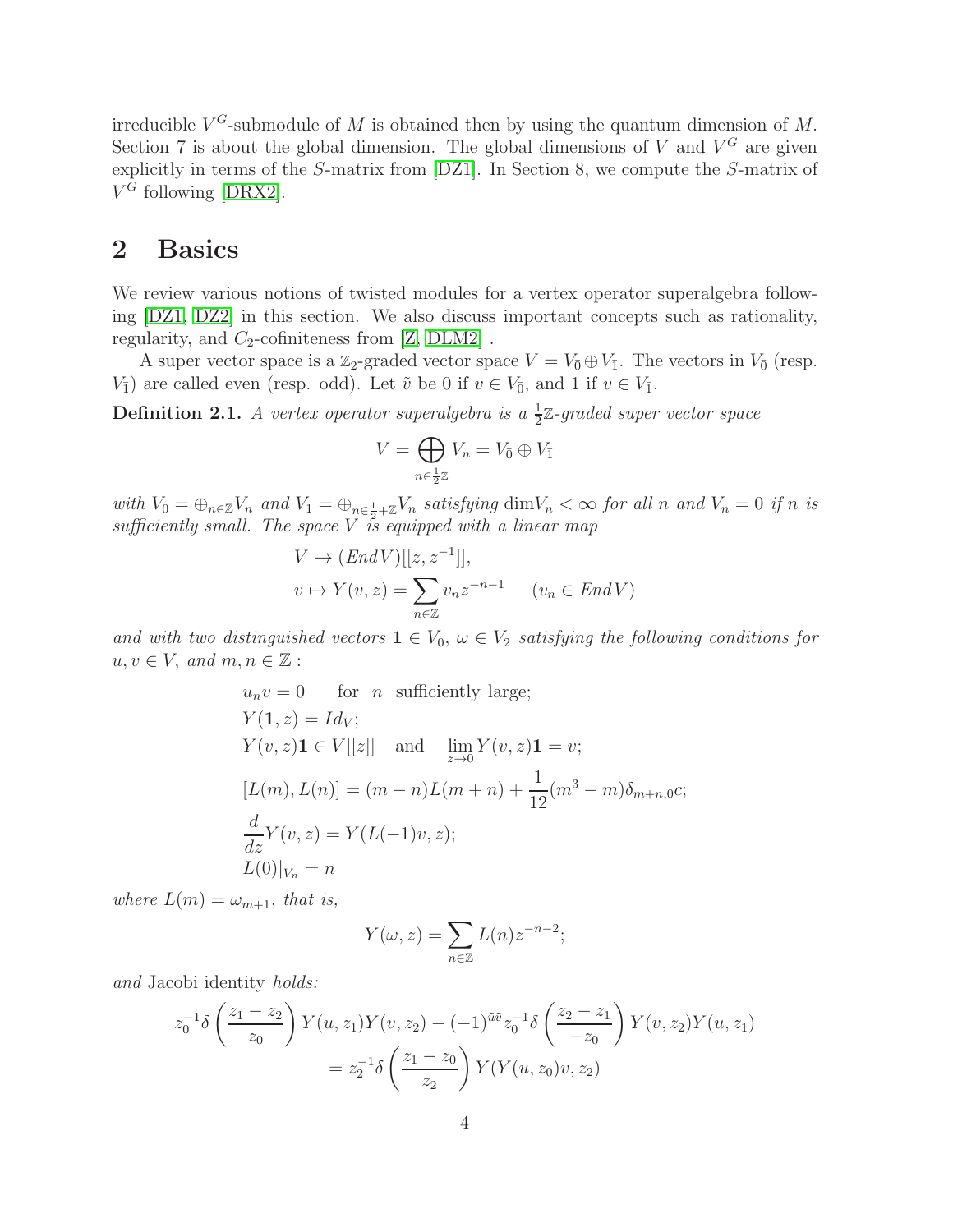irreducible  $V^G$ -submodule of M is obtained then by using the quantum dimension of M. Section 7 is about the global dimension. The global dimensions of  $V$  and  $V^G$  are given explicitly in terms of the S-matrix from [\[DZ1\]](#page-31-3). In Section 8, we compute the S-matrix of  $V^G$  following [\[DRX2\]](#page-31-8).

### 2 Basics

We review various notions of twisted modules for a vertex operator superalgebra following [\[DZ1,](#page-31-3) [DZ2\]](#page-31-7) in this section. We also discuss important concepts such as rationality, regularity, and  $C_2$ -cofiniteness from [\[Z,](#page-32-1) [DLM2\]](#page-30-9).

A super vector space is a  $\mathbb{Z}_2$ -graded vector space  $V = V_0 \oplus V_1$ . The vectors in  $V_0$  (resp.  $V_{\bar{1}}$ ) are called even (resp. odd). Let  $\tilde{v}$  be 0 if  $v \in V_{\bar{0}}$ , and 1 if  $v \in V_{\bar{1}}$ .

**Definition 2.1.** A vertex operator superalgebra is a  $\frac{1}{2}\mathbb{Z}$ -graded super vector space

$$
V = \bigoplus_{n \in \frac{1}{2}\mathbb{Z}} V_n = V_{\bar{0}} \oplus V_{\bar{1}}
$$

with  $V_{\bar{0}} = \bigoplus_{n \in \mathbb{Z}} V_n$  and  $V_{\bar{1}} = \bigoplus_{n \in \frac{1}{2} + \mathbb{Z}} V_n$  satisfying  $\dim V_n < \infty$  for all n and  $V_n = 0$  if n is sufficiently small. The space  $\overline{V}$  is equipped with a linear map

$$
V \to (End V)[[z, z^{-1}]],
$$
  

$$
v \mapsto Y(v, z) = \sum_{n \in \mathbb{Z}} v_n z^{-n-1} \qquad (v_n \in End V)
$$

and with two distinguished vectors  $1 \in V_0$ ,  $\omega \in V_2$  satisfying the following conditions for  $u, v \in V$ , and  $m, n \in \mathbb{Z}$ :

$$
u_n v = 0 \quad \text{for } n \text{ sufficiently large};
$$
  
\n
$$
Y(1, z) = Id_V;
$$
  
\n
$$
Y(v, z) \mathbf{1} \in V[[z]] \quad \text{and} \quad \lim_{z \to 0} Y(v, z) \mathbf{1} = v;
$$
  
\n
$$
[L(m), L(n)] = (m - n)L(m + n) + \frac{1}{12}(m^3 - m)\delta_{m+n,0}c;
$$
  
\n
$$
\frac{d}{dz}Y(v, z) = Y(L(-1)v, z);
$$
  
\n
$$
L(0)|_{V_n} = n
$$

where  $L(m) = \omega_{m+1}$ , that is,

$$
Y(\omega, z) = \sum_{n \in \mathbb{Z}} L(n) z^{-n-2};
$$

and Jacobi identity holds:

$$
z_0^{-1}\delta\left(\frac{z_1 - z_2}{z_0}\right)Y(u, z_1)Y(v, z_2) - (-1)^{\tilde{u}\tilde{v}}z_0^{-1}\delta\left(\frac{z_2 - z_1}{z_0}\right)Y(v, z_2)Y(u, z_1)
$$
  
=  $z_2^{-1}\delta\left(\frac{z_1 - z_0}{z_2}\right)Y(Y(u, z_0)v, z_2)$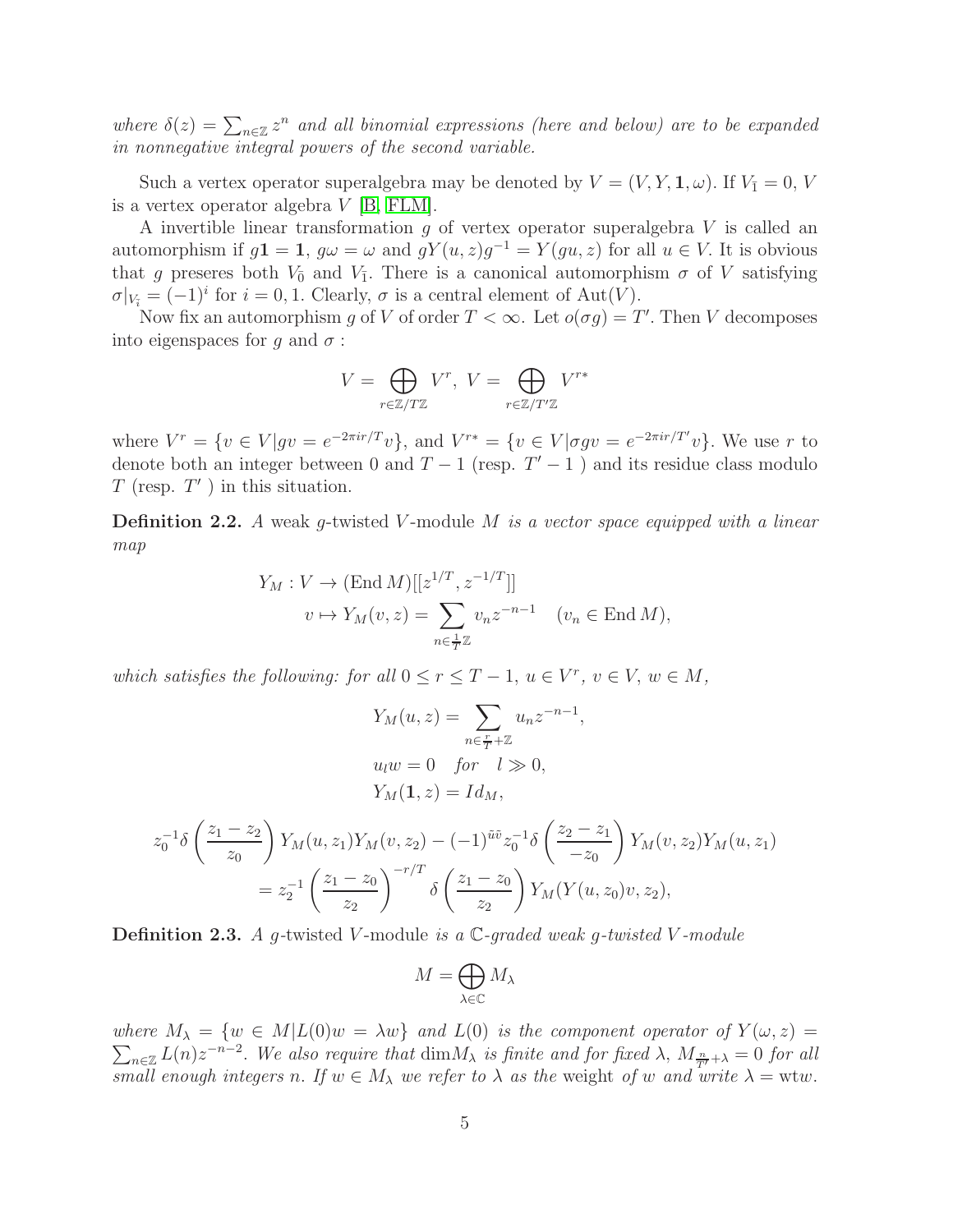where  $\delta(z) = \sum_{n \in \mathbb{Z}} z^n$  and all binomial expressions (here and below) are to be expanded in nonnegative integral powers of the second variable.

Such a vertex operator superalgebra may be denoted by  $V = (V, Y, \mathbf{1}, \omega)$ . If  $V_{\bar{1}} = 0, V$ is a vertex operator algebra V [\[B,](#page-29-2) [FLM\]](#page-31-9).

A invertible linear transformation g of vertex operator superalgebra V is called an automorphism if  $g\mathbf{1} = \mathbf{1}$ ,  $g\omega = \omega$  and  $gY(u, z)g^{-1} = Y(gu, z)$  for all  $u \in V$ . It is obvious that g preseres both  $V_{\bar{0}}$  and  $V_{\bar{1}}$ . There is a canonical automorphism  $\sigma$  of V satisfying  $\sigma|_{V_{\tilde{i}}} = (-1)^i$  for  $i = 0, 1$ . Clearly,  $\sigma$  is a central element of  $\text{Aut}(V)$ .

Now fix an automorphism g of V of order  $T < \infty$ . Let  $o(\sigma g) = T'$ . Then V decomposes into eigenspaces for q and  $\sigma$ :

$$
V = \bigoplus_{r \in \mathbb{Z}/T\mathbb{Z}} V^r, \ V = \bigoplus_{r \in \mathbb{Z}/T'\mathbb{Z}} V^{r*}
$$

where  $V^r = \{v \in V | gv = e^{-2\pi ir/T}v\}$ , and  $V^{r*} = \{v \in V | \sigma gv = e^{-2\pi ir/T'}v\}$ . We use r to denote both an integer between 0 and  $T-1$  (resp.  $T'-1$ ) and its residue class modulo  $T$  (resp.  $T'$ ) in this situation.

**Definition 2.2.** A weak q-twisted V-module M is a vector space equipped with a linear map

$$
Y_M : V \to (\text{End } M)[[z^{1/T}, z^{-1/T}]]
$$
  

$$
v \mapsto Y_M(v, z) = \sum_{n \in \frac{1}{T}\mathbb{Z}} v_n z^{-n-1} \quad (v_n \in \text{End } M),
$$

which satisfies the following: for all  $0 \le r \le T - 1$ ,  $u \in V^r$ ,  $v \in V$ ,  $w \in M$ ,

$$
Y_M(u, z) = \sum_{n \in \frac{r}{T} + \mathbb{Z}} u_n z^{-n-1},
$$
  
\n
$$
u_l w = 0 \quad \text{for} \quad l \gg 0,
$$
  
\n
$$
Y_M(\mathbf{1}, z) = I d_M,
$$
  
\n
$$
z_0^{-1} \delta \left(\frac{z_1 - z_2}{z_0}\right) Y_M(u, z_1) Y_M(v, z_2) - (-1)^{\tilde{u}\tilde{v}} z_0^{-1} \delta \left(\frac{z_2 - z_1}{-z_0}\right) Y_M(v, z_2) Y_M(u, z_1)
$$
  
\n
$$
= z_2^{-1} \left(\frac{z_1 - z_0}{z_2}\right)^{-r/T} \delta \left(\frac{z_1 - z_0}{z_2}\right) Y_M(Y(u, z_0)v, z_2),
$$

**Definition 2.3.** A g-twisted V-module is a  $\mathbb{C}$ -graded weak g-twisted V-module

$$
M=\bigoplus_{\lambda\in\mathbb{C}}M_\lambda
$$

where  $M_{\lambda} = \{w \in M | L(0)w = \lambda w\}$  and  $L(0)$  is the component operator of  $Y(\omega, z) =$  $\sum_{n\in\mathbb{Z}}L(n)z^{-n-2}$ . We also require that  $\dim M_{\lambda}$  is finite and for fixed  $\lambda$ ,  $M_{\frac{n}{T}}+\lambda=0$  for all small enough integers n. If  $w \in M_\lambda$  we refer to  $\lambda$  as the weight of w and write  $\lambda = w \tau w$ .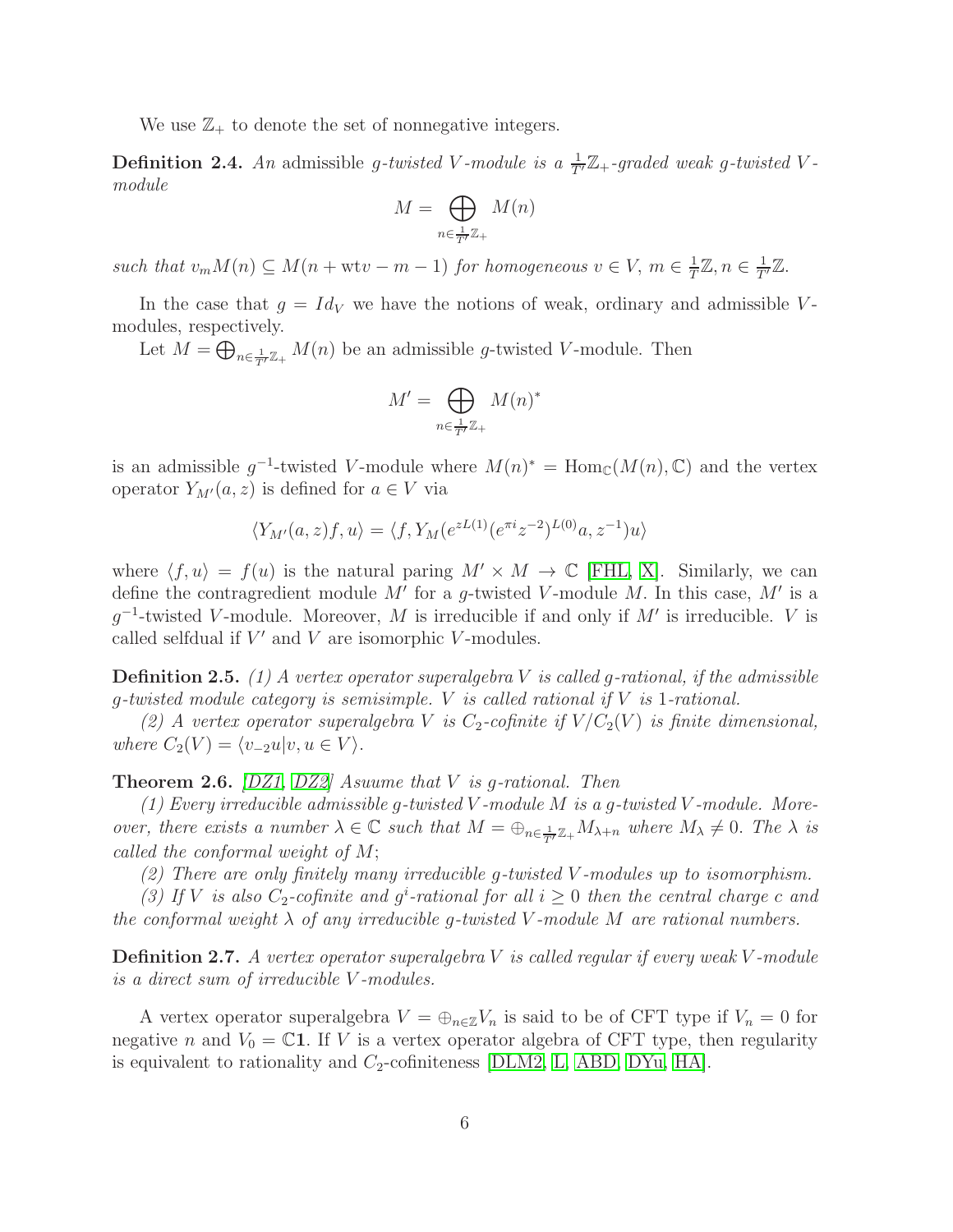We use  $\mathbb{Z}_+$  to denote the set of nonnegative integers.

**Definition 2.4.** An admissible g-twisted V-module is a  $\frac{1}{T}Z_+$ -graded weak g-twisted Vmodule

$$
M = \bigoplus_{n \in \frac{1}{T'}\mathbb{Z}_+} M(n)
$$

such that  $v_m M(n) \subseteq M(n + wtv - m - 1)$  for homogeneous  $v \in V$ ,  $m \in \frac{1}{T}$  $\frac{1}{T}\mathbb{Z}, n \in \frac{1}{T'}\mathbb{Z}.$ 

In the case that  $g = Id_V$  we have the notions of weak, ordinary and admissible Vmodules, respectively.

Let  $M = \bigoplus_{n \in \frac{1}{T'}\mathbb{Z}_+} M(n)$  be an admissible g-twisted V-module. Then

$$
M' = \bigoplus_{n \in \frac{1}{T'}\mathbb{Z}_+} M(n)^*
$$

is an admissible  $g^{-1}$ -twisted V-module where  $M(n)^* = \text{Hom}_{\mathbb{C}}(M(n), \mathbb{C})$  and the vertex operator  $Y_{M'}(a, z)$  is defined for  $a \in V$  via

$$
\langle Y_{M'}(a,z)f,u\rangle = \langle f, Y_M(e^{zL(1)}(e^{\pi i}z^{-2})^{L(0)}a,z^{-1})u\rangle
$$

where  $\langle f, u \rangle = f(u)$  is the natural paring  $M' \times M \to \mathbb{C}$  [\[FHL,](#page-31-10) [X\]](#page-32-6). Similarly, we can define the contragredient module M' for a g-twisted V-module M. In this case, M' is a  $g^{-1}$ -twisted V-module. Moreover, M is irreducible if and only if M' is irreducible. V is called selfdual if  $V'$  and  $V$  are isomorphic  $V$ -modules.

**Definition 2.5.** (1) A vertex operator superalgebra V is called g-rational, if the admissible q-twisted module category is semisimple. V is called rational if  $V$  is 1-rational.

(2) A vertex operator superalgebra V is  $C_2$ -cofinite if  $V/C_2(V)$  is finite dimensional, where  $C_2(V) = \langle v_{-2}u|v, u \in V \rangle$ .

<span id="page-5-0"></span>**Theorem 2.6.**  $[DZ1, DZ2]$  $[DZ1, DZ2]$  Asuume that V is q-rational. Then

(1) Every irreducible admissible g-twisted V-module M is a g-twisted V-module. Moreover, there exists a number  $\lambda \in \mathbb{C}$  such that  $M = \bigoplus_{n \in \frac{1}{T'}\mathbb{Z}_+} M_{\lambda+n}$  where  $M_{\lambda} \neq 0$ . The  $\lambda$  is called the conformal weight of M;

(2) There are only finitely many irreducible g-twisted V -modules up to isomorphism.

(3) If V is also  $C_2$ -cofinite and  $g^i$ -rational for all  $i \geq 0$  then the central charge c and the conformal weight  $\lambda$  of any irreducible g-twisted V-module M are rational numbers.

**Definition 2.7.** A vertex operator superalgebra V is called regular if every weak V-module is a direct sum of irreducible V -modules.

A vertex operator superalgebra  $V = \bigoplus_{n \in \mathbb{Z}} V_n$  is said to be of CFT type if  $V_n = 0$  for negative n and  $V_0 = \mathbb{C}1$ . If V is a vertex operator algebra of CFT type, then regularity is equivalent to rationality and  $C_2$ -cofiniteness [\[DLM2,](#page-30-9) [L,](#page-32-7) [ABD,](#page-29-3) [DYu,](#page-31-11) [HA\]](#page-31-12).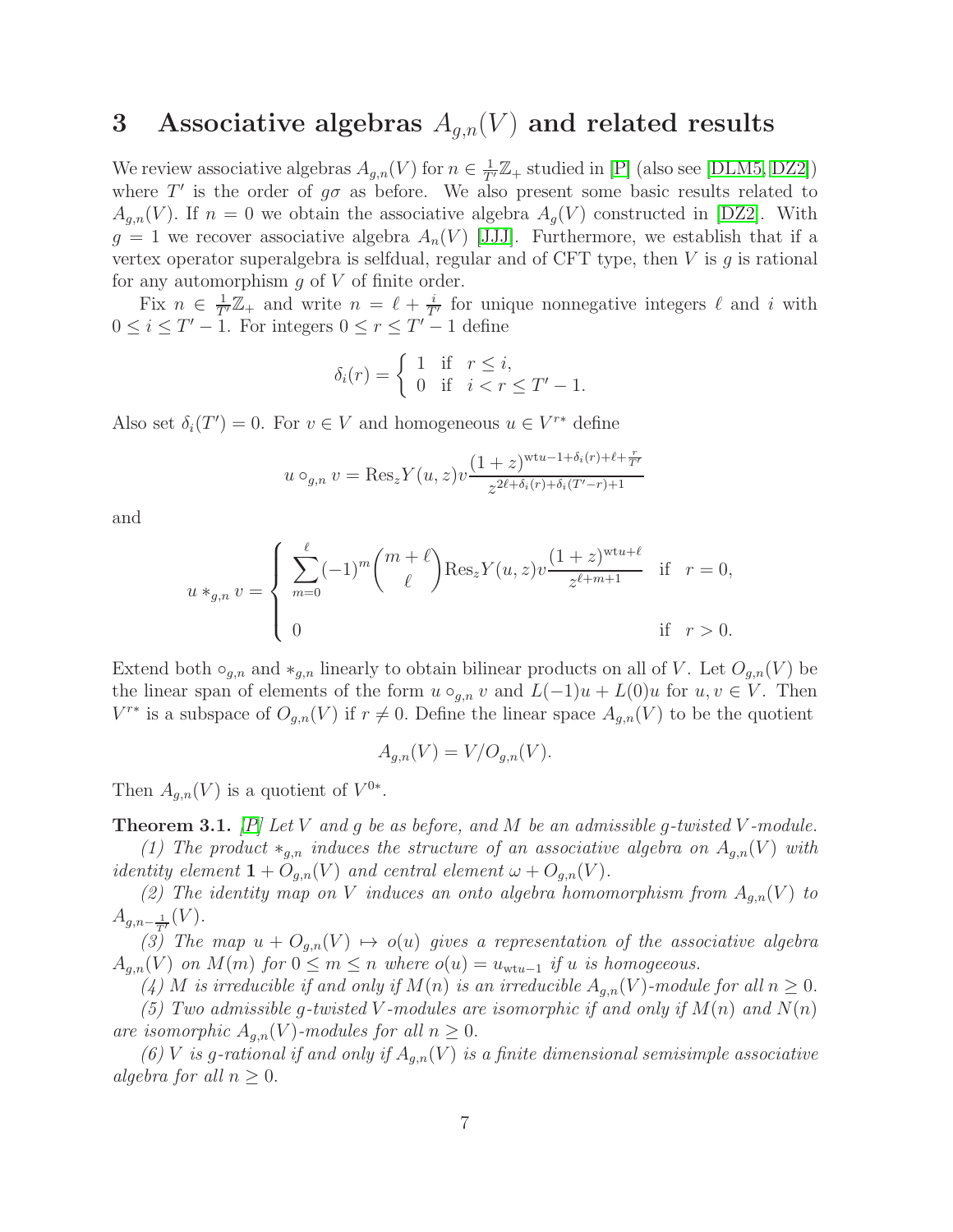## 3 Associative algebras  $A_{q,n}(V)$  and related results

We review associative algebras  $A_{g,n}(V)$  for  $n \in \frac{1}{T'}\mathbb{Z}_+$  studied in [\[P\]](#page-32-5) (also see [\[DLM5,](#page-30-10) [DZ2\]](#page-31-7)) where  $T'$  is the order of  $g\sigma$  as before. We also present some basic results related to  $A_{a,n}(V)$ . If  $n = 0$  we obtain the associative algebra  $A_a(V)$  constructed in [\[DZ2\]](#page-31-7). With  $g = 1$  we recover associative algebra  $A_n(V)$  [\[JJJ\]](#page-31-13). Furthermore, we establish that if a vertex operator superalgebra is selfdual, regular and of CFT type, then  $V$  is  $g$  is rational for any automorphism  $g$  of  $V$  of finite order.

Fix  $n \in \frac{1}{T'}\mathbb{Z}_+$  and write  $n = \ell + \frac{i}{T'}$  for unique nonnegative integers  $\ell$  and i with  $0 \leq i \leq T' - 1$ . For integers  $0 \leq r \leq T' - 1$  define

$$
\delta_i(r) = \begin{cases} 1 & \text{if } r \leq i, \\ 0 & \text{if } i < r \leq T' - 1. \end{cases}
$$

Also set  $\delta_i(T') = 0$ . For  $v \in V$  and homogeneous  $u \in V^{r*}$  define

$$
u \circ_{g,n} v = \text{Res}_{z} Y(u, z) v \frac{(1+z)^{\text{wt}u - 1 + \delta_i(r) + \ell + \frac{r}{T'}}}{z^{2\ell + \delta_i(r) + \delta_i(T'-r) + 1}}
$$

and

$$
u *_{g,n} v = \begin{cases} \sum_{m=0}^{\ell} (-1)^m {m+\ell \choose \ell} \text{Res}_{z} Y(u,z) v \frac{(1+z)^{\text{wt}u+\ell}}{z^{\ell+m+1}} & \text{if } r = 0, \\ 0 & \text{if } r > 0. \end{cases}
$$

Extend both  $\circ_{g,n}$  and  $*_{g,n}$  linearly to obtain bilinear products on all of V. Let  $O_{g,n}(V)$  be the linear span of elements of the form  $u \circ_{q,n} v$  and  $L(-1)u + L(0)u$  for  $u, v \in V$ . Then  $V^{r*}$  is a subspace of  $O_{g,n}(V)$  if  $r \neq 0$ . Define the linear space  $A_{g,n}(V)$  to be the quotient

$$
A_{g,n}(V) = V/O_{g,n}(V).
$$

Then  $A_{g,n}(V)$  is a quotient of  $V^{0*}$ .

<span id="page-6-0"></span>**Theorem 3.1.**  $[P]$  Let V and g be as before, and M be an admissible g-twisted V-module. (1) The product  $*_{g,n}$  induces the structure of an associative algebra on  $A_{g,n}(V)$  with

identity element  $1 + O_{q,n}(V)$  and central element  $\omega + O_{q,n}(V)$ . (2) The identity map on V induces an onto algebra homomorphism from  $A_{q,n}(V)$  to  $A_{g,n-\frac{1}{T'}}(V)$ .

(3) The map  $u + O_{q,n}(V) \mapsto o(u)$  gives a representation of the associative algebra  $A_{g,n}(V)$  on  $M(m)$  for  $0 \leq m \leq n$  where  $o(u) = u_{wtu-1}$  if u is homogeeous.

(4) M is irreducible if and only if  $M(n)$  is an irreducible  $A_{q,n}(V)$ -module for all  $n \geq 0$ .

(5) Two admissible g-twisted V-modules are isomorphic if and only if  $M(n)$  and  $N(n)$ are isomorphic  $A_{q,n}(V)$ -modules for all  $n \geq 0$ .

(6) V is g-rational if and only if  $A_{g,n}(V)$  is a finite dimensional semisimple associative algebra for all  $n \geq 0$ .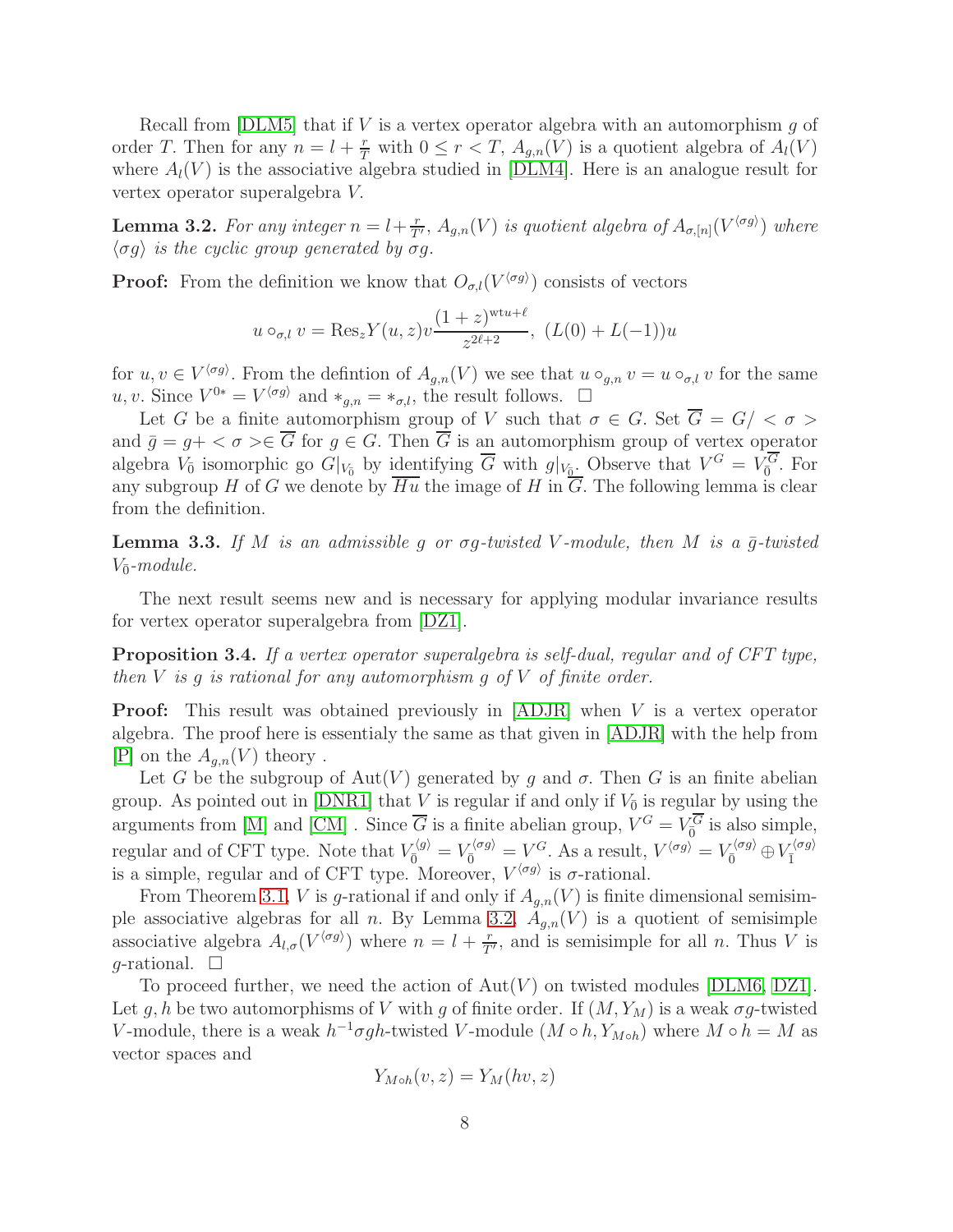Recall from [\[DLM5\]](#page-30-10) that if V is a vertex operator algebra with an automorphism  $g$  of order T. Then for any  $n = l + \frac{r}{T}$  with  $0 \leq r < T$ ,  $A_{g,n}(V)$  is a quotient algebra of  $A_l(V)$ where  $A_l(V)$  is the associative algebra studied in [\[DLM4\]](#page-30-11). Here is an analogue result for vertex operator superalgebra V.

<span id="page-7-0"></span>**Lemma 3.2.** For any integer  $n = l + \frac{r}{T'}$ ,  $A_{g,n}(V)$  is quotient algebra of  $A_{\sigma,[n]}(V^{\langle \sigma g \rangle})$  where  $\langle \sigma q \rangle$  is the cyclic group generated by  $\sigma q$ .

**Proof:** From the definition we know that  $O_{\sigma,l}(V^{\langle \sigma g \rangle})$  consists of vectors

$$
u \circ_{\sigma,l} v = \text{Res}_{z} Y(u, z) v \frac{(1+z)^{\text{wt}u+\ell}}{z^{2\ell+2}}, \ (L(0) + L(-1))u
$$

for  $u, v \in V^{\langle \sigma g \rangle}$ . From the defintion of  $A_{g,n}(V)$  we see that  $u \circ_{g,n} v = u \circ_{\sigma,l} v$  for the same u, v. Since  $V^{0*} = V^{\langle \sigma g \rangle}$  and  $*_{{g,n}} = *_{{\sigma},l}$ , the result follows.  $\Box$ 

Let G be a finite automorphism group of V such that  $\sigma \in G$ . Set  $\overline{G} = G / \langle \sigma \rangle$ and  $\bar{g} = g + \langle \sigma \rangle \in \overline{G}$  for  $g \in G$ . Then  $\overline{G}$  is an automorphism group of vertex operator algebra  $V_{\bar{0}}$  isomorphic go  $G|_{V_{\bar{0}}}$  by identifying  $\overline{G}$  with  $g|_{V_{\bar{0}}}$ . Observe that  $V^G = V_{\bar{0}}^G$ . For any subgroup H of G we denote by  $Hu$  the image of H in G. The following lemma is clear from the definition.

**Lemma 3.3.** If M is an admissible g or  $\sigma g$ -twisted V-module, then M is a  $\bar{g}$ -twisted  $V_{\bar{0}}$ -module.

The next result seems new and is necessary for applying modular invariance results for vertex operator superalgebra from [\[DZ1\]](#page-31-3).

<span id="page-7-1"></span>Proposition 3.4. If a vertex operator superalgebra is self-dual, regular and of CFT type, then  $V$  is q is rational for any automorphism q of  $V$  of finite order.

Proof: This result was obtained previously in [\[ADJR\]](#page-29-4) when V is a vertex operator algebra. The proof here is essentialy the same as that given in [\[ADJR\]](#page-29-4) with the help from |P| on the  $A_{q,n}(V)$  theory.

Let G be the subgroup of Aut(V) generated by q and  $\sigma$ . Then G is an finite abelian group. As pointed out in [\[DNR1\]](#page-30-0) that V is regular if and only if  $V_{\bar{0}}$  is regular by using the arguments from [\[M\]](#page-32-8) and [\[CM\]](#page-29-0). Since  $\overline{G}$  is a finite abelian group,  $V^G = V_0^G$  is also simple, regular and of CFT type. Note that  $V_{\overline{0}}^{\langle g \rangle} = V_{\overline{0}}^{\langle \sigma g \rangle} = V^G$ . As a result,  $V^{\langle \sigma g \rangle} = V_{\overline{0}}^{\langle \sigma g \rangle} \oplus V_{\overline{1}}^{\langle \sigma g \rangle}$ is a simple, regular and of CFT type. Moreover,  $V^{\langle \sigma g \rangle}$  is  $\sigma$ -rational.

From Theorem [3.1,](#page-6-0) V is g-rational if and only if  $A_{q,n}(V)$  is finite dimensional semisim-ple associative algebras for all n. By Lemma [3.2,](#page-7-0)  $A_{q,n}(V)$  is a quotient of semisimple associative algebra  $A_{l,\sigma}(V^{\langle \sigma g \rangle})$  where  $n = l + \frac{r}{T'}$ , and is semisimple for all n. Thus V is q-rational.  $\square$ 

To proceed further, we need the action of  $Aut(V)$  on twisted modules [\[DLM6,](#page-30-3) [DZ1\]](#page-31-3). Let g, h be two automorphisms of V with g of finite order. If  $(M, Y_M)$  is a weak  $\sigma$ g-twisted V-module, there is a weak  $h^{-1}\sigma gh$ -twisted V-module  $(M \circ h, Y_{M \circ h})$  where  $M \circ h = M$  as vector spaces and

$$
Y_{M \circ h}(v, z) = Y_M(hv, z)
$$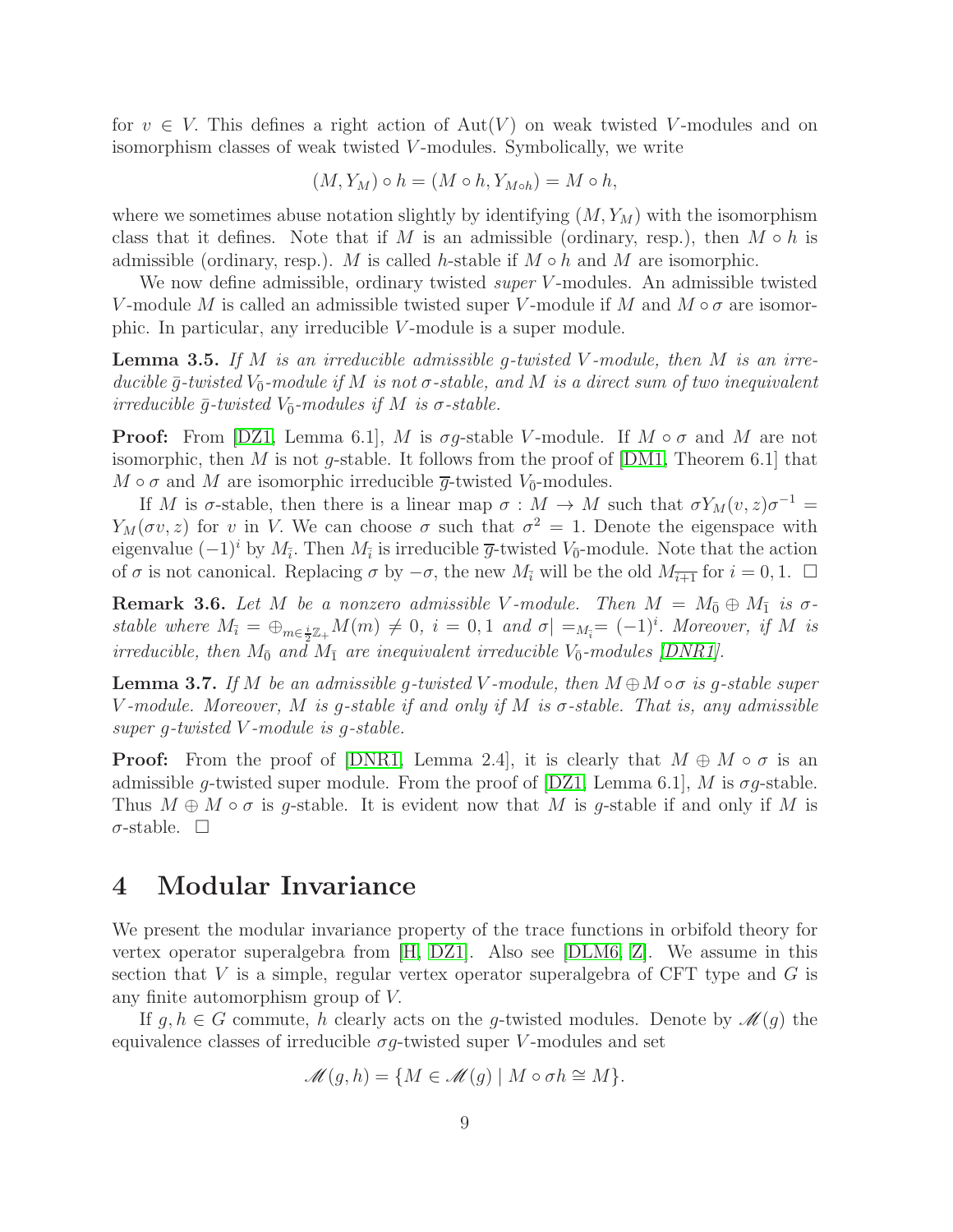for  $v \in V$ . This defines a right action of  $Aut(V)$  on weak twisted V-modules and on isomorphism classes of weak twisted V-modules. Symbolically, we write

$$
(M, Y_M) \circ h = (M \circ h, Y_{M \circ h}) = M \circ h,
$$

where we sometimes abuse notation slightly by identifying  $(M, Y_M)$  with the isomorphism class that it defines. Note that if M is an admissible (ordinary, resp.), then  $M \circ h$  is admissible (ordinary, resp.). M is called h-stable if  $M \circ h$  and M are isomorphic.

We now define admissible, ordinary twisted *super* V-modules. An admissible twisted V-module M is called an admissible twisted super V-module if M and  $M \circ \sigma$  are isomorphic. In particular, any irreducible V -module is a super module.

<span id="page-8-0"></span>**Lemma 3.5.** If M is an irreducible admissible q-twisted V-module, then M is an irreducible  $\bar{g}$ -twisted  $V_{\bar{0}}$ -module if M is not  $\sigma$ -stable, and M is a direct sum of two inequivalent irreducible  $\bar{g}$ -twisted  $V_{\bar{0}}$ -modules if M is  $\sigma$ -stable.

**Proof:** From [\[DZ1,](#page-31-3) Lemma 6.1], M is  $\sigma q$ -stable V-module. If  $M \circ \sigma$  and M are not isomorphic, then M is not g-stable. It follows from the proof of  $[DM1, Theorem 6.1]$  that  $M \circ \sigma$  and  $M$  are isomorphic irreducible  $\overline{g}$ -twisted  $V_{\overline{0}}$ -modules.

If M is  $\sigma$ -stable, then there is a linear map  $\sigma : M \to M$  such that  $\sigma Y_M(v, z) \sigma^{-1} =$  $Y_M(\sigma v, z)$  for v in V. We can choose  $\sigma$  such that  $\sigma^2 = 1$ . Denote the eigenspace with eigenvalue  $(-1)^i$  by  $M_{\bar{i}}$ . Then  $M_{\bar{i}}$  is irreducible  $\bar{g}$ -twisted  $V_{\bar{0}}$ -module. Note that the action of  $\sigma$  is not canonical. Replacing  $\sigma$  by  $-\sigma$ , the new  $M_{\overline{i}}$  will be the old  $M_{\overline{i+1}}$  for  $i = 0, 1$ .  $\Box$ 

**Remark 3.6.** Let M be a nonzero admissible V-module. Then  $M = M_{\bar{0}} \oplus M_{\bar{1}}$  is  $\sigma$ stable where  $M_{\bar{i}} = \bigoplus_{m \in \frac{i}{2}\mathbb{Z}_+} M(m) \neq 0$ ,  $i = 0, 1$  and  $\sigma | =_{M_{\bar{i}}} = (-1)^i$ . Moreover, if M is irreducible, then  $M_{\bar{0}}$  and  $M_{\bar{1}}$  are inequivalent irreducible  $V_{\bar{0}}$ -modules [\[DNR1\]](#page-30-0).

**Lemma 3.7.** If M be an admissible g-twisted V-module, then  $M \oplus M \circ \sigma$  is g-stable super V-module. Moreover, M is g-stable if and only if M is  $\sigma$ -stable. That is, any admissible super g-twisted V -module is g-stable.

**Proof:** From the proof of [\[DNR1,](#page-30-0) Lemma 2.4], it is clearly that  $M \oplus M \circ \sigma$  is an admissible g-twisted super module. From the proof of  $[DZ1, Lemma 6.1], M$  is  $\sigma$ g-stable. Thus  $M \oplus M \circ \sigma$  is g-stable. It is evident now that M is g-stable if and only if M is  $\sigma$ -stable.  $\square$ 

### 4 Modular Invariance

We present the modular invariance property of the trace functions in orbifold theory for vertex operator superalgebra from [\[H,](#page-31-14) [DZ1\]](#page-31-3). Also see [\[DLM6,](#page-30-3) [Z\]](#page-32-1). We assume in this section that  $V$  is a simple, regular vertex operator superalgebra of CFT type and  $G$  is any finite automorphism group of V.

If  $g, h \in G$  commute, h clearly acts on the g-twisted modules. Denote by  $\mathcal{M}(g)$  the equivalence classes of irreducible  $\sigma g$ -twisted super V-modules and set

$$
\mathscr{M}(g,h) = \{ M \in \mathscr{M}(g) \mid M \circ \sigma h \cong M \}.
$$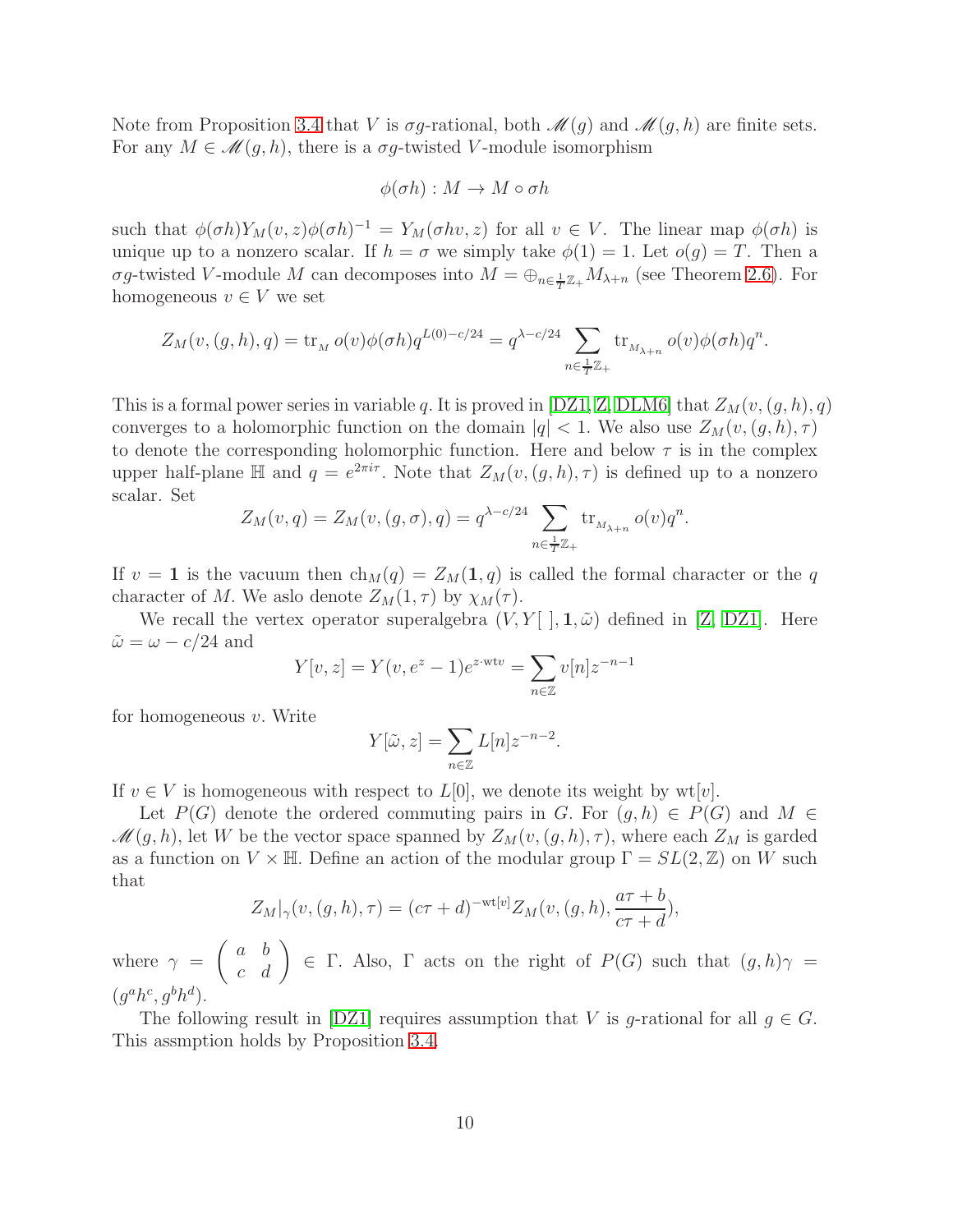Note from Proposition [3.4](#page-7-1) that V is  $\sigma g$ -rational, both  $\mathcal{M}(g)$  and  $\mathcal{M}(g, h)$  are finite sets. For any  $M \in \mathcal{M}(g,h)$ , there is a  $\sigma g$ -twisted V-module isomorphism

$$
\phi(\sigma h): M \to M \circ \sigma h
$$

such that  $\phi(\sigma h)Y_M(v, z)\phi(\sigma h)^{-1} = Y_M(\sigma hv, z)$  for all  $v \in V$ . The linear map  $\phi(\sigma h)$  is unique up to a nonzero scalar. If  $h = \sigma$  we simply take  $\phi(1) = 1$ . Let  $o(g) = T$ . Then a σg-twisted V-module M can decomposes into  $M = \bigoplus_{n \in \frac{1}{T}} \mathbb{Z}_+ M_{\lambda+n}$  (see Theorem [2.6\)](#page-5-0). For homogeneous  $v \in V$  we set

$$
Z_M(v,(g,h),q) = \operatorname{tr}_M o(v)\phi(\sigma h)q^{L(0)-c/24} = q^{\lambda - c/24} \sum_{n \in \frac{1}{T}\mathbb{Z}_+} \operatorname{tr}_{M_{\lambda+n}} o(v)\phi(\sigma h)q^n.
$$

This is a formal power series in variable q. It is proved in [\[DZ1,](#page-31-3) [Z,](#page-32-1) [DLM6\]](#page-30-3) that  $Z_M(v,(g,h), q)$ converges to a holomorphic function on the domain  $|q| < 1$ . We also use  $Z_M(v,(g,h),\tau)$ to denote the corresponding holomorphic function. Here and below  $\tau$  is in the complex upper half-plane  $\mathbb H$  and  $q = e^{2\pi i \tau}$ . Note that  $Z_M(v,(g,h),\tau)$  is defined up to a nonzero scalar. Set

$$
Z_M(v,q) = Z_M(v,(g,\sigma),q) = q^{\lambda - c/24} \sum_{n \in \frac{1}{T}\mathbb{Z}_+} \text{tr}_{M_{\lambda+n}} o(v) q^n.
$$

If  $v = 1$  is the vacuum then  $ch_M(q) = Z_M(1, q)$  is called the formal character or the q character of M. We aslo denote  $Z_M(1, \tau)$  by  $\chi_M(\tau)$ .

We recall the vertex operator superalgebra  $(V, Y[ \cdot], 1, \tilde{\omega})$  defined in [\[Z,](#page-32-1) [DZ1\]](#page-31-3). Here  $\tilde{\omega} = \omega - c/24$  and

$$
Y[v, z] = Y(v, e^{z} - 1)e^{z \cdot wt v} = \sum_{n \in \mathbb{Z}} v[n]z^{-n-1}
$$

for homogeneous  $v$ . Write

$$
Y[\tilde{\omega}, z] = \sum_{n \in \mathbb{Z}} L[n] z^{-n-2}.
$$

If  $v \in V$  is homogeneous with respect to  $L[0]$ , we denote its weight by wt $|v|$ .

Let  $P(G)$  denote the ordered commuting pairs in G. For  $(g, h) \in P(G)$  and  $M \in$  $\mathscr{M}(g,h)$ , let W be the vector space spanned by  $Z_M(v,(g,h),\tau)$ , where each  $Z_M$  is garded as a function on  $V \times \mathbb{H}$ . Define an action of the modular group  $\Gamma = SL(2, \mathbb{Z})$  on W such that

$$
Z_M|_{\gamma}(v,(g,h),\tau) = (c\tau + d)^{-\text{wt}[v]} Z_M(v,(g,h), \frac{a\tau + b}{c\tau + d}),
$$

where  $\gamma =$  $\begin{pmatrix} a & b \\ c & d \end{pmatrix}$   $\in$   $\Gamma$ . Also,  $\Gamma$  acts on the right of  $P(G)$  such that  $(g,h)\gamma =$  $(g^a h^c, g^b h^d)$ .

The following result in [\[DZ1\]](#page-31-3) requires assumption that V is g-rational for all  $g \in G$ . This assmption holds by Proposition [3.4.](#page-7-1)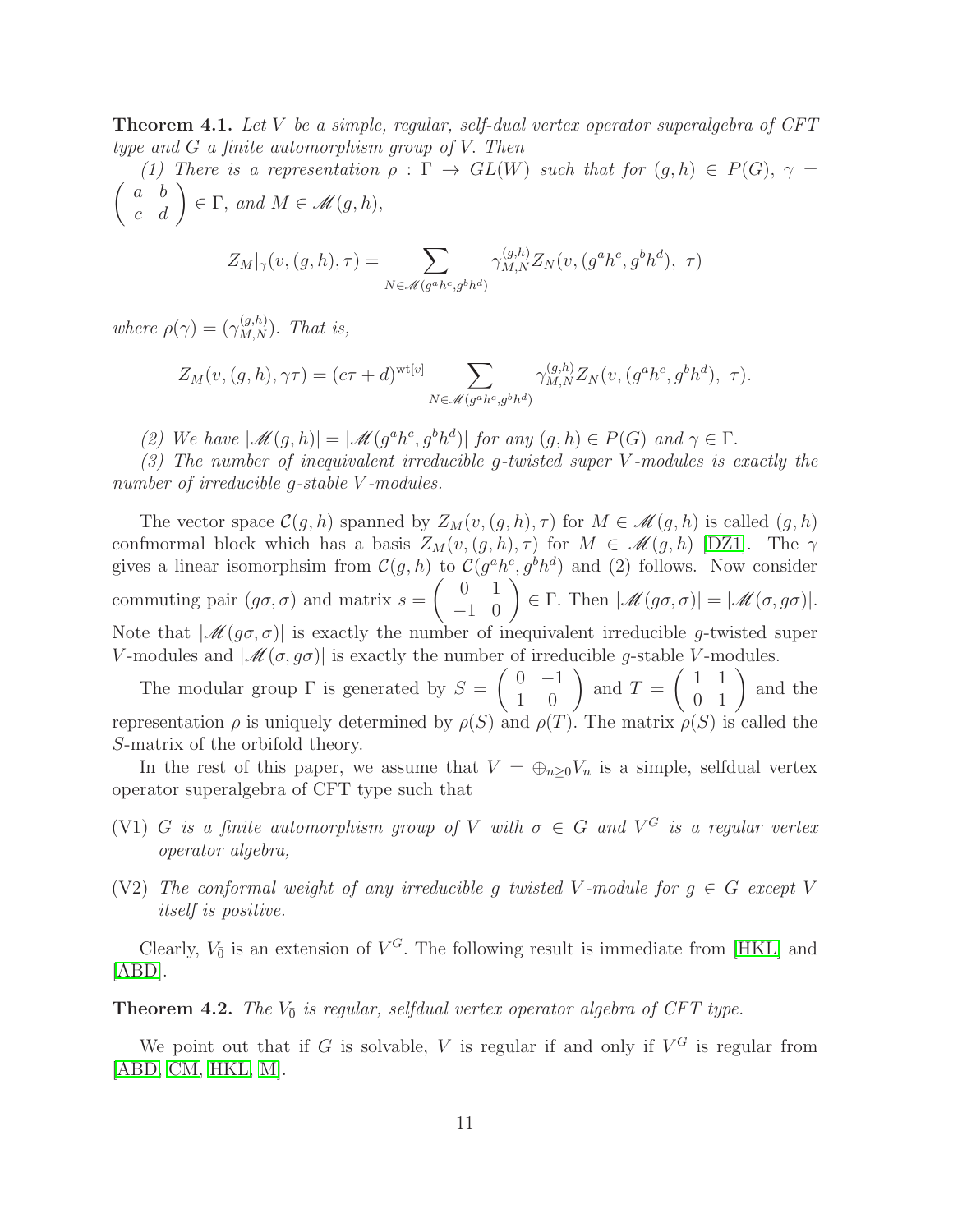<span id="page-10-0"></span>**Theorem 4.1.** Let V be a simple, regular, self-dual vertex operator superalgebra of  $CFT$ type and G a finite automorphism group of V. Then

(1) There is a representation  $\rho : \Gamma \to GL(W)$  such that for  $(g,h) \in P(G)$ ,  $\gamma =$  $\begin{pmatrix} a & b \\ c & d \end{pmatrix} \in \Gamma$ , and  $M \in \mathscr{M}(g,h)$ ,

$$
Z_M|_{\gamma}(v,(g,h),\tau) = \sum_{N \in \mathcal{M}(g^{a}h^c,g^{b}h^d)} \gamma_{M,N}^{(g,h)} Z_N(v,(g^a h^c,g^b h^d),\ \tau)
$$

where  $\rho(\gamma) = (\gamma_{M,N}^{(g,h)})$ . That is,

$$
Z_M(v,(g,h),\gamma\tau)=(c\tau+d)^{\mathrm{wt}[v]}\sum_{N\in\mathscr{M}(g^{a}h^c,g^bh^d)}\gamma_{M,N}^{(g,h)}Z_N(v,(g^ah^c,g^bh^d),\tau).
$$

(2) We have  $|\mathcal{M}(g,h)| = |\mathcal{M}(g^a h^c, g^b h^d)|$  for any  $(g,h) \in P(G)$  and  $\gamma \in \Gamma$ .

(3) The number of inequivalent irreducible g-twisted super V -modules is exactly the number of irreducible g-stable V-modules.

The vector space  $\mathcal{C}(g, h)$  spanned by  $Z_M(v,(g, h), \tau)$  for  $M \in \mathcal{M}(g, h)$  is called  $(g, h)$ confmormal block which has a basis  $Z_M(v,(g,h),\tau)$  for  $M \in \mathcal{M}(g,h)$  [\[DZ1\]](#page-31-3). The  $\gamma$ gives a linear isomorphsim from  $C(g, h)$  to  $C(g^a h^c, g^b h^d)$  and (2) follows. Now consider commuting pair  $(g\sigma, \sigma)$  and matrix  $s =$  $\begin{pmatrix} 0 & 1 \\ -1 & 0 \end{pmatrix} \in \Gamma$ . Then  $|\mathcal{M}(g\sigma,\sigma)| = |\mathcal{M}(\sigma,g\sigma)|$ . Note that  $|\mathcal{M}(g\sigma,\sigma)|$  is exactly the number of inequivalent irreducible g-twisted super V-modules and  $|\mathcal{M}(\sigma, g\sigma)|$  is exactly the number of irreducible g-stable V-modules.

The modular group  $\Gamma$  is generated by  $S =$  $\left(\begin{array}{cc} 0 & -1 \\ 1 & 0 \end{array}\right)$  and  $T =$  $\left(\begin{array}{cc} 1 & 1 \\ 0 & 1 \end{array}\right)$  and the representation  $\rho$  is uniquely determined by  $\rho(S)$  and  $\rho(T)$ . The matrix  $\rho(S)$  is called the S-matrix of the orbifold theory.

In the rest of this paper, we assume that  $V = \bigoplus_{n\geq 0} V_n$  is a simple, selfdual vertex operator superalgebra of CFT type such that

- (V1) G is a finite automorphism group of V with  $\sigma \in G$  and  $V^G$  is a regular vertex operator algebra,
- (V2) The conformal weight of any irreducible g twisted V-module for  $g \in G$  except V itself is positive.

Clearly,  $V_{\bar{0}}$  is an extension of  $V^G$ . The following result is immediate from [\[HKL\]](#page-31-6) and [\[ABD\]](#page-29-3).

**Theorem 4.2.** The  $V_{\bar{0}}$  is regular, selfdual vertex operator algebra of CFT type.

We point out that if G is solvable, V is regular if and only if  $V^G$  is regular from [\[ABD,](#page-29-3) [CM,](#page-29-0) [HKL,](#page-31-6) [M\]](#page-32-8).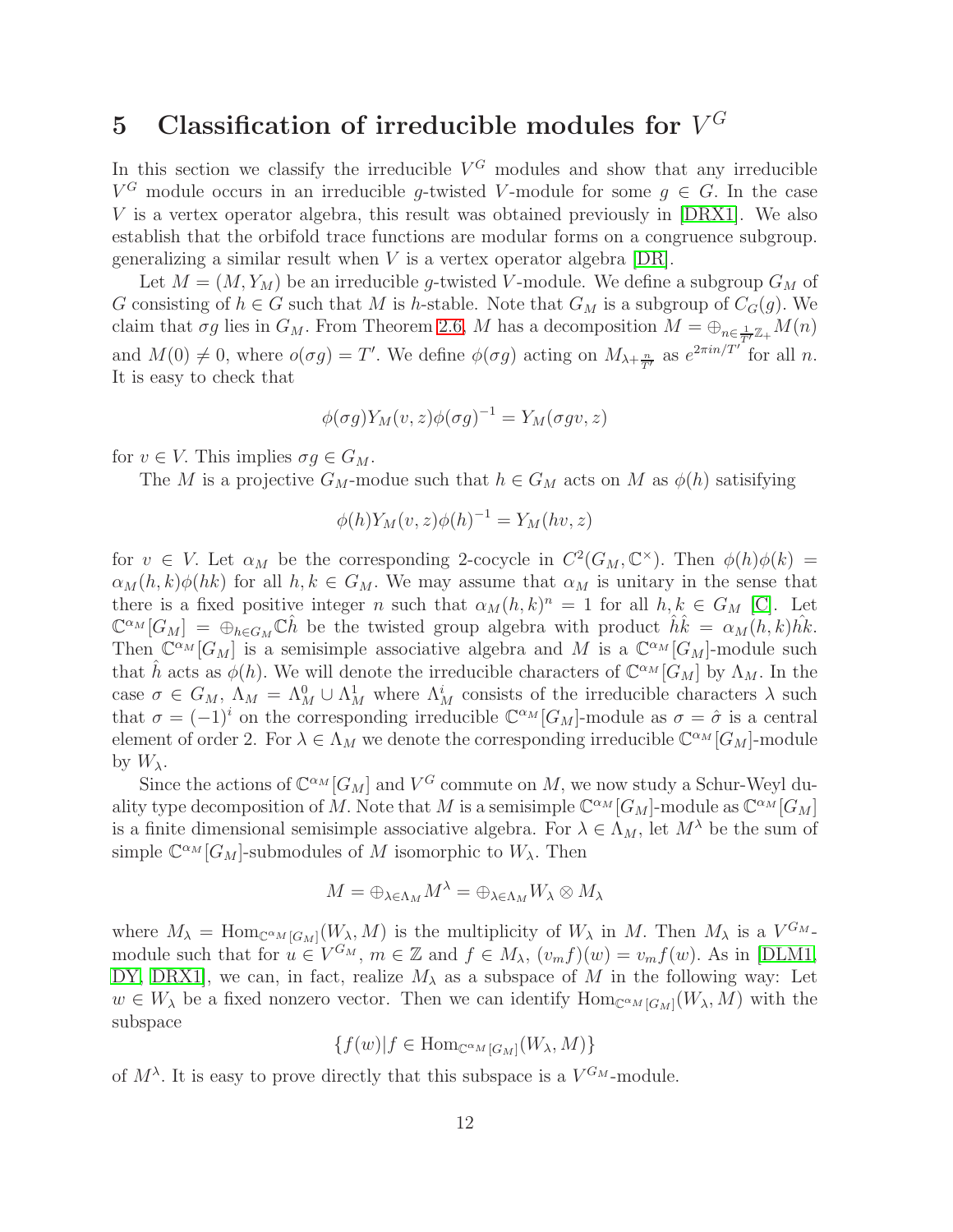# 5 Classification of irreducible modules for  $V^G$

In this section we classify the irreducible  $V^G$  modules and show that any irreducible  $V^G$  module occurs in an irreducible g-twisted V-module for some  $g \in G$ . In the case V is a vertex operator algebra, this result was obtained previously in [\[DRX1\]](#page-31-2). We also establish that the orbifold trace functions are modular forms on a congruence subgroup. generalizing a similar result when  $V$  is a vertex operator algebra  $[DR]$ .

Let  $M = (M, Y_M)$  be an irreducible g-twisted V-module. We define a subgroup  $G_M$  of G consisting of  $h \in G$  such that M is h-stable. Note that  $G_M$  is a subgroup of  $C_G(g)$ . We claim that  $\sigma g$  lies in  $G_M$ . From Theorem [2.6,](#page-5-0) M has a decomposition  $M = \bigoplus_{n \in \frac{1}{T'}\mathbb{Z}_+} M(n)$ and  $M(0) \neq 0$ , where  $o(\sigma g) = T'$ . We define  $\phi(\sigma g)$  acting on  $M_{\lambda+\frac{n}{T'}}$  as  $e^{2\pi i n/T'}$  for all n. It is easy to check that

$$
\phi(\sigma g)Y_M(v,z)\phi(\sigma g)^{-1} = Y_M(\sigma gv,z)
$$

for  $v \in V$ . This implies  $\sigma g \in G_M$ .

The M is a projective  $G_M$ -modue such that  $h \in G_M$  acts on M as  $\phi(h)$  satisifying

$$
\phi(h)Y_M(v,z)\phi(h)^{-1} = Y_M(hv,z)
$$

for  $v \in V$ . Let  $\alpha_M$  be the corresponding 2-cocycle in  $C^2(G_M, \mathbb{C}^\times)$ . Then  $\phi(h)\phi(k)$  =  $\alpha_M(h, k) \phi(hk)$  for all  $h, k \in G_M$ . We may assume that  $\alpha_M$  is unitary in the sense that there is a fixed positive integer n such that  $\alpha_M(h, k)^n = 1$  for all  $h, k \in G_M$  [\[C\]](#page-29-5). Let  $\mathbb{C}^{\alpha_M}[G_M] = \bigoplus_{h \in G_M} \mathbb{C}^{\hat{h}}$  be the twisted group algebra with product  $\hat{h}\hat{k} = \alpha_M(h,k)\hat{h}\hat{k}$ . Then  $\mathbb{C}^{\alpha_M}[G_M]$  is a semisimple associative algebra and M is a  $\mathbb{C}^{\alpha_M}[G_M]$ -module such that  $\hat{h}$  acts as  $\phi(h)$ . We will denote the irreducible characters of  $\mathbb{C}^{\alpha_M}[\hat{G}_M]$  by  $\Lambda_M$ . In the case  $\sigma \in G_M$ ,  $\Lambda_M = \Lambda_M^0 \cup \Lambda_M^1$  where  $\Lambda_M^i$  consists of the irreducible characters  $\lambda$  such that  $\sigma = (-1)^i$  on the corresponding irreducible  $\mathbb{C}^{\alpha_M}[G_M]$ -module as  $\sigma = \hat{\sigma}$  is a central element of order 2. For  $\lambda \in \Lambda_M$  we denote the corresponding irreducible  $\mathbb{C}^{\alpha_M}[G_M]$ -module by  $W_{\lambda}$ .

Since the actions of  $\mathbb{C}^{\alpha_M}[G_M]$  and  $V^G$  commute on M, we now study a Schur-Weyl duality type decomposition of M. Note that M is a semisimple  $\mathbb{C}^{\alpha_M}[G_M]$ -module as  $\mathbb{C}^{\alpha_M}[G_M]$ is a finite dimensional semisimple associative algebra. For  $\lambda \in \Lambda_M$ , let  $M^{\lambda}$  be the sum of simple  $\mathbb{C}^{\alpha_M}[G_M]$ -submodules of M isomorphic to  $W_\lambda$ . Then

$$
M = \bigoplus_{\lambda \in \Lambda_M} M^{\lambda} = \bigoplus_{\lambda \in \Lambda_M} W_{\lambda} \otimes M_{\lambda}
$$

where  $M_{\lambda} = \text{Hom}_{\mathbb{C}^{\alpha}M[G_M]}(W_{\lambda},M)$  is the multiplicity of  $W_{\lambda}$  in M. Then  $M_{\lambda}$  is a  $V^{G_M}$ . module such that for  $u \in V^{G_M}$ ,  $m \in \mathbb{Z}$  and  $f \in M_\lambda$ ,  $(v_m f)(w) = v_m f(w)$ . As in [\[DLM1,](#page-30-2) [DY,](#page-31-1) DRX1, we can, in fact, realize  $M_{\lambda}$  as a subspace of M in the following way: Let  $w \in W_{\lambda}$  be a fixed nonzero vector. Then we can identify  $\text{Hom}_{\mathbb{C}^{\alpha}M[G_M]}(W_{\lambda},M)$  with the subspace

$$
\{f(w)|f \in \text{Hom}_{\mathbb{C}^{\alpha}M[G_M]}(W_{\lambda},M)\}
$$

of  $M^{\lambda}$ . It is easy to prove directly that this subspace is a  $V^{G_M}$ -module.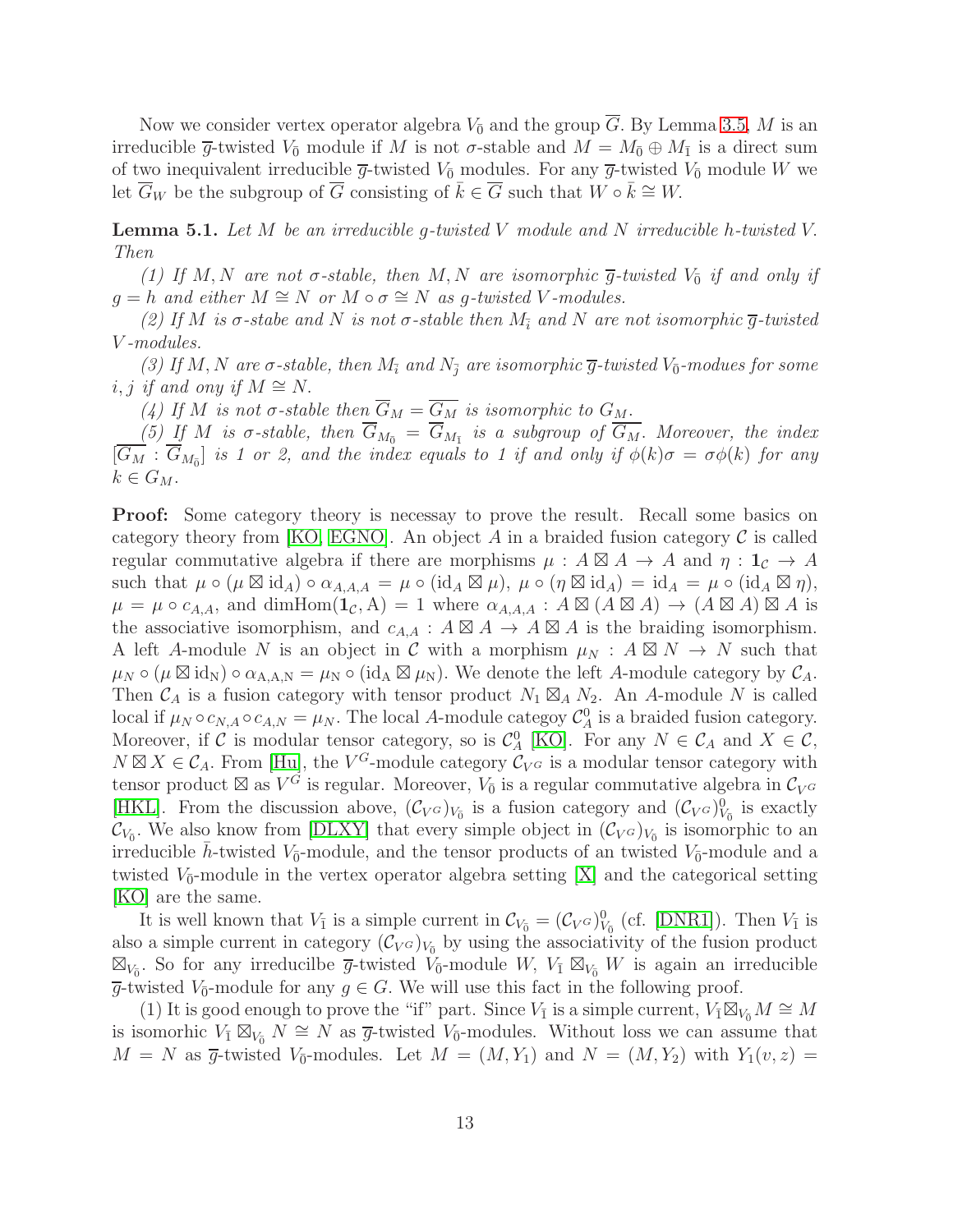Now we consider vertex operator algebra  $V_{\bar{0}}$  and the group  $\overline{G}$ . By Lemma [3.5,](#page-8-0) M is an irreducible  $\overline{g}$ -twisted  $V_{\overline{0}}$  module if M is not  $\sigma$ -stable and  $M = M_{\overline{0}} \oplus M_{\overline{1}}$  is a direct sum of two inequivalent irreducible  $\overline{g}$ -twisted  $V_{\overline{0}}$  modules. For any  $\overline{g}$ -twisted  $V_{\overline{0}}$  module W we let  $\overline{G}_W$  be the subgroup of  $\overline{G}$  consisting of  $\overline{k} \in \overline{G}$  such that  $W \circ \overline{k} \cong W$ .

<span id="page-12-0"></span>**Lemma 5.1.** Let  $M$  be an irreducible g-twisted  $V$  module and  $N$  irreducible h-twisted  $V$ . Then

(1) If M, N are not  $\sigma$ -stable, then M, N are isomorphic  $\overline{g}$ -twisted  $V_{\overline{0}}$  if and only if  $g = h$  and either  $M \cong N$  or  $M \circ \sigma \cong N$  as g-twisted V-modules.

(2) If M is  $\sigma$ -stabe and N is not  $\sigma$ -stable then  $M_{\tilde{i}}$  and N are not isomorphic  $\overline{q}$ -twisted V -modules.

(3) If M, N are  $\sigma$ -stable, then  $M_{\tilde{i}}$  and  $N_{\tilde{j}}$  are isomorphic  $\overline{g}$ -twisted  $V_{\overline{0}}$ -modues for some i, j if and ony if  $M \cong N$ .

(4) If M is not  $\sigma$ -stable then  $\overline{G}_M = \overline{G_M}$  is isomorphic to  $G_M$ .

 $(5)$  If M is  $\sigma$ -stable, then  $G_{M_{\bar{0}}} = G_{M_{\bar{1}}}$  is a subgroup of  $G_M$ . Moreover, the index  $[G_M: G_{M_{\bar{0}}}]$  is 1 or 2, and the index equals to 1 if and only if  $\phi(k)\sigma = \sigma\phi(k)$  for any  $k \in G_M$ .

Proof: Some category theory is necessay to prove the result. Recall some basics on category theory from [\[KO,](#page-32-2) [EGNO\]](#page-31-15). An object  $A$  in a braided fusion category  $C$  is called regular commutative algebra if there are morphisms  $\mu : A \boxtimes A \rightarrow A$  and  $\eta : 1_{\mathcal{C}} \rightarrow A$ such that  $\mu \circ (\mu \boxtimes id_A) \circ \alpha_{A,A,A} = \mu \circ (id_A \boxtimes \mu), \mu \circ (\eta \boxtimes id_A) = id_A = \mu \circ (id_A \boxtimes \eta),$  $\mu = \mu \circ c_{A,A},$  and dimHom $(\mathbf{1}_{\mathcal{C}}, A) = 1$  where  $\alpha_{A,A,A} : A \boxtimes (A \boxtimes A) \rightarrow (A \boxtimes A) \boxtimes A$  is the associative isomorphism, and  $c_{A,A}: A \boxtimes A \rightarrow A \boxtimes A$  is the braiding isomorphism. A left A-module N is an object in C with a morphism  $\mu_N$ :  $A \boxtimes N \rightarrow N$  such that  $\mu_N \circ (\mu \boxtimes id_N) \circ \alpha_{A,A,N} = \mu_N \circ (id_A \boxtimes \mu_N)$ . We denote the left A-module category by  $\mathcal{C}_A$ . Then  $\mathcal{C}_A$  is a fusion category with tensor product  $N_1 \boxtimes_A N_2$ . An A-module N is called local if  $\mu_N \circ c_{N,A} \circ c_{A,N} = \mu_N$ . The local A-module category  $\mathcal{C}_A^0$  is a braided fusion category. Moreover, if C is modular tensor category, so is  $C_A^0$  [\[KO\]](#page-32-2). For any  $N \in C_A$  and  $X \in C$ ,  $N \boxtimes X \in \mathcal{C}_A$ . From [\[Hu\]](#page-31-4), the  $V^G$ -module category  $\mathcal{C}_{V^G}$  is a modular tensor category with tensor product  $\boxtimes$  as  $V^G$  is regular. Moreover,  $V_{\bar{0}}$  is a regular commutative algebra in  $\mathcal{C}_{V^G}$ [\[HKL\]](#page-31-6). From the discussion above,  $(C_V \circ)_{V_{\bar{0}}}$  is a fusion category and  $(C_V \circ)_{V_{\bar{0}}}^0$  is exactly  $\mathcal{C}_{V_{\overline{0}}}$ . We also know from [\[DLXY\]](#page-30-5) that every simple object in  $(\mathcal{C}_{V^G})_{V_{\overline{0}}}$  is isomorphic to an irreducible  $\bar{h}$ -twisted  $V_{\bar{0}}$ -module, and the tensor products of an twisted  $V_{\bar{0}}$ -module and a twisted  $V_{\bar{0}}$ -module in the vertex operator algebra setting [\[X\]](#page-32-6) and the categorical setting [\[KO\]](#page-32-2) are the same.

It is well known that  $V_{\bar{1}}$  is a simple current in  $C_{V_{\bar{0}}} = (C_{V^G})_{V_{\bar{0}}}^0$  (cf. [\[DNR1\]](#page-30-0)). Then  $V_{\bar{1}}$  is also a simple current in category  $(\mathcal{C}_{V^G})_{V_{\overline{0}}}$  by using the associativity of the fusion product  $\boxtimes_{V_0}$ . So for any irreducilbe  $\overline{g}$ -twisted  $\check{V}_0$ -module W,  $V_1 \boxtimes_{V_0} W$  is again an irreducible  $\overline{g}$ -twisted  $V_{\overline{0}}$ -module for any  $g \in G$ . We will use this fact in the following proof.

(1) It is good enough to prove the "if" part. Since  $V_{\bar{1}}$  is a simple current,  $V_{\bar{1}} \boxtimes_{V_{\bar{0}}} M \cong M$ is isomorhic  $V_1 \boxtimes_{V_0} N \cong N$  as  $\overline{g}$ -twisted  $V_0$ -modules. Without loss we can assume that  $M = N$  as  $\overline{g}$ -twisted  $V_{\overline{0}}$ -modules. Let  $M = (M, Y_1)$  and  $N = (M, Y_2)$  with  $Y_1(v, z) =$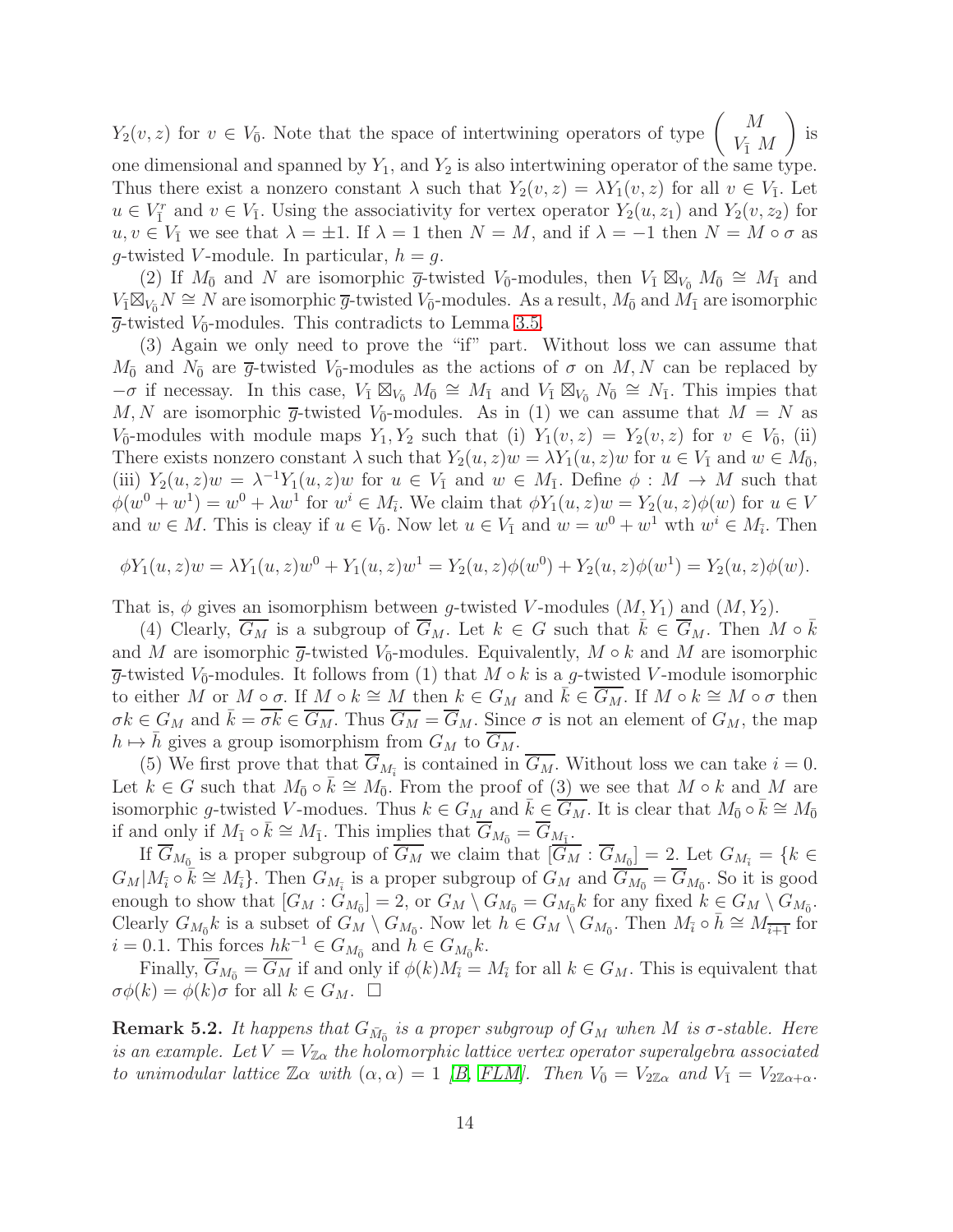$Y_2(v, z)$  for  $v \in V_{\overline{0}}$ . Note that the space of intertwining operators of type  $\begin{pmatrix} M \\ V_{\overline{1}} \end{pmatrix}$  $V_{\bar{1}}$  M  $\setminus$ is

one dimensional and spanned by  $Y_1$ , and  $Y_2$  is also intertwining operator of the same type. Thus there exist a nonzero constant  $\lambda$  such that  $Y_2(v, z) = \lambda Y_1(v, z)$  for all  $v \in V_{\bar{1}}$ . Let  $u \in V_1^r$  and  $v \in V_1$ . Using the associativity for vertex operator  $Y_2(u, z_1)$  and  $Y_2(v, z_2)$  for  $u, v \in V_{\bar{1}}$  we see that  $\lambda = \pm 1$ . If  $\lambda = 1$  then  $N = M$ , and if  $\lambda = -1$  then  $N = M \circ \sigma$  as g-twisted V-module. In particular,  $h = g$ .

(2) If  $M_{\bar{0}}$  and N are isomorphic  $\bar{g}$ -twisted  $V_{\bar{0}}$ -modules, then  $V_{\bar{1}} \boxtimes_{V_{\bar{0}}} M_{\bar{0}} \cong M_{\bar{1}}$  and  $V_{\bar{1}}\boxtimes_{V_{\bar{0}}}N\cong N$  are isomorphic  $\overline{g}$ -twisted  $V_{\bar{0}}$ -modules. As a result,  $M_{\bar{0}}$  and  $\tilde{M}_{\bar{1}}$  are isomorphic  $\overline{g}$ -twisted  $V_{\overline{0}}$ -modules. This contradicts to Lemma [3.5.](#page-8-0)

(3) Again we only need to prove the "if" part. Without loss we can assume that  $M_{\bar{0}}$  and  $N_{\bar{0}}$  are  $\bar{g}$ -twisted  $V_{\bar{0}}$ -modules as the actions of  $\sigma$  on  $M, N$  can be replaced by  $-\sigma$  if necessay. In this case,  $V_{\bar{1}} \boxtimes_{V_{\bar{0}}} M_{\bar{0}} \cong M_{\bar{1}}$  and  $V_{\bar{1}} \boxtimes_{V_{\bar{0}}} N_{\bar{0}} \cong N_{\bar{1}}$ . This impies that M, N are isomorphic  $\overline{g}$ -twisted  $V_{\overline{0}}$ -modules. As in (1) we can assume that  $M = N$  as  $V_{\overline{0}}$ -modules with module maps  $Y_1, Y_2$  such that (i)  $Y_1(v, z) = Y_2(v, z)$  for  $v \in V_{\overline{0}}$ , (ii) There exists nonzero constant  $\lambda$  such that  $Y_2(u, z)w = \lambda Y_1(u, z)w$  for  $u \in V_1$  and  $w \in M_{\bar{0}}$ , (iii)  $Y_2(u, z)w = \lambda^{-1}Y_1(u, z)w$  for  $u \in V_{\bar{1}}$  and  $w \in M_{\bar{1}}$ . Define  $\phi : M \to M$  such that  $\phi(w^0 + w^1) = w^0 + \lambda w^1$  for  $w^i \in M_{\bar{i}}$ . We claim that  $\phi Y_1(u, z)w = Y_2(u, z)\phi(w)$  for  $u \in V$ and  $w \in M$ . This is cleay if  $u \in V_0$ . Now let  $u \in V_1$  and  $w = w^0 + w^1$  wth  $w^i \in M_{\bar{i}}$ . Then

$$
\phi Y_1(u, z)w = \lambda Y_1(u, z)w^0 + Y_1(u, z)w^1 = Y_2(u, z)\phi(w^0) + Y_2(u, z)\phi(w^1) = Y_2(u, z)\phi(w).
$$

That is,  $\phi$  gives an isomorphism between g-twisted V-modules  $(M, Y_1)$  and  $(M, Y_2)$ .

(4) Clearly,  $\overline{G_M}$  is a subgroup of  $\overline{G_M}$ . Let  $k \in G$  such that  $\overline{k} \in \overline{G_M}$ . Then  $M \circ \overline{k}$ and M are isomorphic  $\overline{g}$ -twisted  $V_{\overline{0}}$ -modules. Equivalently,  $M \circ k$  and M are isomorphic  $\overline{g}$ -twisted  $V_{\overline{0}}$ -modules. It follows from (1) that  $M \circ k$  is a  $g$ -twisted V-module isomorphic to either M or M ∘  $\sigma$ . If M ∘  $k \cong M$  then  $k \in G_M$  and  $k \in G_M$ . If  $M \circ k \cong M \circ \sigma$  then  $\sigma k \in G_M$  and  $k = \sigma k \in G_M$ . Thus  $G_M = G_M$ . Since  $\sigma$  is not an element of  $G_M$ , the map  $h \mapsto h$  gives a group isomorphism from  $G_M$  to  $G_M$ .

(5) We first prove that that  $G_{M_{\tilde{i}}}$  is contained in  $G_M$ . Without loss we can take  $i = 0$ . Let  $k \in G$  such that  $M_0 \circ \bar{k} \cong M_0$ . From the proof of  $(3)$  we see that  $M \circ k$  and  $M$  are isomorphic g-twisted V-modues. Thus  $k \in G_M$  and  $\overline{k} \in \overline{G_M}$ . It is clear that  $M_{\overline{0}} \circ \overline{k} \cong M_{\overline{0}}$ if and only if  $M_{\bar{1}} \circ \bar{k} \cong M_{\bar{1}}$ . This implies that  $\overline{G}_{M_{\bar{0}}} = \overline{G}_{\underline{M}_{\bar{1}}}$ .

If  $G_{M_{\bar{0}}}$  is a proper subgroup of  $G_M$  we claim that  $[G_M:G_{\underline{M_{\bar{0}}}}]=2$ . Let  $G_{M_{\bar{i}}}=\{k\in$  $G_M|M_{\bar{i}} \circ \bar{k} \cong M_{\bar{i}}$ . Then  $G_{M_{\bar{i}}}$  is a proper subgroup of  $G_M$  and  $\overline{G}_{M_{\bar{0}}} = \overline{G}_{M_{\bar{0}}}$ . So it is good enough to show that  $[G_M : G_{M_{\bar{0}}}] = 2$ , or  $G_M \setminus G_{M_{\bar{0}}} = G_{M_{\bar{0}}} k$  for any fixed  $k \in G_M \setminus G_{M_{\bar{0}}}$ . Clearly  $G_{M_{\bar{0}}}k$  is a subset of  $G_M \setminus G_{M_{\bar{0}}}$ . Now let  $h \in G_M \setminus G_{M_{\bar{0}}}$ . Then  $M_{\bar{i}} \circ \bar{h} \cong M_{\overline{i+1}}$  for  $i = 0.1$ . This forces  $hk^{-1} \in G_{M_{\bar{0}}}$  and  $h \in G_{M_{\bar{0}}}k$ .

Finally,  $G_{M_{\bar{0}}} = G_M$  if and only if  $\phi(k)M_{\bar{i}} = M_{\bar{i}}$  for all  $k \in G_M$ . This is equivalent that  $\sigma\phi(k) = \phi(k)\sigma$  for all  $k \in G_M$ .  $\Box$ 

**Remark 5.2.** It happens that  $G_{\bar{M}_{0}}$  is a proper subgroup of  $G_M$  when M is  $\sigma$ -stable. Here is an example. Let  $V = V_{\mathbb{Z}_{\alpha}}$  the holomorphic lattice vertex operator superalgebra associated to unimodular lattice  $\mathbb{Z}\alpha$  with  $(\alpha, \alpha) = 1$  [\[B,](#page-29-2) [FLM\]](#page-31-9). Then  $V_{\overline{0}} = V_{2\mathbb{Z}\alpha}$  and  $V_{\overline{1}} = V_{2\mathbb{Z}\alpha + \alpha}$ .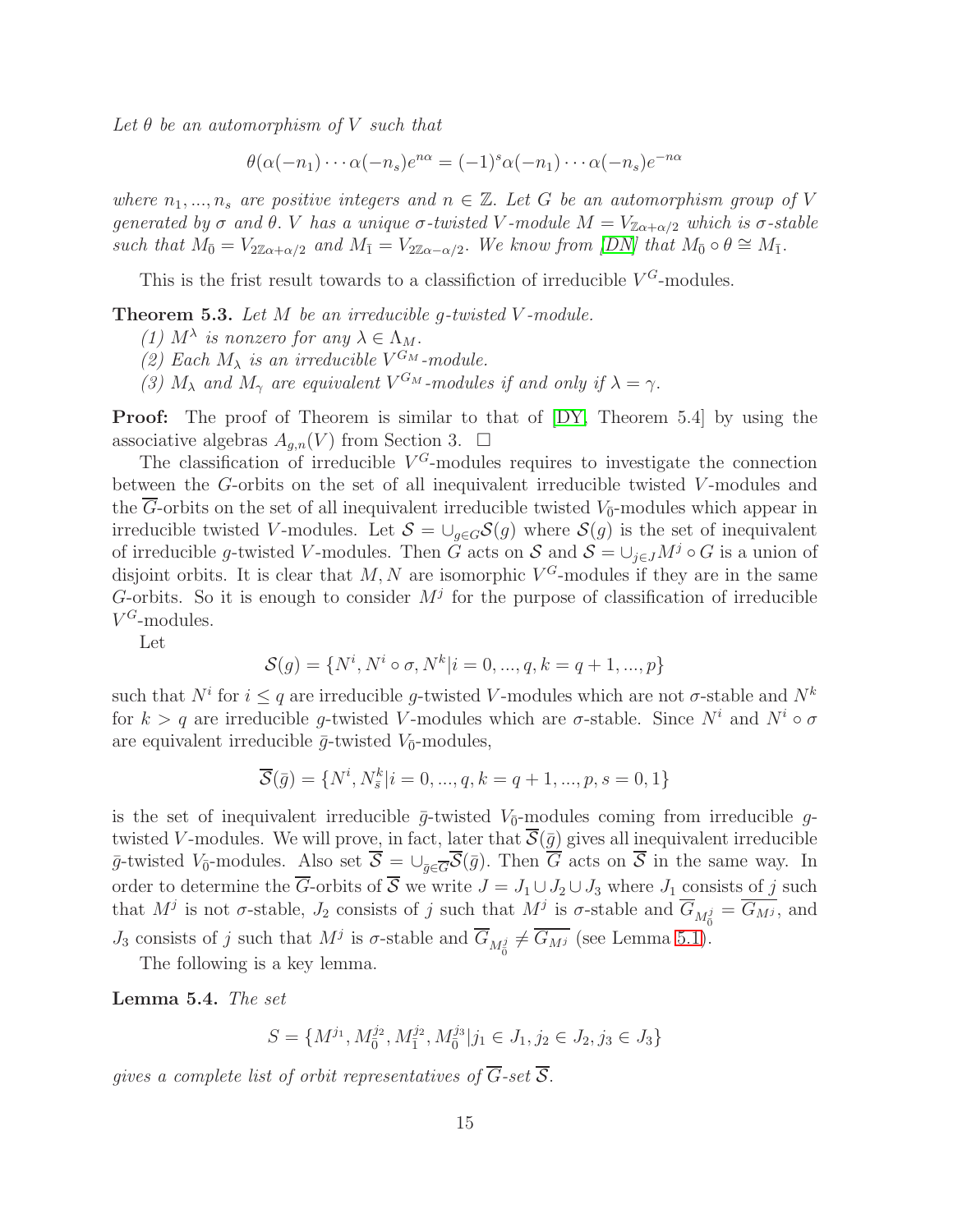Let  $\theta$  be an automorphism of V such that

$$
\theta(\alpha(-n_1)\cdots\alpha(-n_s)e^{n\alpha}=(-1)^s\alpha(-n_1)\cdots\alpha(-n_s)e^{-n\alpha}
$$

where  $n_1, ..., n_s$  are positive integers and  $n \in \mathbb{Z}$ . Let G be an automorphism group of V generated by  $\sigma$  and  $\theta$ . V has a unique  $\sigma$ -twisted V-module  $M = V_{\mathbb{Z}_{\alpha+\alpha/2}}$  which is  $\sigma$ -stable such that  $M_{\bar{0}} = V_{2\mathbb{Z}\alpha + \alpha/2}$  and  $M_{\bar{1}} = V_{2\mathbb{Z}\alpha - \alpha/2}$ . We know from [\[DN\]](#page-30-13) that  $M_{\bar{0}} \circ \theta \cong M_{\bar{1}}$ .

This is the frist result towards to a classifiction of irreducible  $V^G$ -modules.

<span id="page-14-0"></span>**Theorem 5.3.** Let  $M$  be an irreducible g-twisted  $V$ -module.

- (1)  $M^{\lambda}$  is nonzero for any  $\lambda \in \Lambda_M$ .
- (2) Each  $M_{\lambda}$  is an irreducible  $V^{G_M}$ -module.
- (3)  $M_{\lambda}$  and  $M_{\gamma}$  are equivalent  $V^{G_M}$ -modules if and only if  $\lambda = \gamma$ .

Proof: The proof of Theorem is similar to that of [\[DY,](#page-31-1) Theorem 5.4] by using the associative algebras  $A_{q,n}(V)$  from Section 3.  $\Box$ 

The classification of irreducible  $V^G$ -modules requires to investigate the connection between the G-orbits on the set of all inequivalent irreducible twisted V-modules and the G-orbits on the set of all inequivalent irreducible twisted  $V_{\bar{0}}$ -modules which appear in irreducible twisted V-modules. Let  $S = \bigcup_{g \in G} S(g)$  where  $S(g)$  is the set of inequivalent of irreducible g-twisted V-modules. Then G acts on S and  $S = \bigcup_{i \in J} M^j \circ G$  is a union of disjoint orbits. It is clear that  $M, N$  are isomorphic  $V^G$ -modules if they are in the same G-orbits. So it is enough to consider  $M^j$  for the purpose of classification of irreducible  $V^G$ -modules.

Let

$$
\mathcal{S}(g) = \{N^i, N^i \circ \sigma, N^k | i = 0, ..., q, k = q + 1, ..., p\}
$$

such that  $N^i$  for  $i \leq q$  are irreducible g-twisted V-modules which are not  $\sigma$ -stable and  $N^k$ for  $k > q$  are irreducible g-twisted V-modules which are  $\sigma$ -stable. Since  $N^i$  and  $N^i \circ \sigma$ are equivalent irreducible  $\bar{g}$ -twisted  $V_{\bar{0}}$ -modules,

$$
\overline{S}(\overline{g}) = \{N^i, N^k_{\overline{s}} | i = 0, ..., q, k = q + 1, ..., p, s = 0, 1\}
$$

is the set of inequivalent irreducible  $\bar{g}$ -twisted  $V_{\bar{0}}$ -modules coming from irreducible gtwisted V-modules. We will prove, in fact, later that  $\overline{S}(\overline{g})$  gives all inequivalent irreducible  $\bar{g}$ -twisted V<sub>0</sub>-modules. Also set  $\mathcal{S} = \cup_{\bar{g} \in \overline{G}} \mathcal{S}(\bar{g})$ . Then G acts on S in the same way. In order to determine the  $\overline{G}$ -orbits of  $\overline{S}$  we write  $J = J_1 \cup J_2 \cup J_3$  where  $J_1$  consists of j such that  $M^j$  is not  $\sigma$ -stable,  $J_2$  consists of j such that  $M^j$  is  $\sigma$ -stable and  $\overline{G}_{M_0^j} = \overline{G_{M^j}}$ , and  $J_3$  consists of j such that  $M^j$  is  $\sigma$ -stable and  $\overline{G}_{M_0^j} \neq \overline{G_{M^j}}$  (see Lemma [5.1\)](#page-12-0).

The following is a key lemma.

<span id="page-14-1"></span>Lemma 5.4. The set

$$
S = \{M^{j_1}, M_{\bar{0}}^{j_2}, M_{\bar{1}}^{j_2}, M_{\bar{0}}^{j_3} | j_1 \in J_1, j_2 \in J_2, j_3 \in J_3\}
$$

gives a complete list of orbit representatives of  $\overline{G}$ -set  $\overline{S}$ .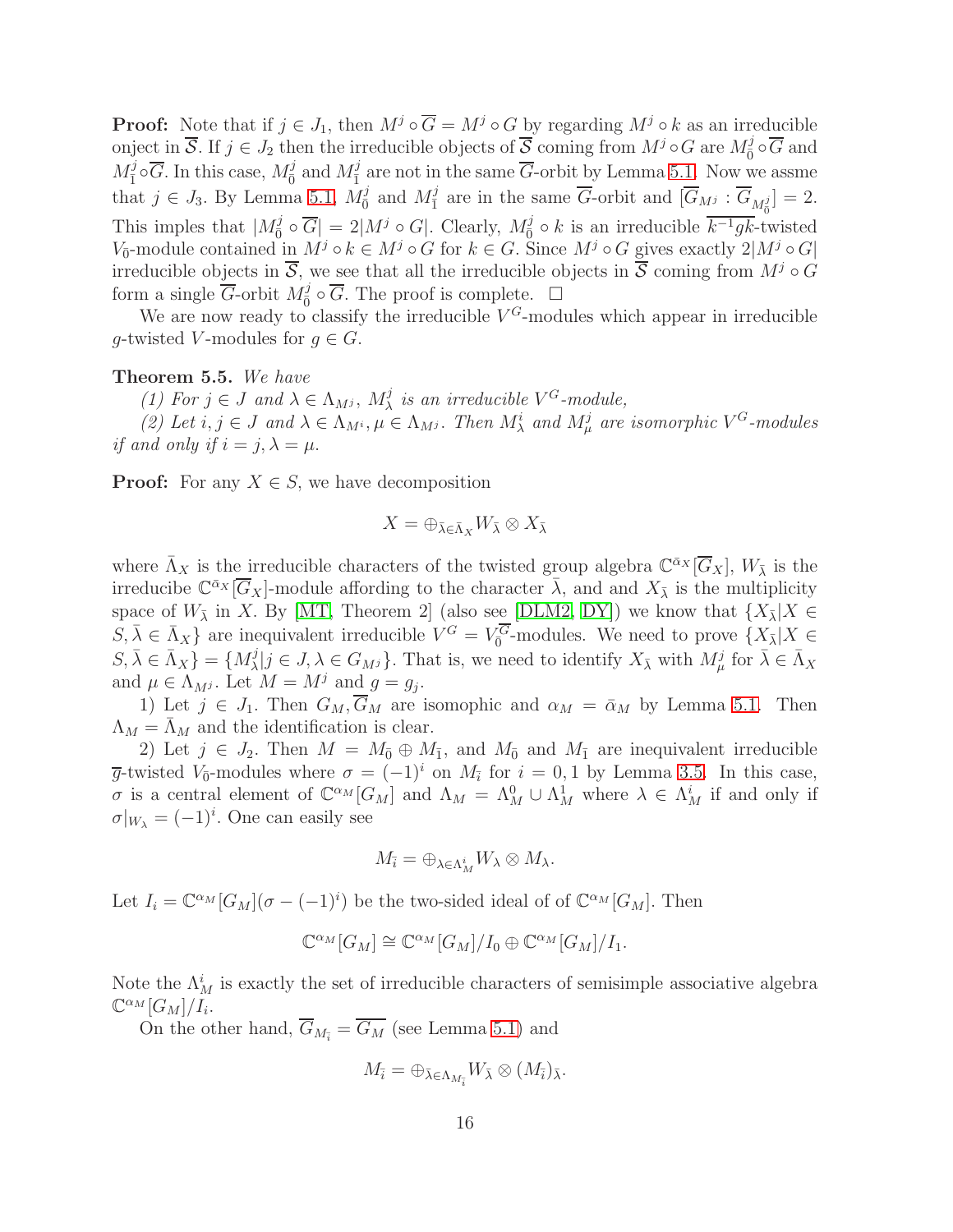**Proof:** Note that if  $j \in J_1$ , then  $M^j \circ \overline{G} = M^j \circ G$  by regarding  $M^j \circ k$  as an irreducible onject in  $\overline{S}$ . If  $j \in J_2$  then the irreducible objects of  $\overline{S}$  coming from  $M^j \circ G$  are  $M^j_{\overline{0}} \circ \overline{G}$  and  $M_{\bar{1}}^{j} \circ \overline{G}$ . In this case,  $M_{\bar{0}}^{j}$  and  $M_{\bar{1}}^{j}$  are not in the same  $\overline{G}$ -orbit by Lemma [5.1.](#page-12-0) Now we assme that  $j \in J_3$ . By Lemma [5.1,](#page-12-0)  $M_0^j$  and  $M_1^j$  are in the same  $\overline{G}$ -orbit and  $[\overline{G}_{Mj} : \overline{G}_{M_0^j}] = 2$ . This imples that  $|M_0^j \circ \overline{G}| = 2|M^j \circ G|$ . Clearly,  $M_0^j \circ k$  is an irreducible  $\overline{k^{-1}gk}$ -twisted V<sub>0</sub>-module contained in  $M^j \circ k \in M^j \circ G$  for  $k \in G$ . Since  $M^j \circ G$  gives exactly  $2|M^j \circ G|$ irreducible objects in  $\overline{S}$ , we see that all the irreducible objects in  $\overline{S}$  coming from  $M^j \circ G$ form a single  $\overline{G}$ -orbit  $M_{\overline{0}}^j$  $\overline{0}$   $\circ$   $\overline{G}$ . The proof is complete.  $\Box$ 

We are now ready to classify the irreducible  $V^G$ -modules which appear in irreducible g-twisted V-modules for  $g \in G$ .

#### <span id="page-15-0"></span>Theorem 5.5. We have

(1) For  $j \in J$  and  $\lambda \in \Lambda_{M^j}$ ,  $M^j_\lambda$  is an irreducible  $V^G$ -module,

(2) Let  $i, j \in J$  and  $\lambda \in \Lambda_{M^i}, \mu \in \Lambda_{M^j}$ . Then  $M^i_\lambda$  and  $M^j_\mu$  are isomorphic  $V^G$ -modules if and only if  $i = j, \lambda = \mu$ .

**Proof:** For any  $X \in S$ , we have decomposition

$$
X=\oplus_{\bar{\lambda}\in\bar{\Lambda}_X}W_{\bar{\lambda}}\otimes X_{\bar{\lambda}}
$$

where  $\bar{\Lambda}_X$  is the irreducible characters of the twisted group algebra  $\mathbb{C}^{\bar{\alpha}_X}[\overline{G}_X]$ ,  $W_{\bar{\lambda}}$  is the irreducibe  $\mathbb{C}^{\bar{\alpha}_X}[\overline{G}_X]$ -module affording to the character  $\bar{\lambda}$ , and and  $X_{\bar{\lambda}}$  is the multiplicity space of  $W_{\bar{\lambda}}$  in X. By [\[MT,](#page-32-0) Theorem 2] (also see [\[DLM2,](#page-30-9) [DY\]](#page-31-1)) we know that  $\{X_{\bar{\lambda}}|X \in$  $S, \overline{\lambda} \in \overline{\Lambda}_X$  are inequivalent irreducible  $V^G = V_0^{\overline{G}}$ -modules. We need to prove  $\{X_{\overline{\lambda}} | X \in$  $S, \bar{\lambda} \in \bar{\Lambda}_X$  = { $M^j_{\lambda}$  $\{j \mid j \in J, \lambda \in G_{M} \}$ . That is, we need to identify  $X_{\bar{\lambda}}$  with  $M^j_\mu$  for  $\bar{\lambda} \in \bar{\Lambda}_X$ and  $\mu \in \Lambda_{M^j}$ . Let  $M = M^j$  and  $g = g_j$ .

1) Let  $j \in J_1$ . Then  $G_M, \overline{G}_M$  are isomophic and  $\alpha_M = \overline{\alpha}_M$  by Lemma [5.1.](#page-12-0) Then  $\Lambda_M = \Lambda_M$  and the identification is clear.

2) Let  $j \in J_2$ . Then  $M = M_{\bar{0}} \oplus M_{\bar{1}}$ , and  $M_{\bar{0}}$  and  $M_{\bar{1}}$  are inequivalent irreducible  $\overline{g}$ -twisted  $V_{\overline{0}}$ -modules where  $\sigma = (-1)^i$  on  $M_{\overline{i}}$  for  $i = 0, 1$  by Lemma [3.5.](#page-8-0) In this case, σ is a central element of  $\mathbb{C}^{\alpha_M}[G_M]$  and  $\Lambda_M = \Lambda_M^0 \cup \Lambda_M^1$  where  $\lambda \in \Lambda_M^i$  if and only if  $\sigma|_{W_{\lambda}} = (-1)^{i}$ . One can easily see

$$
M_{\overline{i}} = \oplus_{\lambda \in \Lambda_M^i} W_{\lambda} \otimes M_{\lambda}.
$$

Let  $I_i = \mathbb{C}^{\alpha_M}[G_M](\sigma - (-1)^i)$  be the two-sided ideal of of  $\mathbb{C}^{\alpha_M}[G_M]$ . Then

$$
\mathbb{C}^{\alpha_M}[G_M] \cong \mathbb{C}^{\alpha_M}[G_M]/I_0 \oplus \mathbb{C}^{\alpha_M}[G_M]/I_1.
$$

Note the  $\Lambda_M^i$  is exactly the set of irreducible characters of semisimple associative algebra  $\mathbb{C}^{\alpha_M}[G_M]/I_i$ .

On the other hand,  $\overline{G}_{M_{\overline{i}}} = \overline{G_M}$  (see Lemma [5.1\)](#page-12-0) and

$$
M_{\bar{i}} = \bigoplus_{\bar{\lambda} \in \Lambda_{M_{\bar{i}}}} W_{\bar{\lambda}} \otimes (M_{\bar{i}})_{\bar{\lambda}}.
$$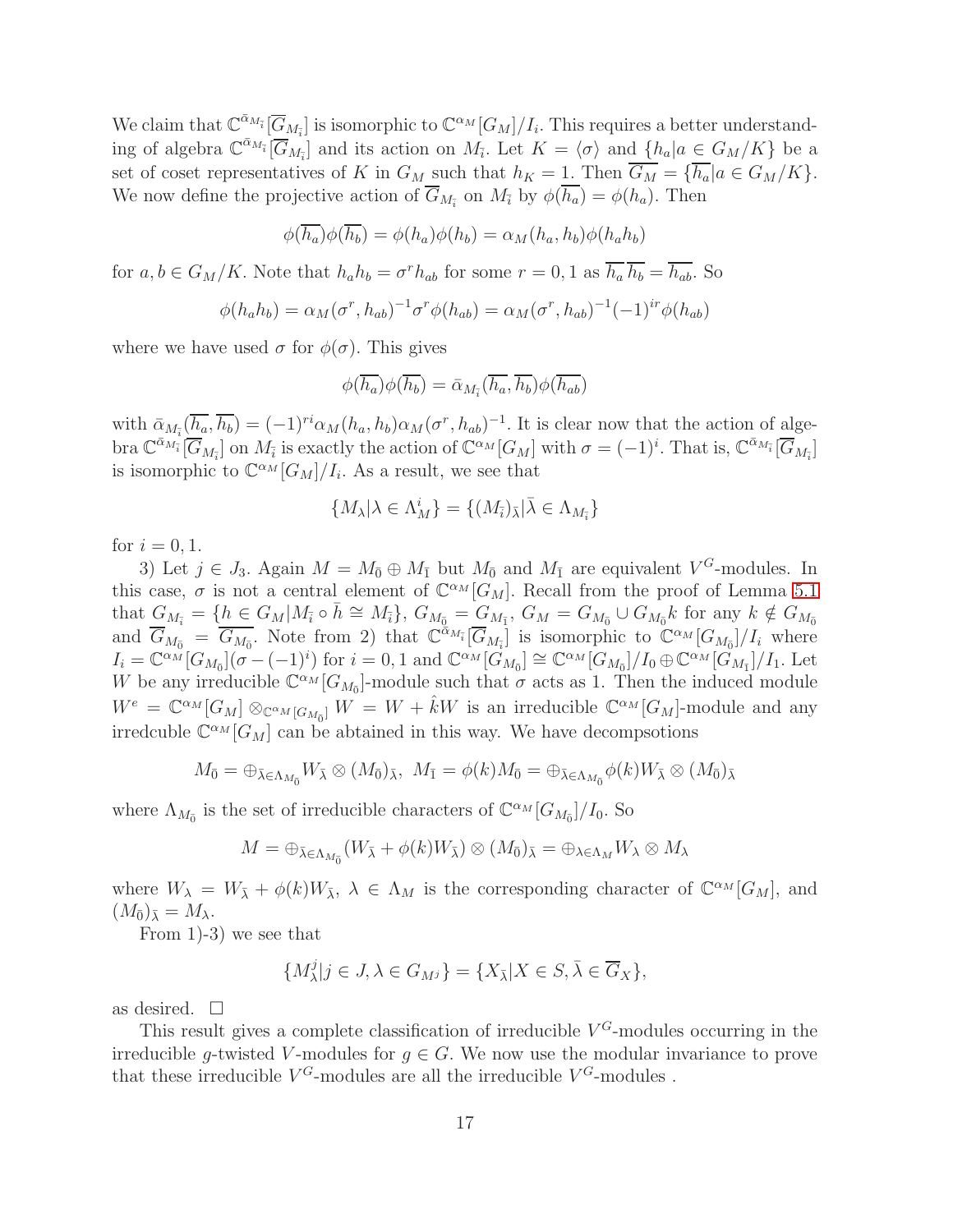We claim that  $\mathbb{C}^{\bar{\alpha}_{M_{\bar{i}}}}[\overline{G}_{M_{\bar{i}}}]$  is isomorphic to  $\mathbb{C}^{\alpha_M}[G_M]/I_i$ . This requires a better understanding of algebra  $\mathbb{C}^{\bar{\alpha}_{M_{\bar{i}}}}[\overline{G}_{M_{\bar{i}}}]$  and its action on  $M_{\bar{i}}$ . Let  $K = \langle \sigma \rangle$  and  $\{h_a | a \in G_M/K\}$  be a set of coset representatives of K in  $G_M$  such that  $h_K = 1$ . Then  $\overline{G_M} = \{\overline{h_a} | a \in G_M/K\}.$ We now define the projective action of  $G_{M_{\tilde{i}}}$  on  $M_{\tilde{i}}$  by  $\phi(h_a) = \phi(h_a)$ . Then

$$
\phi(\overline{h_a})\phi(\overline{h_b}) = \phi(h_a)\phi(h_b) = \alpha_M(h_a, h_b)\phi(h_a h_b)
$$

for  $a, b \in G_M/K$ . Note that  $h_a h_b = \sigma^r h_{ab}$  for some  $r = 0, 1$  as  $\overline{h_a} \overline{h_b} = \overline{h_{ab}}$ . So

$$
\phi(h_a h_b) = \alpha_M(\sigma^r, h_{ab})^{-1} \sigma^r \phi(h_{ab}) = \alpha_M(\sigma^r, h_{ab})^{-1} (-1)^{ir} \phi(h_{ab})
$$

where we have used  $\sigma$  for  $\phi(\sigma)$ . This gives

$$
\phi(\overline{h_a})\phi(\overline{h_b}) = \overline{\alpha}_{M_{\overline{i}}}(\overline{h_a}, \overline{h_b})\phi(\overline{h_{ab}})
$$

with  $\bar{\alpha}_{M_{\bar{i}}}(\overline{h_a}, \overline{h_b}) = (-1)^{ri} \alpha_M(h_a, h_b) \alpha_M(\sigma^r, h_{ab})^{-1}$ . It is clear now that the action of algebra  $\mathbb{C}^{\bar{\alpha}_{M_{\bar{i}}}}[\overline{G}_{M_{\bar{i}}}]$  on  $M_{\bar{i}}$  is exactly the action of  $\mathbb{C}^{\alpha_{M}}[G_{M}]$  with  $\sigma=(-1)^{i}$ . That is,  $\mathbb{C}^{\bar{\alpha}_{M_{\bar{i}}}}[\overline{G}_{M_{\bar{i}}}]$ is isomorphic to  $\mathbb{C}^{\alpha_M}[G_M]/I_i$ . As a result, we see that

$$
\{M_{\boldsymbol{\lambda}} | \boldsymbol{\lambda} \in \Lambda_M^i\} = \{(M_{\overline{i}})_{\bar{\boldsymbol{\lambda}}} | \bar{\boldsymbol{\lambda}} \in \Lambda_{M_{\overline{i}}} \}
$$

for  $i = 0, 1$ .

3) Let  $j \in J_3$ . Again  $M = M_{\bar{0}} \oplus M_{\bar{1}}$  but  $M_{\bar{0}}$  and  $M_{\bar{1}}$  are equivalent  $V^G$ -modules. In this case,  $\sigma$  is not a central element of  $\mathbb{C}^{\alpha_M}[G_M]$ . Recall from the proof of Lemma [5.1](#page-12-0) that  $G_{M_{\bar{i}}} = \{ h \in G_M | M_{\bar{i}} \circ \bar{h} \cong M_{\bar{i}} \}, G_{M_{\bar{0}}} = G_{M_{\bar{1}}}$ ,  $G_M = G_{M_{\bar{0}}} \cup G_{M_{\bar{0}}} k$  for any  $k \notin G_{M_{\bar{0}}}$ and  $\overline{G}_{M_{\overline{0}}} = \overline{G_{M_{\overline{0}}}}$ . Note from 2) that  $\mathbb{C}^{\alpha_{M_{\overline{i}}}}[\overline{G}_{M_{\overline{i}}}]$  is isomorphic to  $\mathbb{C}^{\alpha_{M}}[G_{M_{\overline{0}}}]/I_{i}$  where  $I_i = \mathbb{C}^{\alpha}{}^{M} [G_{M_{\bar{0}}}] (\sigma - (-1)^i)$  for  $i = 0, 1$  and  $\mathbb{C}^{\alpha}{}^{M} [G_{M_{\bar{0}}}] \cong \mathbb{C}^{\alpha}{}^{M} [G_{M_{\bar{0}}}] / I_0 \oplus \mathbb{C}^{\alpha}{}^{M} [G_{M_{\bar{1}}}] / I_1$ . Let W be any irreducible  $\mathbb{C}^{\alpha_M}[G_{M_{\bar{0}}}]$ -module such that  $\sigma$  acts as 1. Then the induced module  $W^e = \mathbb{C}^{\alpha_M} [G_M] \otimes_{\mathbb{C}^{\alpha_M} [G_{M_0}]} W = W + \hat{k}W$  is an irreducible  $\mathbb{C}^{\alpha_M} [G_M]$ -module and any irredcuble  $\mathbb{C}^{\alpha_M}[G_M]$  can be abtained in this way. We have decompsotions

$$
M_{\bar{0}} = \bigoplus_{\bar{\lambda} \in \Lambda_{M_{\bar{0}}}} W_{\bar{\lambda}} \otimes (M_{\bar{0}})_{\bar{\lambda}}, \ M_{\bar{1}} = \phi(k)M_{\bar{0}} = \bigoplus_{\bar{\lambda} \in \Lambda_{M_{\bar{0}}}} \phi(k)W_{\bar{\lambda}} \otimes (M_{\bar{0}})_{\bar{\lambda}}
$$

where  $\Lambda_{M_{\bar{0}}}$  is the set of irreducible characters of  $\mathbb{C}^{\alpha}M[G_{M_{\bar{0}}}]/I_0$ . So

$$
M = \bigoplus_{\bar{\lambda} \in \Lambda_{M_{\bar{0}}}} (W_{\bar{\lambda}} + \phi(k)W_{\bar{\lambda}}) \otimes (M_{\bar{0}})_{\bar{\lambda}} = \bigoplus_{\lambda \in \Lambda_M} W_{\lambda} \otimes M_{\lambda}
$$

where  $W_{\lambda} = W_{\overline{\lambda}} + \phi(k)W_{\overline{\lambda}}, \ \lambda \in \Lambda_M$  is the corresponding character of  $\mathbb{C}^{\alpha_M}[G_M]$ , and  $(M_{\bar{0}})_{\bar{\lambda}} = M_{\lambda}.$ 

From 1)-3) we see that

$$
\{M_{\lambda}^{j}|j\in J, \lambda\in G_{M^{j}}\} = \{X_{\bar{\lambda}}|X\in S, \bar{\lambda}\in \overline{G}_{X}\},\
$$

as desired.  $\square$ 

This result gives a complete classification of irreducible  $V^G$ -modules occurring in the irreducible g-twisted V-modules for  $g \in G$ . We now use the modular invariance to prove that these irreducible  $V^G$ -modules are all the irreducible  $V^G$ -modules.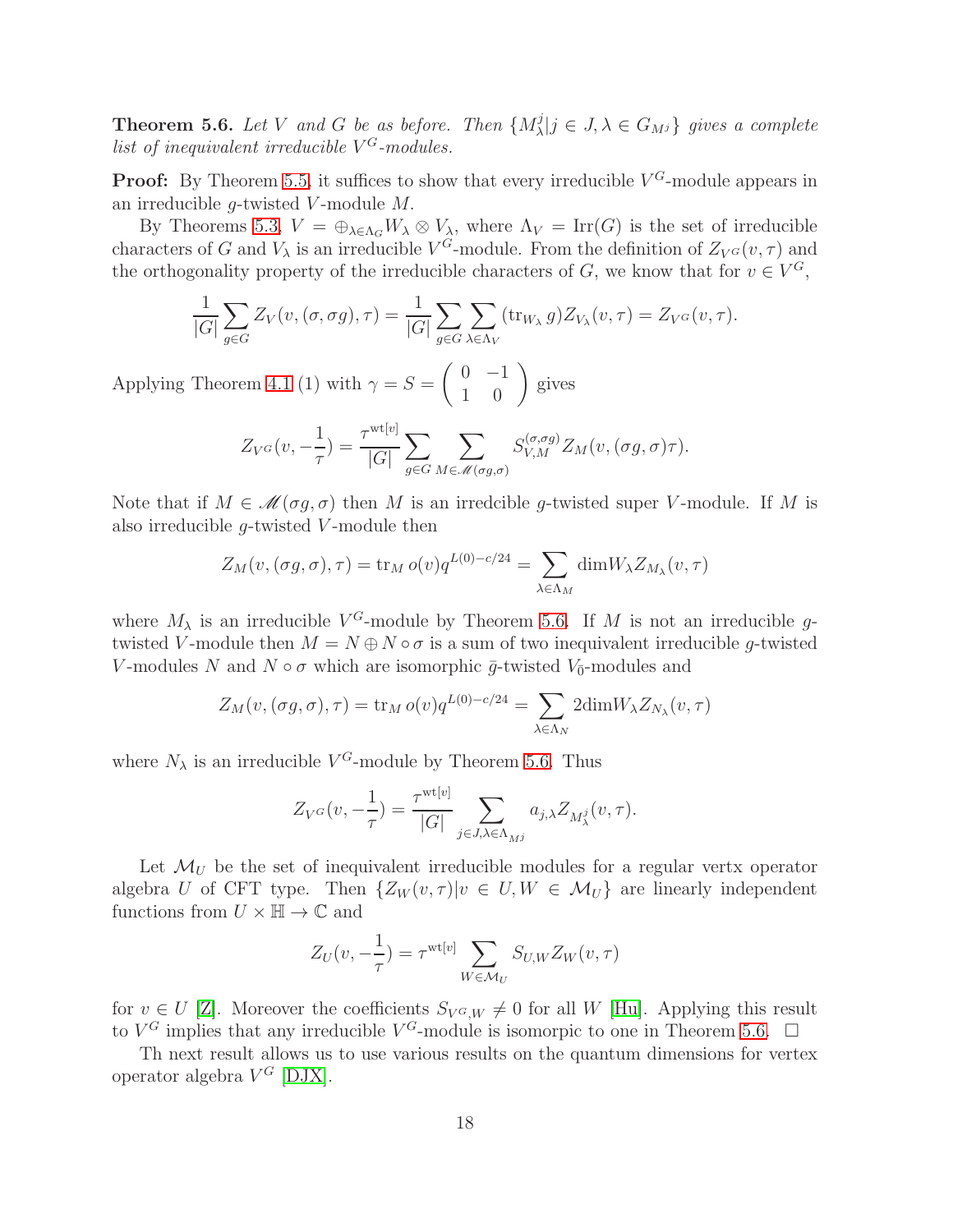<span id="page-17-0"></span>**Theorem 5.6.** Let V and G be as before. Then  $\{M_{\lambda}^{j}$  $\{G_{\lambda}|j\in J, \lambda\in G_{M^{j}}\}$  gives a complete list of inequivalent irreducible  $V^G$ -modules.

**Proof:** By Theorem [5.5,](#page-15-0) it suffices to show that every irreducible  $V^G$ -module appears in an irreducible  $q$ -twisted V-module  $M$ .

By Theorems [5.3,](#page-14-0)  $V = \bigoplus_{\lambda \in \Lambda_G} W_{\lambda} \otimes V_{\lambda}$ , where  $\Lambda_V = \text{Irr}(G)$  is the set of irreducible characters of G and  $V_{\lambda}$  is an irreducible  $V^G$ -module. From the definition of  $Z_{V^G}(v, \tau)$  and the orthogonality property of the irreducible characters of  $G$ , we know that for  $v \in V^G$ ,

$$
\frac{1}{|G|} \sum_{g \in G} Z_V(v, (\sigma, \sigma g), \tau) = \frac{1}{|G|} \sum_{g \in G} \sum_{\lambda \in \Lambda_V} (\text{tr}_{W_{\lambda}} g) Z_{V_{\lambda}}(v, \tau) = Z_{V^G}(v, \tau).
$$

Applying Theorem [4.1](#page-10-0) (1) with  $\gamma = S =$  $\left(\begin{array}{cc} 0 & -1 \\ 1 & 0 \end{array}\right)$  gives

$$
Z_{V^G}(v, -\frac{1}{\tau}) = \frac{\tau^{\text{wt}[v]}}{|G|} \sum_{g \in G} \sum_{M \in \mathcal{M}(\sigma g, \sigma)} S_{V,M}^{(\sigma, \sigma g)} Z_M(v, (\sigma g, \sigma) \tau).
$$

Note that if  $M \in \mathcal{M}(\sigma g, \sigma)$  then M is an irredcible g-twisted super V-module. If M is also irreducible  $g$ -twisted V-module then

$$
Z_M(v, (\sigma g, \sigma), \tau) = \operatorname{tr}_M o(v) q^{L(0) - c/24} = \sum_{\lambda \in \Lambda_M} \dim W_{\lambda} Z_{M_{\lambda}}(v, \tau)
$$

where  $M_{\lambda}$  is an irreducible  $V^G$ -module by Theorem [5.6.](#page-17-0) If M is not an irreducible gtwisted V-module then  $M = N \oplus N \circ \sigma$  is a sum of two inequivalent irreducible g-twisted V-modules N and  $N \circ \sigma$  which are isomorphic  $\bar{g}$ -twisted  $V_{\bar{0}}$ -modules and

$$
Z_M(v, (\sigma g, \sigma), \tau) = \operatorname{tr}_M o(v) q^{L(0) - c/24} = \sum_{\lambda \in \Lambda_N} 2 \operatorname{dim} W_{\lambda} Z_{N_{\lambda}}(v, \tau)
$$

where  $N_{\lambda}$  is an irreducible  $V^G$ -module by Theorem [5.6.](#page-17-0) Thus

$$
Z_{V^G}(v, -\frac{1}{\tau}) = \frac{\tau^{\text{wt}[v]}}{|G|} \sum_{j \in J, \lambda \in \Lambda_{M^j}} a_{j,\lambda} Z_{M^j_{\lambda}}(v, \tau).
$$

Let  $\mathcal{M}_U$  be the set of inequivalent irreducible modules for a regular verty operator algebra U of CFT type. Then  $\{Z_W(v, \tau) | v \in U, W \in \mathcal{M}_U \}$  are linearly independent functions from  $U \times \mathbb{H} \to \mathbb{C}$  and

$$
Z_U(v, -\frac{1}{\tau}) = \tau^{\text{wt}[v]} \sum_{W \in \mathcal{M}_U} S_{U,W} Z_W(v, \tau)
$$

for  $v \in U$  [\[Z\]](#page-32-1). Moreover the coefficients  $S_{V^G,W} \neq 0$  for all W [\[Hu\]](#page-31-4). Applying this result to  $V^G$  implies that any irreducible  $V^G$ -module is isomorpic to one in Theorem [5.6.](#page-17-0)  $\Box$ 

Th next result allows us to use various results on the quantum dimensions for vertex operator algebra  $V^G$  [\[DJX\]](#page-30-4).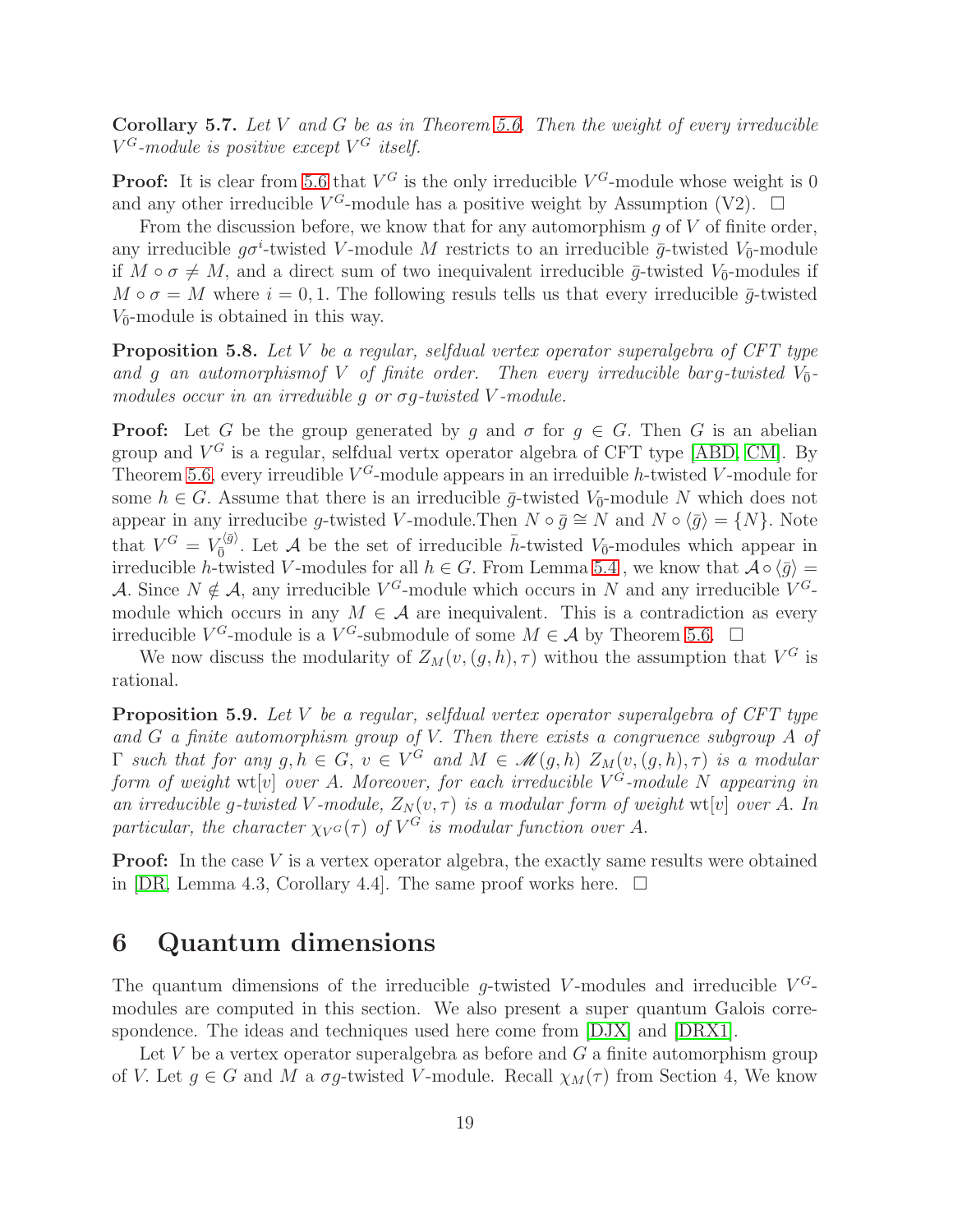**Corollary 5.7.** Let V and G be as in Theorem [5.6.](#page-17-0) Then the weight of every irreducible  $V^G$ -module is positive except  $V^G$  itself.

**Proof:** It is clear from [5.6](#page-17-0) that  $V^G$  is the only irreducible  $V^G$ -module whose weight is 0 and any other irreducible  $V^G$ -module has a positive weight by Assumption (V2).  $\Box$ 

From the discussion before, we know that for any automorphism  $q$  of  $V$  of finite order, any irreducible  $g\sigma^i$ -twisted V-module M restricts to an irreducible  $\bar{g}$ -twisted V<sub>0</sub>-module if  $M \circ \sigma \neq M$ , and a direct sum of two inequivalent irreducible  $\bar{g}$ -twisted  $V_{\bar{0}}$ -modules if  $M \circ \sigma = M$  where  $i = 0, 1$ . The following resuls tells us that every irreducible  $\bar{g}$ -twisted  $V_{\bar{0}}$ -module is obtained in this way.

Proposition 5.8. Let V be a regular, selfdual vertex operator superalgebra of CFT type and g an automorphismof V of finite order. Then every irreducible barg-twisted  $V_{\bar{0}}$ modules occur in an irreduible q or  $\sigma q$ -twisted V-module.

**Proof:** Let G be the group generated by q and  $\sigma$  for  $q \in G$ . Then G is an abelian group and  $V^G$  is a regular, selfdual vertx operator algebra of CFT type [\[ABD,](#page-29-3) [CM\]](#page-29-0). By Theorem [5.6,](#page-17-0) every irreudible  $V^G$ -module appears in an irreduible h-twisted V-module for some  $h \in G$ . Assume that there is an irreducible  $\bar{g}$ -twisted  $V_{\bar{0}}$ -module N which does not appear in any irreducibe g-twisted V-module. Then  $N \circ \bar{g} \cong N$  and  $N \circ \langle \bar{g} \rangle = \{N\}$ . Note that  $V^G = V_{\bar{0}}^{(\bar{g})}$ . Let A be the set of irreducible  $\bar{h}$ -twisted  $V_{\bar{0}}$ -modules which appear in irreducible h-twisted V-modules for all  $h \in G$ . From Lemma [5.4](#page-14-1), we know that  $\mathcal{A} \circ \langle \bar{g} \rangle =$ A. Since  $N \notin \mathcal{A}$ , any irreducible  $V^G$ -module which occurs in N and any irreducible  $V^G$ module which occurs in any  $M \in \mathcal{A}$  are inequivalent. This is a contradiction as every irreducible  $V^G$ -module is a  $V^G$ -submodule of some  $M \in \mathcal{A}$  by Theorem [5.6.](#page-17-0)  $\Box$ 

We now discuss the modularity of  $Z_M(v,(g,h),\tau)$  withou the assumption that  $V^G$  is rational.

**Proposition 5.9.** Let V be a regular, selfdual vertex operator superalgebra of CFT type and  $G$  a finite automorphism group of  $V$ . Then there exists a congruence subgroup  $A$  of  $\Gamma$  such that for any  $g, h \in G$ ,  $v \in V^G$  and  $M \in \mathcal{M}(g,h)$   $Z_M(v,(g,h),\tau)$  is a modular form of weight wt $[v]$  over A. Moreover, for each irreducible  $V^G$ -module N appearing in an irreducible g-twisted V-module,  $Z_N(v, \tau)$  is a modular form of weight wt[v] over A. In particular, the character  $\chi_{V}(\tau)$  of  $V^G$  is modular function over A.

**Proof:** In the case  $V$  is a vertex operator algebra, the exactly same results were obtained in  $[DR, Lemma 4.3, Corollary 4.4]$ . The same proof works here.  $\Box$ 

### 6 Quantum dimensions

The quantum dimensions of the irreducible g-twisted V-modules and irreducible  $V^G$ modules are computed in this section. We also present a super quantum Galois correspondence. The ideas and techniques used here come from [\[DJX\]](#page-30-4) and [\[DRX1\]](#page-31-2).

Let  $V$  be a vertex operator superalgebra as before and  $G$  a finite automorphism group of V. Let  $g \in G$  and M a  $\sigma g$ -twisted V-module. Recall  $\chi_M(\tau)$  from Section 4, We know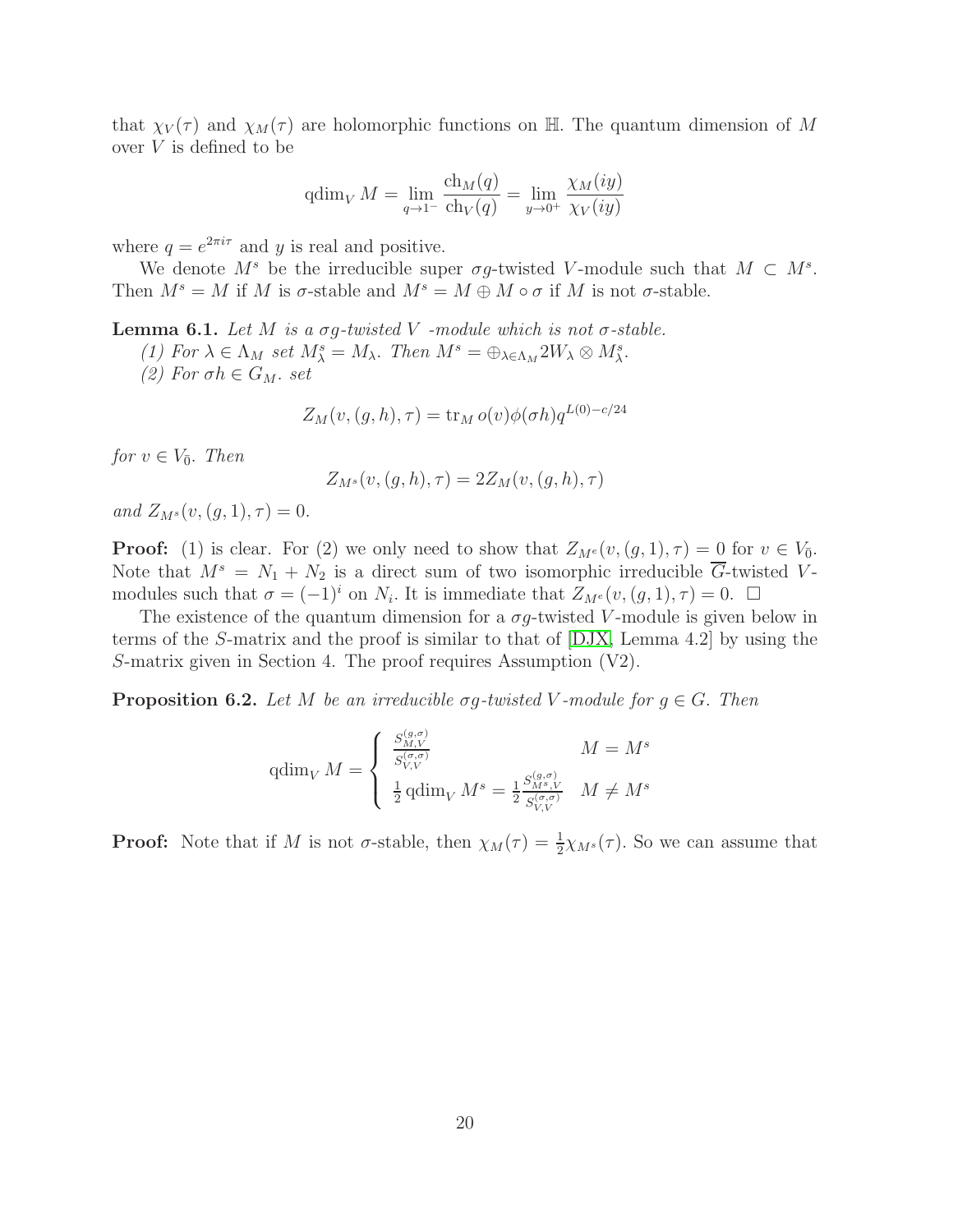that  $\chi_V(\tau)$  and  $\chi_M(\tau)$  are holomorphic functions on H. The quantum dimension of M over V is defined to be

$$
\operatorname{qdim}_{V} M = \lim_{q \to 1^{-}} \frac{\operatorname{ch}_{M}(q)}{\operatorname{ch}_{V}(q)} = \lim_{y \to 0^{+}} \frac{\chi_{M}(iy)}{\chi_{V}(iy)}
$$

where  $q = e^{2\pi i \tau}$  and y is real and positive.

We denote  $M^s$  be the irreducible super  $\sigma g$ -twisted V-module such that  $M \subset M^s$ . Then  $M^s = M$  if M is  $\sigma$ -stable and  $M^s = M \oplus M \circ \sigma$  if M is not  $\sigma$ -stable.

<span id="page-19-1"></span>**Lemma 6.1.** Let M is a  $\sigma q$ -twisted V -module which is not  $\sigma$ -stable.

(1) For  $\lambda \in \Lambda_M$  set  $M^s_{\lambda} = M_{\lambda}$ . Then  $M^s = \bigoplus_{\lambda \in \Lambda_M} 2W_{\lambda} \otimes M^s_{\lambda}$ .

(2) For  $\sigma h \in G_M$ . set

$$
Z_M(v,(g,h),\tau) = \operatorname{tr}_M o(v)\phi(\sigma h)q^{L(0)-c/24}
$$

for  $v \in V_{\bar{0}}$ . Then

$$
Z_{M^s}(v,(g,h),\tau) = 2Z_M(v,(g,h),\tau)
$$

and  $Z_{M^s}(v,(g,1),\tau) = 0.$ 

**Proof:** (1) is clear. For (2) we only need to show that  $Z_{M}e(v,(g,1),\tau) = 0$  for  $v \in V_0$ . Note that  $M^s = N_1 + N_2$  is a direct sum of two isomorphic irreducible  $\overline{G}$ -twisted Vmodules such that  $\sigma = (-1)^i$  on  $N_i$ . It is immediate that  $Z_{M}^e(v,(g,1),\tau) = 0$ .  $\Box$ 

The existence of the quantum dimension for a  $\sigma g$ -twisted V-module is given below in terms of the S-matrix and the proof is similar to that of [\[DJX,](#page-30-4) Lemma 4.2] by using the S-matrix given in Section 4. The proof requires Assumption (V2).

<span id="page-19-0"></span>**Proposition 6.2.** Let M be an irreducible  $\sigma g$ -twisted V-module for  $g \in G$ . Then

$$
\operatorname{qdim}_{V} M = \begin{cases} \frac{S_{M,V}^{(g,\sigma)}}{S_{V,V}^{(\sigma,\sigma)}} & M = M^s\\ \frac{1}{2} \operatorname{qdim}_{V} M^s = \frac{1}{2} \frac{S_{M^s,V}^{(g,\sigma)}}{S_{V,V}^{(\sigma,\sigma)}} & M \neq M^s \end{cases}
$$

**Proof:** Note that if M is not  $\sigma$ -stable, then  $\chi_M(\tau) = \frac{1}{2}\chi_{M^s}(\tau)$ . So we can assume that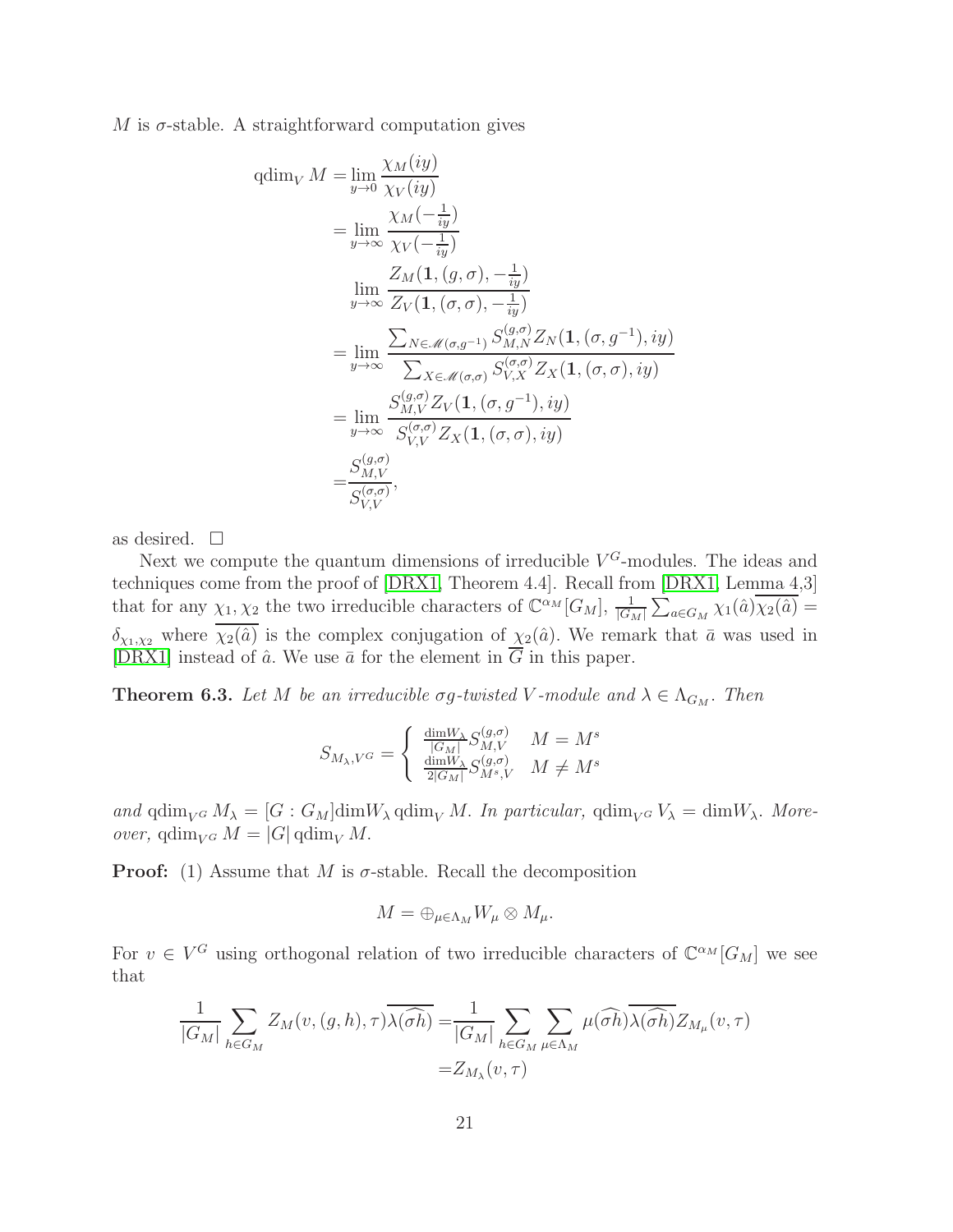M is  $\sigma$ -stable. A straightforward computation gives

qdim<sub>V</sub> 
$$
M = \lim_{y \to 0} \frac{\chi_M(iy)}{\chi_V(iy)}
$$
  
\n
$$
= \lim_{y \to \infty} \frac{\chi_M(-\frac{1}{iy})}{\chi_V(-\frac{1}{iy})}
$$
\n
$$
\lim_{y \to \infty} \frac{Z_M(1,(g,\sigma), -\frac{1}{iy})}{Z_V(1,(\sigma,\sigma), -\frac{1}{iy})}
$$
\n
$$
= \lim_{y \to \infty} \frac{\sum_{N \in \mathcal{M}(\sigma,g^{-1})} S_{M,N}^{(g,\sigma)} Z_N(1,(\sigma,g^{-1}), iy)}{\sum_{X \in \mathcal{M}(\sigma,\sigma)} S_{V,X}^{(\sigma,\sigma)} Z_X(1,(\sigma,\sigma), iy)}
$$
\n
$$
= \lim_{y \to \infty} \frac{S_{M,V}^{(g,\sigma)} Z_V(1,(\sigma,g^{-1}), iy)}{S_{V,V}^{(\sigma,\sigma)} Z_X(1,(\sigma,\sigma), iy)}
$$
\n
$$
= \frac{S_{M,V}^{(g,\sigma)}}{S_{V,V}^{(\sigma,\sigma)}},
$$

as desired.  $\square$ 

Next we compute the quantum dimensions of irreducible  $V^G$ -modules. The ideas and techniques come from the proof of [\[DRX1,](#page-31-2) Theorem 4.4]. Recall from [\[DRX1,](#page-31-2) Lemma 4,3] that for any  $\chi_1, \chi_2$  the two irreducible characters of  $\mathbb{C}^{\alpha_M}[G_M]$ ,  $\frac{1}{|G_M|}$  $\sum_{a \in G_M} \chi_1(\hat{a}) \overline{\chi_2(\hat{a})} =$  $\delta_{\chi_1,\chi_2}$  where  $\overline{\chi_2(\hat{a})}$  is the complex conjugation of  $\chi_2(\hat{a})$ . We remark that  $\bar{a}$  was used in [\[DRX1\]](#page-31-2) instead of  $\hat{a}$ . We use  $\bar{a}$  for the element in  $\overline{G}$  in this paper.

<span id="page-20-0"></span>**Theorem 6.3.** Let M be an irreducible  $\sigma g$ -twisted V-module and  $\lambda \in \Lambda_{G_M}$ . Then

$$
S_{M_{\lambda},V^G} = \begin{cases} \frac{\dim W_{\lambda}}{|G_M|} S_{M,V}^{(g,\sigma)} & M = M^s\\ \frac{\dim W_{\lambda}}{2|G_M|} S_{M^s,V}^{(g,\sigma)} & M \neq M^s \end{cases}
$$

and qdim<sub>V</sub><sub>G</sub>  $M_{\lambda} = [G : G_M]$ dim $W_{\lambda}$  qdim<sub>V</sub> $M$ . In particular, qdim<sub>V</sub><sub>G</sub>  $V_{\lambda} = \dim W_{\lambda}$ . Moreover, qdim<sub>V</sub> G  $M = |G|$  qdim<sub>V</sub> M.

**Proof:** (1) Assume that M is  $\sigma$ -stable. Recall the decomposition

$$
M=\oplus_{\mu\in\Lambda_M}W_\mu\otimes M_\mu.
$$

For  $v \in V^G$  using orthogonal relation of two irreducible characters of  $\mathbb{C}^{\alpha_M}[G_M]$  we see that

$$
\frac{1}{|G_M|} \sum_{h \in G_M} Z_M(v, (g, h), \tau) \overline{\lambda(\widehat{\sigma h})} = \frac{1}{|G_M|} \sum_{h \in G_M} \sum_{\mu \in \Lambda_M} \mu(\widehat{\sigma h}) \overline{\lambda(\widehat{\sigma h})} Z_{M_\mu}(v, \tau)
$$

$$
= Z_{M_\lambda}(v, \tau)
$$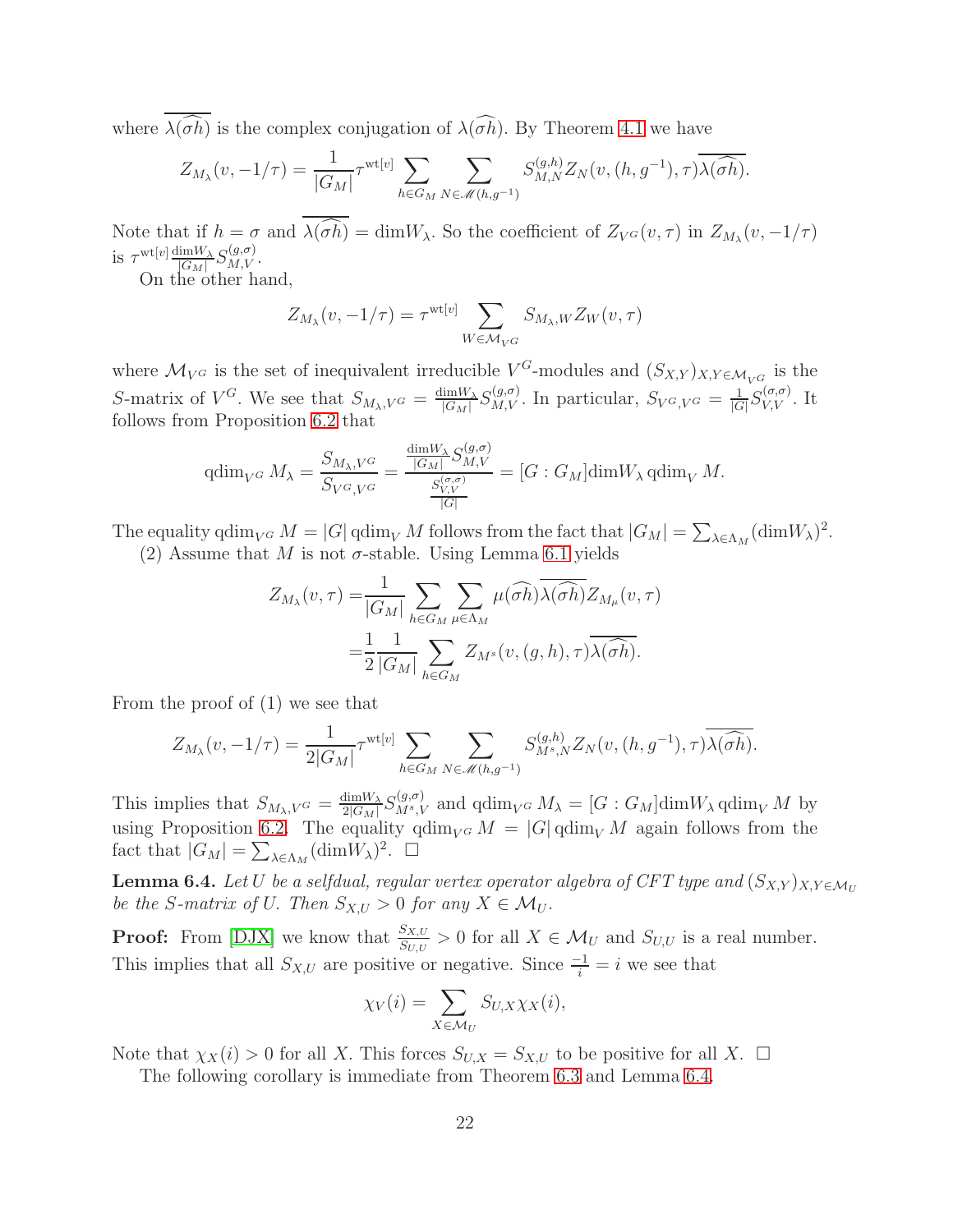where  $\lambda(\widehat{\sigma h})$  is the complex conjugation of  $\lambda(\widehat{\sigma h})$ . By Theorem [4.1](#page-10-0) we have

$$
Z_{M_{\lambda}}(v, -1/\tau) = \frac{1}{|G_M|} \tau^{\text{wt}[v]} \sum_{h \in G_M} \sum_{N \in \mathcal{M}(h,g^{-1})} S_{M,N}^{(g,h)} Z_N(v, (h,g^{-1}), \tau) \overline{\lambda(\widehat{\sigma h})}.
$$

Note that if  $h = \sigma$  and  $\lambda(\sigma h) = \dim W_\lambda$ . So the coefficient of  $Z_{V^G}(v, \tau)$  in  $Z_{M_\lambda}(v, -1/\tau)$ is  $\tau^{\text{wt}[v]} \frac{\text{dim} W_{\lambda}}{|G_{M}|}$  $\frac{\lim W_{\lambda}}{|G_M|} S_{M,V}^{(g,\sigma)}.$ 

On the other hand,

$$
Z_{M_{\lambda}}(v, -1/\tau) = \tau^{\text{wt}[v]} \sum_{W \in \mathcal{M}_{V}G} S_{M_{\lambda}, W} Z_W(v, \tau)
$$

where  $\mathcal{M}_{V^G}$  is the set of inequivalent irreducible  $V^G$ -modules and  $(S_{X,Y})_{X,Y \in \mathcal{M}_{V^G}}$  is the S-matrix of  $V^G$ . We see that  $S_{M_\lambda,V^G} = \frac{\dim W_\lambda}{|G_M|}$  $\frac{\dim W_{\lambda}}{|G_M|} S_{M,V}^{(g,\sigma)}$ . In particular,  $S_{V^G,V^G} = \frac{1}{|G|}$  $\frac{1}{|G|}S_{V,V}^{(\sigma,\sigma)}$ . It follows from Proposition [6.2](#page-19-0) that

$$
\operatorname{qdim}_{V^G} M_{\lambda} = \frac{S_{M_{\lambda}, V^G}}{S_{V^G, V^G}} = \frac{\frac{\operatorname{dim} W_{\lambda}}{|G_M|} S_{M, V}^{(g, \sigma)}}{\frac{S_{V, V}^{(\sigma, \sigma)}}{|G|}} = [G : G_M] \operatorname{dim} W_{\lambda} \operatorname{qdim}_V M.
$$

The equality  $\dim_{V^G} M = |G| \dim_{V} M$  follows from the fact that  $|G_M| = \sum_{\lambda \in \Lambda_M} (\dim W_\lambda)^2$ .

(2) Assume that M is not  $\sigma$ -stable. Using Lemma [6.1](#page-19-1) yields

$$
Z_{M_{\lambda}}(v,\tau) = \frac{1}{|G_M|} \sum_{h \in G_M} \sum_{\mu \in \Lambda_M} \mu(\widehat{\sigma h}) \overline{\lambda(\widehat{\sigma h})} Z_{M_{\mu}}(v,\tau)
$$

$$
= \frac{1}{2} \frac{1}{|G_M|} \sum_{h \in G_M} Z_{M^s}(v,(g,h),\tau) \overline{\lambda(\widehat{\sigma h})}.
$$

From the proof of (1) we see that

$$
Z_{M_{\lambda}}(v, -1/\tau) = \frac{1}{2|G_M|} \tau^{\text{wt}[v]} \sum_{h \in G_M} \sum_{N \in \mathcal{M}(h,g^{-1})} S_{M^s,N}^{(g,h)} Z_N(v, (h,g^{-1}), \tau) \overline{\lambda(\widehat{\sigma h})}.
$$

This implies that  $S_{M_{\lambda},V}G} = \frac{\dim W_{\lambda}}{2|G_M|}$  $\frac{\dim W_{\lambda}}{2|G_M|} S_{M^s,V}^{(g,\sigma)}$  and  $\operatorname{qdim}_{V^G} M_{\lambda} = [G:G_M] \dim W_{\lambda} \operatorname{qdim}_V M$  by using Proposition [6.2.](#page-19-0) The equality  $\dim_{V^G} M = |G| \dim_{V} M$  again follows from the fact that  $|G_M| = \sum_{\lambda \in \Lambda_M} (\dim W_\lambda)^2$ .  $\Box$ 

<span id="page-21-0"></span>**Lemma 6.4.** Let U be a selfdual, regular vertex operator algebra of CFT type and  $(S_{X,Y})_{X,Y \in \mathcal{M}_{U}}$ be the S-matrix of U. Then  $S_{X,U} > 0$  for any  $X \in \mathcal{M}_U$ .

**Proof:** From [\[DJX\]](#page-30-4) we know that  $\frac{S_{X,U}}{S_{U,U}} > 0$  for all  $X \in \mathcal{M}_U$  and  $S_{U,U}$  is a real number. This implies that all  $S_{X,U}$  are positive or negative. Since  $\frac{-1}{i} = i$  we see that

$$
\chi_V(i) = \sum_{X \in \mathcal{M}_U} S_{U,X} \chi_X(i),
$$

Note that  $\chi_X(i) > 0$  for all X. This forces  $S_{U,X} = S_{X,U}$  to be positive for all X.  $\Box$ 

The following corollary is immediate from Theorem [6.3](#page-20-0) and Lemma [6.4.](#page-21-0)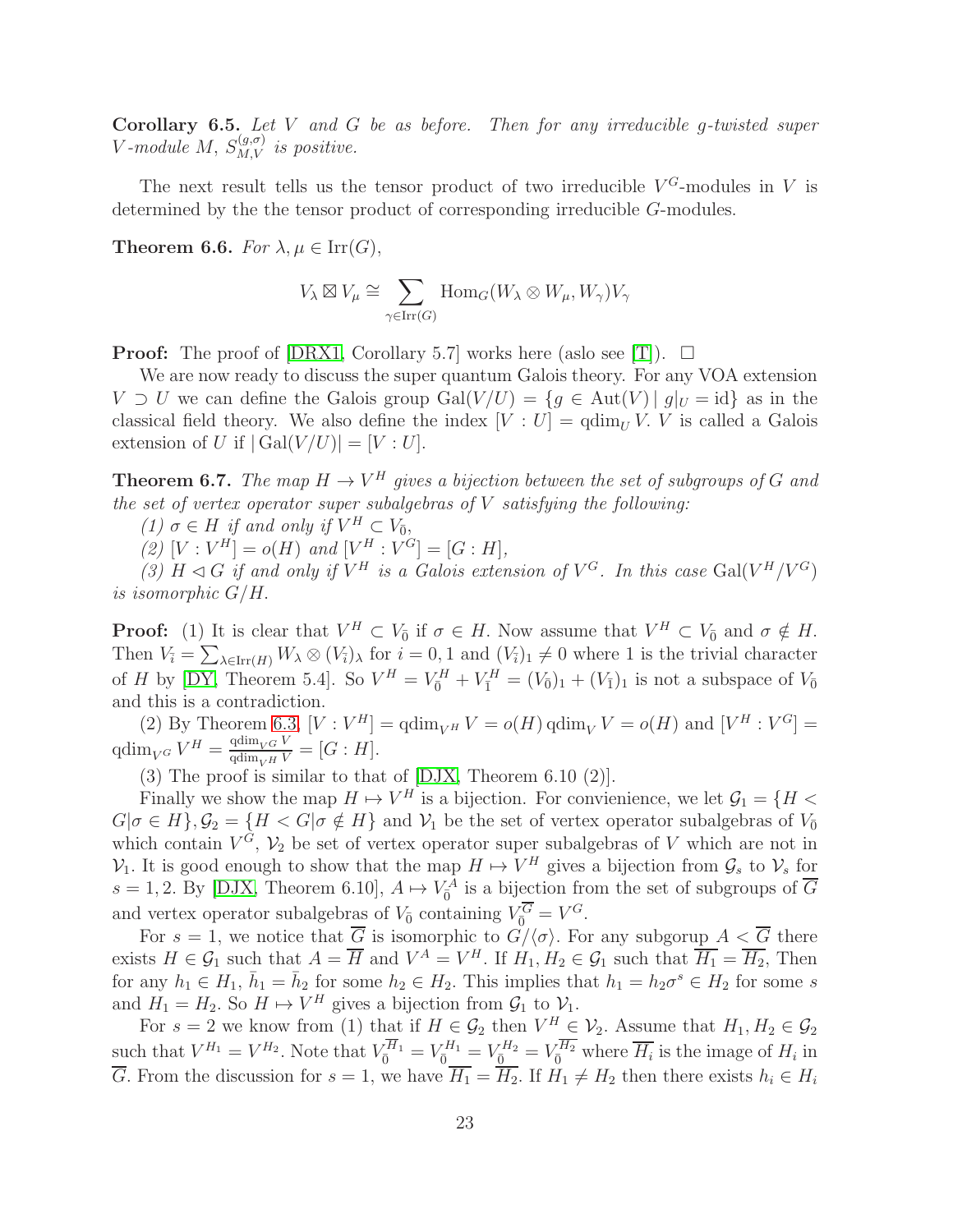**Corollary 6.5.** Let V and G be as before. Then for any irreducible g-twisted super V-module M,  $S_{M,V}^{(g,\sigma)}$  is positive.

The next result tells us the tensor product of two irreducible  $V^G$ -modules in V is determined by the the tensor product of corresponding irreducible G-modules.

**Theorem 6.6.** For  $\lambda, \mu \in \text{Irr}(G)$ ,

$$
V_\lambda \boxtimes V_\mu \cong \sum_{\gamma \in \operatorname{Irr}(G)} \operatorname{Hom}_G(W_\lambda \otimes W_\mu, W_\gamma) V_\gamma
$$

**Proof:** The proof of [\[DRX1,](#page-31-2) Corollary 5.7] works here (aslo see [\[T\]](#page-32-9)).  $\Box$ 

We are now ready to discuss the super quantum Galois theory. For any VOA extension  $V \supset U$  we can define the Galois group  $Gal(V/U) = \{g \in Aut(V) \mid g|_U = id\}$  as in the classical field theory. We also define the index  $[V: U] = \operatorname{qdim}_U V$ . V is called a Galois extension of U if  $|\text{Gal}(V/U)| = |V:U|.$ 

**Theorem 6.7.** The map  $H \to V^H$  gives a bijection between the set of subgroups of G and the set of vertex operator super subalgebras of  $V$  satisfying the following:

(1)  $\sigma \in H$  if and only if  $V^H \subset V_{\overline{0}}$ ,

(2)  $[V: V^H] = o(H)$  and  $[V^H: V^G] = [G: H],$ 

(3)  $H \triangleleft G$  if and only if  $V^H$  is a Galois extension of  $V^G$ . In this case Gal( $V^H/V^G$ ) is isomorphic G/H.

**Proof:** (1) It is clear that  $V^H \subset V_{\bar{0}}$  if  $\sigma \in H$ . Now assume that  $V^H \subset V_{\bar{0}}$  and  $\sigma \notin H$ . Then  $V_i = \sum_{\lambda \in \text{Irr}(H)} W_{\lambda} \otimes (V_i)_{\lambda}$  for  $i = 0, 1$  and  $(V_i)_1 \neq 0$  where 1 is the trivial character of *H* by [\[DY,](#page-31-1) Theorem 5.4]. So  $V^H = V_{\bar{0}}^H + V_{\bar{1}}^H = (V_{\bar{0}})_1 + (V_{\bar{1}})_1$  is not a subspace of  $V_{\bar{0}}$ and this is a contradiction.

(2) By Theorem [6.3,](#page-20-0)  $[V: V^H] = \operatorname{qdim}_{V^H} V = o(H) \operatorname{qdim}_V V = o(H)$  and  $[V^H: V^G] =$  $\operatorname{qdim}_{V^G} V^H = \frac{\operatorname{qdim}_{V^G} V}{\operatorname{qdim}_{V^H} V} = [G : H].$ 

(3) The proof is similar to that of [\[DJX,](#page-30-4) Theorem 6.10 (2)].

Finally we show the map  $H \mapsto V^H$  is a bijection. For convienience, we let  $\mathcal{G}_1 = \{H \leq$  $G|\sigma \in H$ ,  $\mathcal{G}_2 = \{H < G|\sigma \notin H\}$  and  $\mathcal{V}_1$  be the set of vertex operator subalgebras of  $V_0$ which contain  $V^G$ ,  $V_2$  be set of vertex operator super subalgebras of V which are not in  $\mathcal{V}_1$ . It is good enough to show that the map  $H \mapsto V^H$  gives a bijection from  $\mathcal{G}_s$  to  $\mathcal{V}_s$  for  $s = 1, 2$ . By [\[DJX,](#page-30-4) Theorem 6.10],  $A \mapsto V_0^A$  is a bijection from the set of subgroups of  $\overline{G}$ and vertex operator subalgebras of  $V_{\bar{0}}$  containing  $V_{\bar{0}}^G = V^G$ .

For  $s = 1$ , we notice that  $\overline{G}$  is isomorphic to  $\overline{G}/\langle \sigma \rangle$ . For any subgorup  $A < \overline{G}$  there exists  $H \in \mathcal{G}_1$  such that  $A = \overline{H}$  and  $V^A = V^H$ . If  $H_1, H_2 \in \mathcal{G}_1$  such that  $\overline{H_1} = \overline{H_2}$ , Then for any  $h_1 \in H_1$ ,  $\bar{h}_1 = \bar{h}_2$  for some  $h_2 \in H_2$ . This implies that  $h_1 = h_2 \sigma^s \in H_2$  for some s and  $H_1 = H_2$ . So  $H \mapsto V^H$  gives a bijection from  $\mathcal{G}_1$  to  $\mathcal{V}_1$ .

For  $s = 2$  we know from (1) that if  $H \in \mathcal{G}_2$  then  $V^H \in \mathcal{V}_2$ . Assume that  $H_1, H_2 \in \mathcal{G}_2$ such that  $V^{H_1} = V^{H_2}$ . Note that  $V_{\overline{0}}^{H_1} = V_{\overline{0}}^{H_1} = V_{\overline{0}}^{H_2} = V_{\overline{0}}^{H_2}$  where  $\overline{H_i}$  is the image of  $H_i$  in G. From the discussion for  $s = 1$ , we have  $H_1 = H_2$ . If  $H_1 \neq H_2$  then there exists  $h_i \in H_i$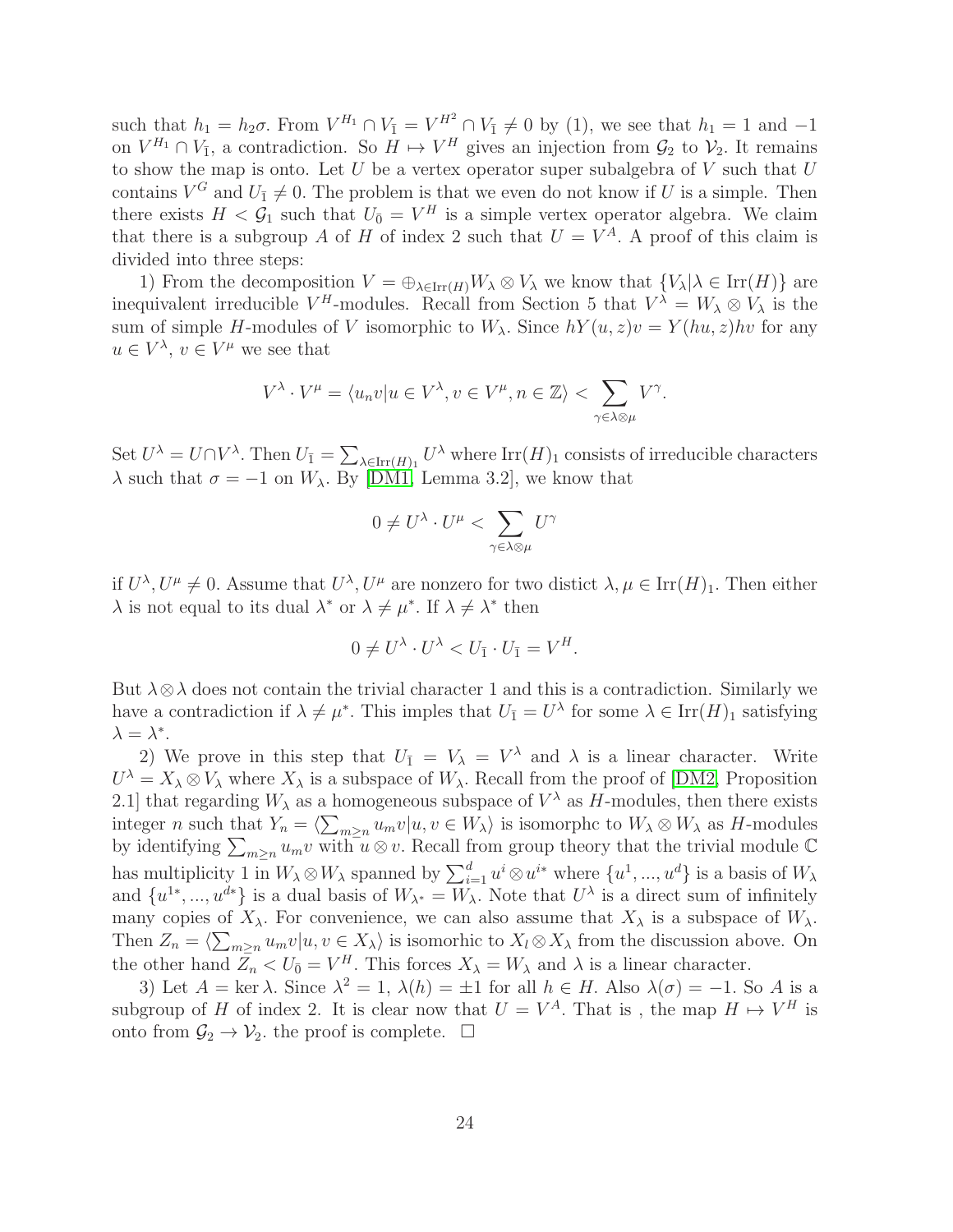such that  $h_1 = h_2 \sigma$ . From  $V^{H_1} \cap V_{\bar{1}} = V^{H^2} \cap V_{\bar{1}} \neq 0$  by (1), we see that  $h_1 = 1$  and  $-1$ on  $V^{H_1} \cap V_{\bar{1}}$ , a contradiction. So  $H \mapsto V^H$  gives an injection from  $\mathcal{G}_2$  to  $\mathcal{V}_2$ . It remains to show the map is onto. Let  $U$  be a vertex operator super subalgebra of  $V$  such that  $U$ contains  $V^G$  and  $U_{\bar{1}} \neq 0$ . The problem is that we even do not know if U is a simple. Then there exists  $H < \mathcal{G}_1$  such that  $U_{\bar{0}} = V^H$  is a simple vertex operator algebra. We claim that there is a subgroup A of H of index 2 such that  $U = V<sup>A</sup>$ . A proof of this claim is divided into three steps:

1) From the decomposition  $V = \bigoplus_{\lambda \in \text{Irr}(H)} W_{\lambda} \otimes V_{\lambda}$  we know that  $\{V_{\lambda} | \lambda \in \text{Irr}(H)\}\$  are inequivalent irreducible  $V^H$ -modules. Recall from Section 5 that  $V^{\lambda} = W_{\lambda} \otimes V_{\lambda}$  is the sum of simple H-modules of V isomorphic to  $W_{\lambda}$ . Since  $hY(u, z)v = Y(hu, z)hv$  for any  $u \in V^{\lambda}, v \in V^{\mu}$  we see that

$$
V^{\lambda} \cdot V^{\mu} = \langle u_n v | u \in V^{\lambda}, v \in V^{\mu}, n \in \mathbb{Z} \rangle < \sum_{\gamma \in \lambda \otimes \mu} V^{\gamma}.
$$

Set  $U^{\lambda} = U \cap V^{\lambda}$ . Then  $U_{\bar{1}} = \sum_{\lambda \in \text{Irr}(H)_1} U^{\lambda}$  where  $\text{Irr}(H)_1$  consists of irreducible characters  $\lambda$  such that  $\sigma = -1$  on  $W_{\lambda}$ . By [\[DM1,](#page-30-1) Lemma 3.2], we know that

$$
0 \neq U^{\lambda} \cdot U^{\mu} < \sum_{\gamma \in \lambda \otimes \mu} U^{\gamma}
$$

if  $U^{\lambda}, U^{\mu} \neq 0$ . Assume that  $U^{\lambda}, U^{\mu}$  are nonzero for two distict  $\lambda, \mu \in \text{Irr}(H)_{1}$ . Then either  $\lambda$  is not equal to its dual  $\lambda^*$  or  $\lambda \neq \mu^*$ . If  $\lambda \neq \lambda^*$  then

$$
0 \neq U^{\lambda} \cdot U^{\lambda} < U_{\bar{1}} \cdot U_{\bar{1}} = V^H.
$$

But  $\lambda \otimes \lambda$  does not contain the trivial character 1 and this is a contradiction. Similarly we have a contradiction if  $\lambda \neq \mu^*$ . This imples that  $U_{\bar{1}} = U^{\lambda}$  for some  $\lambda \in \text{Irr}(H)_{1}$  satisfying  $\lambda = \lambda^*$ .

2) We prove in this step that  $U_{\bar{1}} = V_{\lambda} = V^{\lambda}$  and  $\lambda$  is a linear character. Write  $U^{\lambda} = X_{\lambda} \otimes V_{\lambda}$  where  $X_{\lambda}$  is a subspace of  $W_{\lambda}$ . Recall from the proof of [\[DM2,](#page-30-14) Proposition 2.1] that regarding  $W_{\lambda}$  as a homogeneous subspace of  $V^{\lambda}$  as H-modules, then there exists integer n such that  $Y_n = \langle \sum_{m\geq n} u_m v | u, v \in W_\lambda \rangle$  is isomorphc to  $W_\lambda \otimes W_\lambda$  as H-modules by identifying  $\sum_{m\geq n}u_mv$  with  $u\otimes v$ . Recall from group theory that the trivial module  $\mathbb C$ has multiplicity 1 in  $W_{\lambda} \otimes W_{\lambda}$  spanned by  $\sum_{i=1}^d u^i \otimes u^{i*}$  where  $\{u^1, ..., u^d\}$  is a basis of  $W_{\lambda}$ and  $\{u^{1*},...,u^{d*}\}\$ is a dual basis of  $W_{\lambda^*}=W_{\lambda}$ . Note that  $U^{\lambda}$  is a direct sum of infinitely many copies of  $X_{\lambda}$ . For convenience, we can also assume that  $X_{\lambda}$  is a subspace of  $W_{\lambda}$ . Then  $Z_n = \langle \sum_{m \geq n} u_m v | u, v \in X_{\lambda} \rangle$  is isomorhic to  $X_l \otimes X_{\lambda}$  from the discussion above. On the other hand  $Z_n < U_{\bar{0}} = V^H$ . This forces  $X_{\lambda} = W_{\lambda}$  and  $\lambda$  is a linear character.

3) Let  $A = \ker \lambda$ . Since  $\lambda^2 = 1$ ,  $\lambda(h) = \pm 1$  for all  $h \in H$ . Also  $\lambda(\sigma) = -1$ . So A is a subgroup of H of index 2. It is clear now that  $U = V^A$ . That is, the map  $H \mapsto V^H$  is onto from  $\mathcal{G}_2 \to \mathcal{V}_2$ , the proof is complete.  $\Box$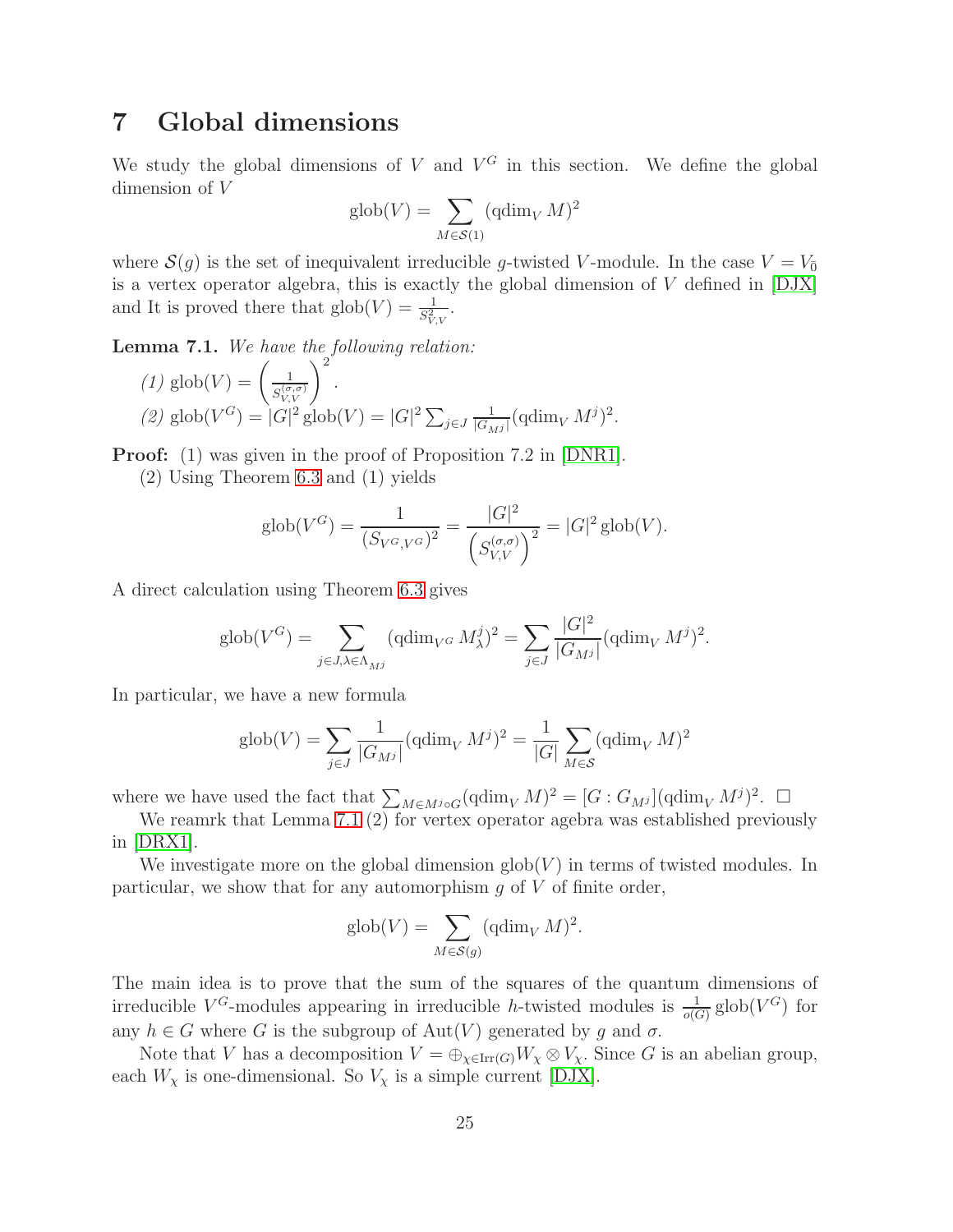## 7 Global dimensions

We study the global dimensions of  $V$  and  $V^G$  in this section. We define the global dimension of V

$$
\mathrm{glob}(V) = \sum_{M \in \mathcal{S}(1)} (\mathrm{qdim}_V M)^2
$$

where  $\mathcal{S}(g)$  is the set of inequivalent irreducible g-twisted V-module. In the case  $V = V_{\overline{0}}$ is a vertex operator algebra, this is exactly the global dimension of V defined in [\[DJX\]](#page-30-4) and It is proved there that  $\text{glob}(V) = \frac{1}{S_{V,V}^2}$ .

<span id="page-24-0"></span>**Lemma 7.1.** We have the following relation:

(1) 
$$
glob(V) = \left(\frac{1}{S_{V,V}^{(\sigma,\sigma)}}\right)^2
$$
.  
\n(2)  $glob(V^G) = |G|^2 glob(V) = |G|^2 \sum_{j \in J} \frac{1}{|G_{Mj}|} (qdim_V M^j)^2$ .

**Proof:** (1) was given in the proof of Proposition 7.2 in [\[DNR1\]](#page-30-0).

(2) Using Theorem [6.3](#page-20-0) and (1) yields

$$
glob(V^G) = \frac{1}{(S_{V^G,V^G})^2} = \frac{|G|^2}{(S_{V,V}^{(\sigma,\sigma)})^2} = |G|^2 glob(V).
$$

A direct calculation using Theorem [6.3](#page-20-0) gives

$$
\text{glob}(V^G) = \sum_{j \in J, \lambda \in \Lambda_{M}^j} (\text{qdim}_{V^G} M^j_{\lambda})^2 = \sum_{j \in J} \frac{|G|^2}{|G_{M^j}|} (\text{qdim}_V M^j)^2.
$$

In particular, we have a new formula

$$
\text{glob}(V) = \sum_{j \in J} \frac{1}{|G_{M^j}|} (\text{qdim}_V M^j)^2 = \frac{1}{|G|} \sum_{M \in \mathcal{S}} (\text{qdim}_V M)^2
$$

where we have used the fact that  $\sum_{M\in M^{j}\circ G} (\text{qdim}_{V} M)^{2} = [G:G_{M^{j}}](\text{qdim}_{V} M^{j})^{2}$ .

We reamrk that Lemma [7.1](#page-24-0) (2) for vertex operator agebra was established previously in [\[DRX1\]](#page-31-2).

We investigate more on the global dimension  $\text{glob}(V)$  in terms of twisted modules. In particular, we show that for any automorphism  $g$  of  $V$  of finite order,

$$
\text{glob}(V) = \sum_{M \in \mathcal{S}(g)} (\text{qdim}_V M)^2.
$$

The main idea is to prove that the sum of the squares of the quantum dimensions of irreducible  $V^G$ -modules appearing in irreducible h-twisted modules is  $\frac{1}{o(G)}$  glob $(V^G)$  for any  $h \in G$  where G is the subgroup of  $Aut(V)$  generated by g and  $\sigma$ .

Note that V has a decomposition  $V = \bigoplus_{\chi \in \text{Irr}(G)} W_{\chi} \otimes V_{\chi}$ . Since G is an abelian group, each  $W_\chi$  is one-dimensional. So  $V_\chi$  is a simple current [\[DJX\]](#page-30-4).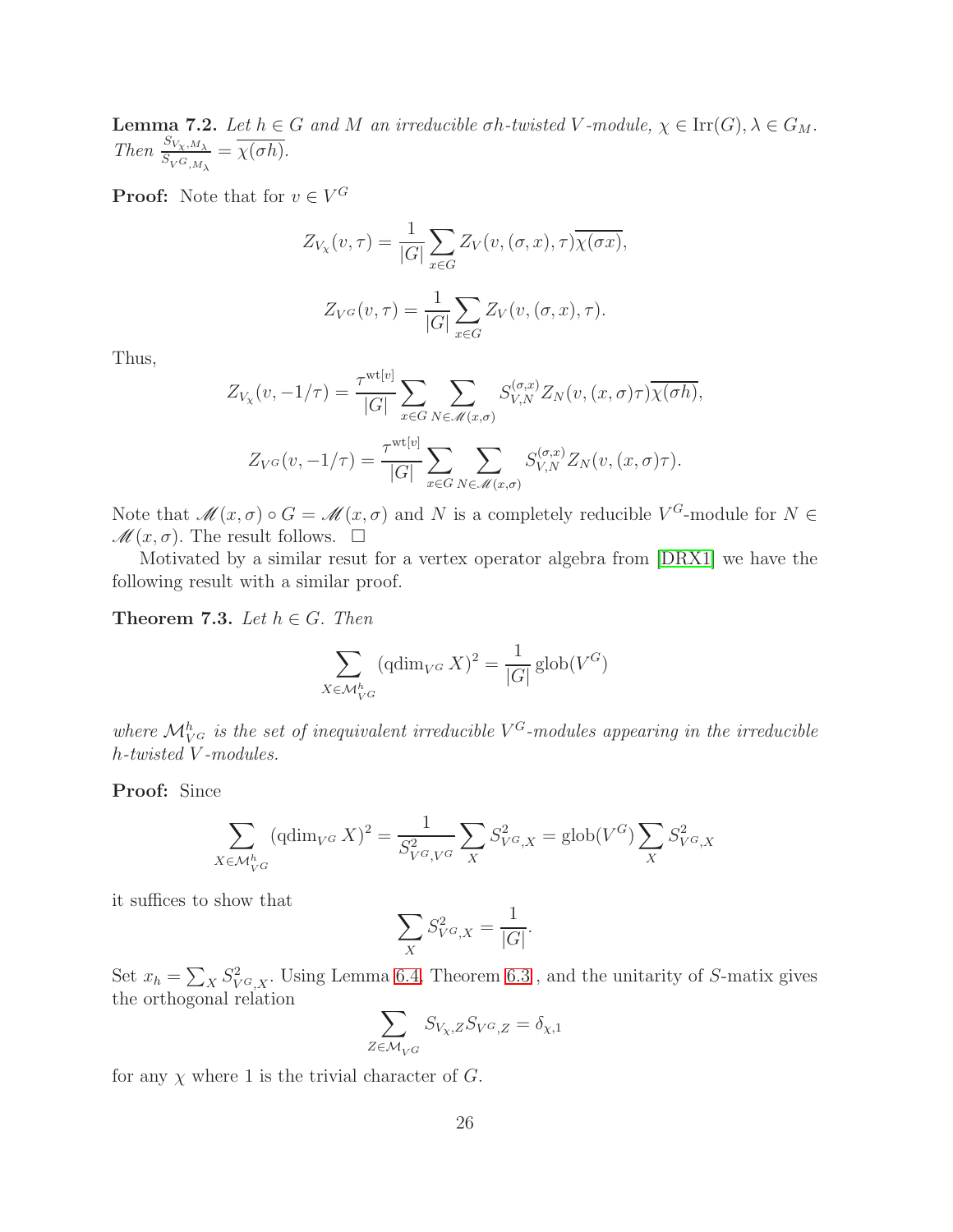<span id="page-25-0"></span>Lemma 7.2. Let  $h \in G$  and M an irreducible  $\sigma h$ -twisted V-module,  $\chi \in \text{Irr}(G)$ ,  $\lambda \in G_M$ . Then  $\frac{S_{V_X,M_\lambda}}{S_{V^G,M_\lambda}} = \overline{\chi(\sigma h)}$ .

**Proof:** Note that for  $v \in V^G$ 

$$
Z_{V_X}(v,\tau) = \frac{1}{|G|} \sum_{x \in G} Z_V(v, (\sigma, x), \tau) \overline{\chi(\sigma x)},
$$

$$
Z_{V^G}(v,\tau) = \frac{1}{|G|} \sum_{x \in G} Z_V(v, (\sigma, x), \tau).
$$

Thus,

$$
Z_{V_X}(v, -1/\tau) = \frac{\tau^{\text{wt}[v]}}{|G|} \sum_{x \in G} \sum_{N \in \mathcal{M}(x, \sigma)} S_{V, N}^{(\sigma, x)} Z_N(v, (x, \sigma)\tau) \overline{\chi(\sigma h)},
$$

$$
Z_{V^G}(v, -1/\tau) = \frac{\tau^{\text{wt}[v]}}{|G|} \sum_{x \in G} \sum_{N \in \mathcal{M}(x, \sigma)} S_{V, N}^{(\sigma, x)} Z_N(v, (x, \sigma)\tau).
$$

Note that  $\mathscr{M}(x,\sigma) \circ G = \mathscr{M}(x,\sigma)$  and N is a completely reducible  $V^G$ -module for  $N \in$  $\mathscr{M}(x,\sigma)$ . The result follows.  $\Box$ 

Motivated by a similar resut for a vertex operator algebra from [\[DRX1\]](#page-31-2) we have the following result with a similar proof.

<span id="page-25-1"></span>Theorem 7.3. Let  $h \in G$ . Then

$$
\sum_{X \in \mathcal{M}_{V}^h} (\text{qdim}_{V^G} X)^2 = \frac{1}{|G|} \text{glob}(V^G)
$$

where  $\mathcal{M}_{V^G}^h$  is the set of inequivalent irreducible  $V^G$ -modules appearing in the irreducible h-twisted V -modules.

Proof: Since

$$
\sum_{X \in \mathcal{M}_{V^G}^h} (\text{qdim}_{V^G} X)^2 = \frac{1}{S_{V^G, V^G}^2} \sum_{X} S_{V^G, X}^2 = \text{glob}(V^G) \sum_{X} S_{V^G, X}^2
$$

it suffices to show that

$$
\sum_{X} S_{V^G,X}^2 = \frac{1}{|G|}.
$$

Set  $x_h = \sum_X S^2_{V^G,X}$ . Using Lemma [6.4,](#page-21-0) Theorem [6.3](#page-20-0), and the unitarity of S-matix gives the orthogonal relation

$$
\sum_{Z \in \mathcal{M}_{V^G}} S_{V_X, Z} S_{V^G, Z} = \delta_{\chi, 1}
$$

for any  $\chi$  where 1 is the trivial character of G.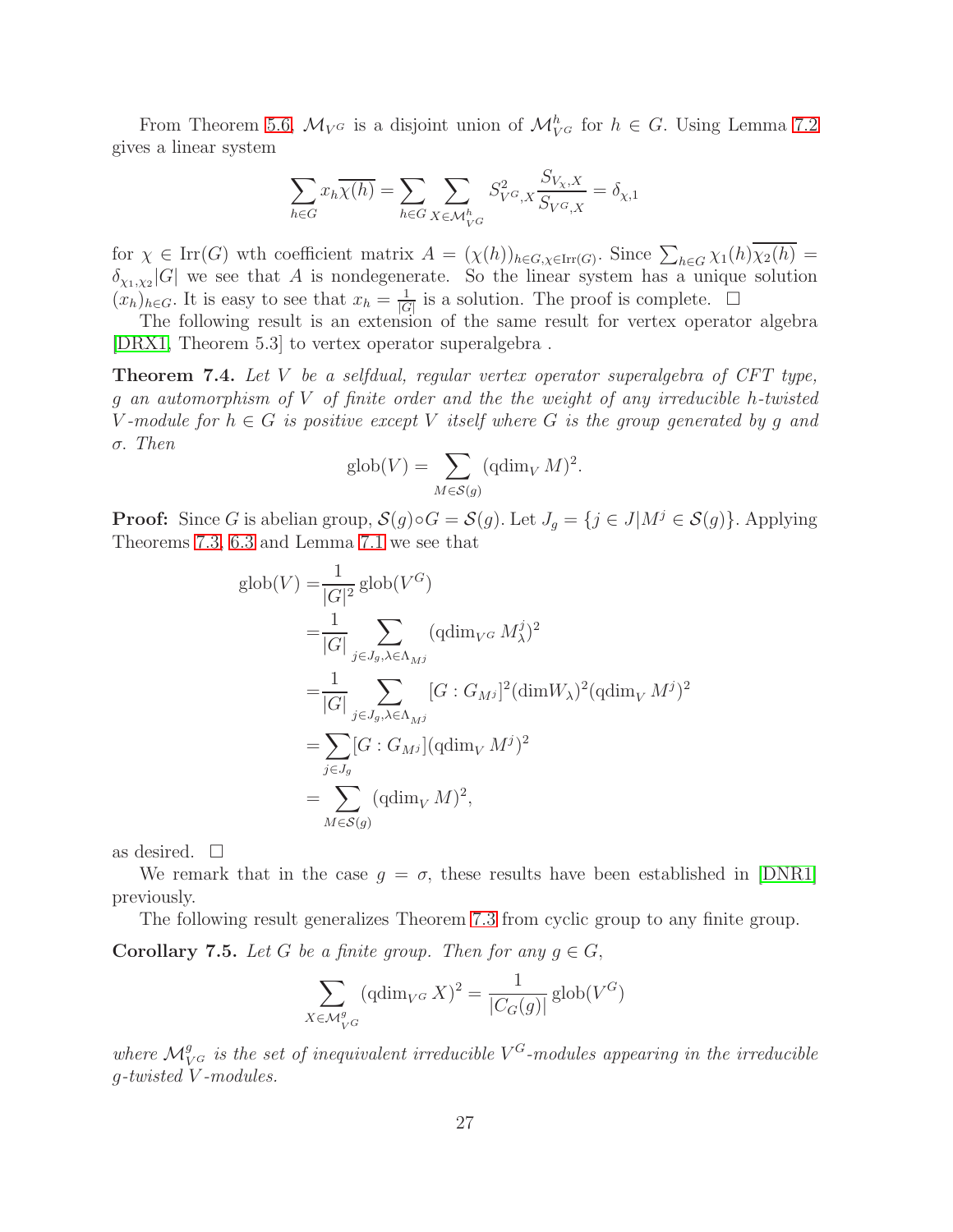From Theorem [5.6,](#page-17-0)  $\mathcal{M}_{V^G}$  is a disjoint union of  $\mathcal{M}_{V^G}^h$  for  $h \in G$ . Using Lemma [7.2](#page-25-0) gives a linear system

$$
\sum_{h \in G} x_h \overline{\chi(h)} = \sum_{h \in G} \sum_{X \in \mathcal{M}_{V}^h} S_{V^G, X}^2 \frac{S_{V_X, X}}{S_{V^G, X}} = \delta_{\chi, 1}
$$

for  $\chi \in \text{Irr}(G)$  wth coefficient matrix  $A = (\chi(h))_{h \in G, \chi \in \text{Irr}(G)}$ . Since  $\sum_{h \in G} \chi_1(h) \overline{\chi_2(h)} =$  $\delta_{\chi_1,\chi_2}[G]$  we see that A is nondegenerate. So the linear system has a unique solution  $(x_h)_{h\in G}$ . It is easy to see that  $x_h = \frac{1}{|G|}$  $\frac{1}{|G|}$  is a solution. The proof is complete.  $\Box$ 

The following result is an extension of the same result for vertex operator algebra [\[DRX1,](#page-31-2) Theorem 5.3] to vertex operator superalgebra .

<span id="page-26-0"></span>Theorem 7.4. Let V be a selfdual, regular vertex operator superalgebra of CFT type, g an automorphism of V of finite order and the the weight of any irreducible h-twisted V-module for  $h \in G$  is positive except V itself where G is the group generated by q and σ. Then

$$
\text{glob}(V) = \sum_{M \in \mathcal{S}(g)} (\text{qdim}_V M)^2.
$$

**Proof:** Since G is abelian group,  $S(g) \circ G = S(g)$ . Let  $J_g = \{j \in J | M^j \in S(g)\}\$ . Applying Theorems [7.3,](#page-25-1) [6.3](#page-20-0) and Lemma [7.1](#page-24-0) we see that

$$
\begin{split}\n\text{glob}(V) &= \frac{1}{|G|^2} \text{glob}(V^G) \\
&= \frac{1}{|G|} \sum_{j \in J_g, \lambda \in \Lambda_{M}^j} (\text{qdim}_{V^G} M^j_\lambda)^2 \\
&= \frac{1}{|G|} \sum_{j \in J_g, \lambda \in \Lambda_{M}^j} [G : G_{M^j}]^2 (\text{dim} W_\lambda)^2 (\text{qdim}_V M^j)^2 \\
&= \sum_{j \in J_g} [G : G_{M^j}] (\text{qdim}_V M^j)^2 \\
&= \sum_{M \in \mathcal{S}(g)} (\text{qdim}_V M)^2,\n\end{split}
$$

as desired.  $\square$ 

We remark that in the case  $g = \sigma$ , these results have been established in [\[DNR1\]](#page-30-0) previously.

The following result generalizes Theorem [7.3](#page-25-1) from cyclic group to any finite group.

**Corollary 7.5.** Let G be a finite group. Then for any  $g \in G$ ,

$$
\sum_{X \in \mathcal{M}_{V}^g} (\text{qdim}_{V^G} X)^2 = \frac{1}{|C_G(g)|} \text{glob}(V^G)
$$

where  $\mathcal{M}_{V^G}^g$  is the set of inequivalent irreducible  $V^G$ -modules appearing in the irreducible g-twisted V -modules.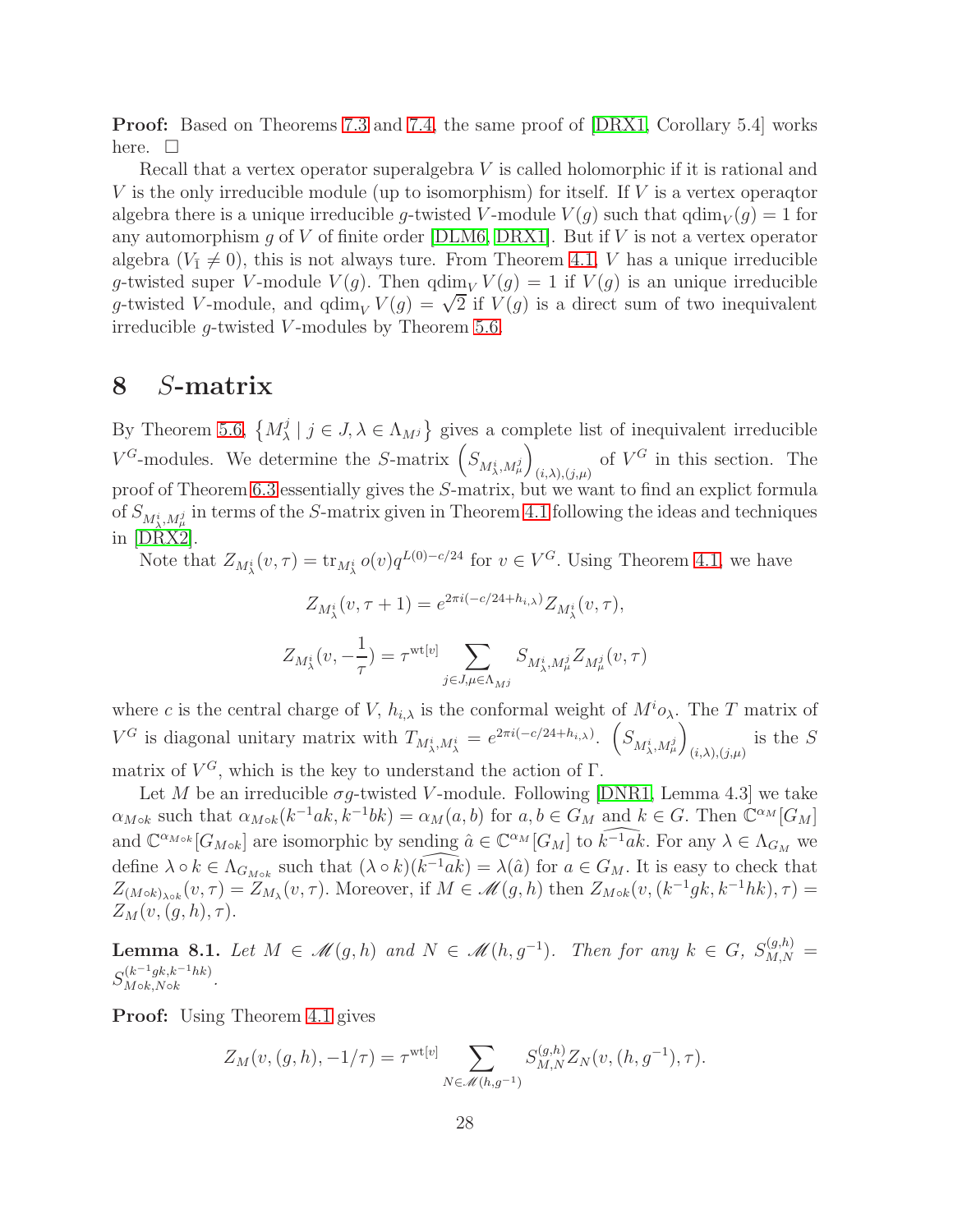Proof: Based on Theorems [7.3](#page-25-1) and [7.4,](#page-26-0) the same proof of [\[DRX1,](#page-31-2) Corollary 5.4] works here.  $\square$ 

Recall that a vertex operator superalgebra V is called holomorphic if it is rational and V is the only irreducible module (up to isomorphism) for itself. If V is a vertex operaqtor algebra there is a unique irreducible g-twisted V-module  $V(g)$  such that  $qdim_V(g) = 1$  for any automorphism  $g$  of  $V$  of finite order [\[DLM6,](#page-30-3) [DRX1\]](#page-31-2). But if  $V$  is not a vertex operator algebra  $(V_1 \neq 0)$ , this is not always ture. From Theorem [4.1,](#page-10-0) V has a unique irreducible g-twisted super V-module  $V(g)$ . Then  $\dim_V V(g) = 1$  if  $V(g)$  is an unique irreducible g-twisted V-module, and  $qdim_V V(g) = \sqrt{2}$  if  $V(g)$  is a direct sum of two inequivalent irreducible  $q$ -twisted V-modules by Theorem [5.6.](#page-17-0)

### 8 S-matrix

By Theorem [5.6,](#page-17-0)  $\{M_{\lambda}^{j}$  $\{\lambda \mid j \in J, \lambda \in \Lambda_{M} \}$  gives a complete list of inequivalent irreducible  $V^G$ -modules. We determine the S-matrix  $\left(S_{M_\lambda^i,M_\mu^j}\right)$  $\overline{ }$ of  $V^G$  in this section. The proof of Theorem [6.3](#page-20-0) essentially gives the S-matrix, but we want to find an explict formula of  $S_{M^i_{\lambda},M^j_{\mu}}$  in terms of the S-matrix given in Theorem [4.1](#page-10-0) following the ideas and techniques in [\[DRX2\]](#page-31-8).

Note that  $Z_{M_\lambda^i}(v,\tau) = \text{tr}_{M_\lambda^i} o(v) q^{L(0)-c/24}$  for  $v \in V^G$ . Using Theorem [4.1,](#page-10-0) we have

$$
Z_{M^i_\lambda}(v, \tau + 1) = e^{2\pi i(-c/24 + h_{i,\lambda})} Z_{M^i_\lambda}(v, \tau),
$$
  

$$
Z_{M^i_\lambda}(v, -\frac{1}{\tau}) = \tau^{\text{wt}[v]} \sum_{j \in J, \mu \in \Lambda_{M^j}} S_{M^i_\lambda, M^j_\mu} Z_{M^j_\mu}(v, \tau)
$$

where c is the central charge of V,  $h_{i,\lambda}$  is the conformal weight of  $M^i\mathfrak{o}_{\lambda}$ . The T matrix of  $V^G$  is diagonal unitary matrix with  $T_{M^i_{\lambda},M^i_{\lambda}}=e^{2\pi i(-c/24+h_{i,\lambda})}$ .  $\left(S_{M^i_{\lambda},M^j_{\mu}}\right)$  $\overline{ }$  $(i, \lambda), (j, \mu)$ is the S matrix of  $V^G$ , which is the key to understand the action of  $\Gamma$ .

Let M be an irreducible  $\sigma g$ -twisted V-module. Following [\[DNR1,](#page-30-0) Lemma 4.3] we take  $\alpha_{M \circ k}$  such that  $\alpha_{M \circ k}(k^{-1}ak, k^{-1}bk) = \alpha_M(a, b)$  for  $a, b \in G_M$  and  $k \in G$ . Then  $\mathbb{C}^{\alpha_M}[G_M]$ and  $\mathbb{C}^{\alpha_{M \circ k}}[G_{M \circ k}]$  are isomorphic by sending  $\hat{a} \in \mathbb{C}^{\alpha_{M}}[G_{M}]$  to  $\widehat{k^{-1}ak}}$ . For any  $\lambda \in \Lambda_{G_{M}}$  we define  $\lambda \circ k \in \Lambda_{G_{M \circ k}}$  such that  $(\lambda \circ k)(\widehat{k^{-1}ak}) = \lambda(\hat{a})$  for  $a \in G_M$ . It is easy to check that  $Z_{(M \circ k)_{\lambda \circ k}}(v, \tau) = Z_{M_{\lambda}}(v, \tau)$ . Moreover, if  $M \in \mathcal{M}(g, h)$  then  $Z_{M \circ k}(v, (k^{-1}g k, k^{-1}h k), \tau) =$  $Z_M(v,(g,h),\tau).$ 

<span id="page-27-0"></span>**Lemma 8.1.** Let  $M \in \mathcal{M}(g,h)$  and  $N \in \mathcal{M}(h,g^{-1})$ . Then for any  $k \in G$ ,  $S_{M,N}^{(g,h)} =$  $S_{M \circ k, N \circ k}^{(k^{-1}gk, k^{-1}hk)}$  $M \circ k, N \circ k$  RK).

Proof: Using Theorem [4.1](#page-10-0) gives

$$
Z_M(v,(g,h),-1/\tau) = \tau^{\text{wt}[v]} \sum_{N \in \mathcal{M}(h,g^{-1})} S_{M,N}^{(g,h)} Z_N(v,(h,g^{-1}),\tau).
$$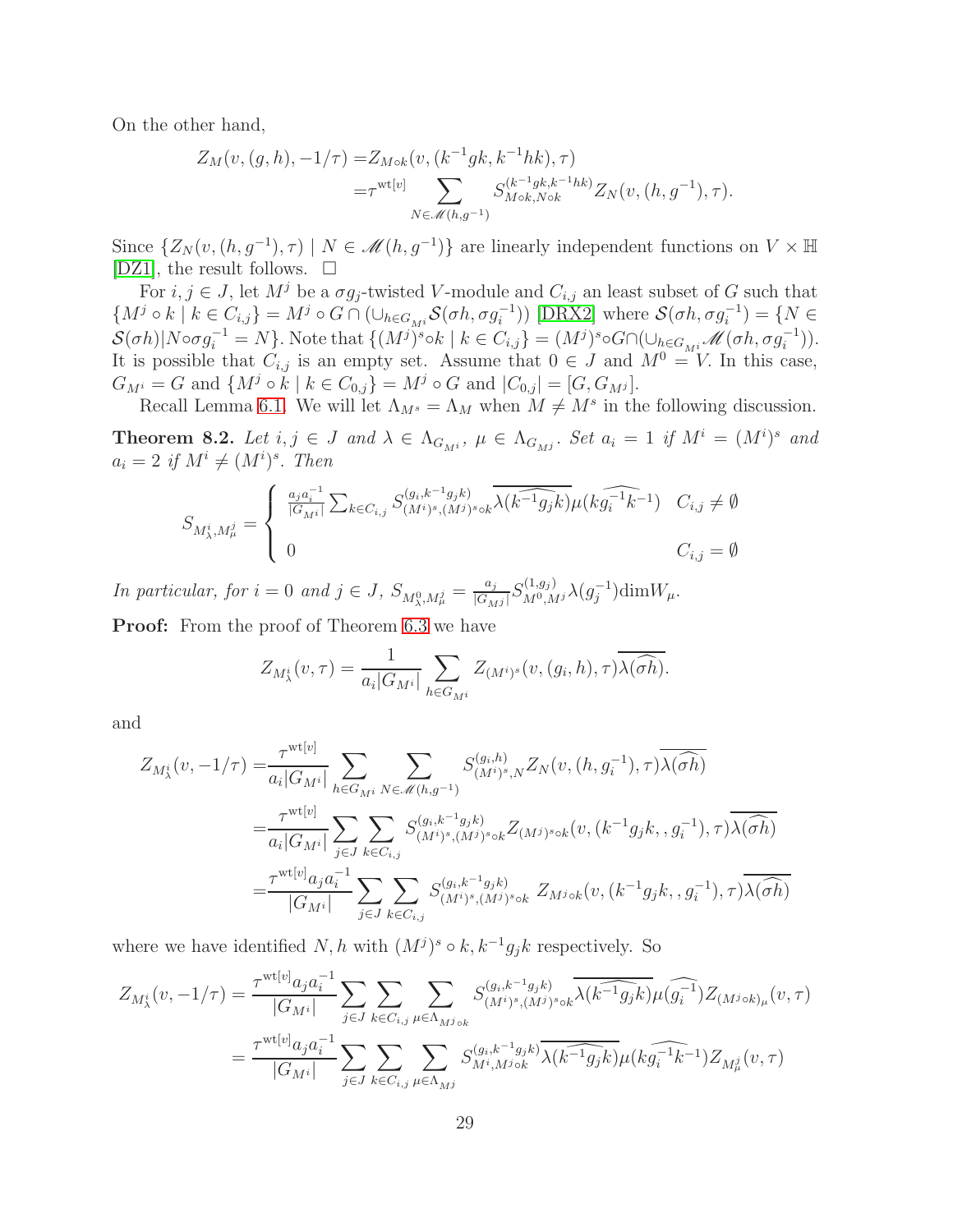On the other hand,

$$
Z_M(v, (g, h), -1/\tau) = Z_{M \circ k}(v, (k^{-1}g k, k^{-1}h k), \tau)
$$
  
= $\tau^{\text{wt}[v]}$ 
$$
\sum_{N \in \mathcal{M}(h,g^{-1})} S_{M \circ k, N \circ k}^{(k^{-1}g k, k^{-1}h k)} Z_N(v, (h, g^{-1}), \tau).
$$

Since  $\{Z_N(v,(h,g^{-1}),\tau) \mid N \in \mathcal{M}(h,g^{-1})\}$  are linearly independent functions on  $V \times \mathbb{H}$ [\[DZ1\]](#page-31-3), the result follows.  $\square$ 

For  $i, j \in J$ , let  $M^j$  be a  $\sigma g_j$ -twisted V-module and  $C_{i,j}$  an least subset of G such that  $\{M^j \circ k \mid k \in C_{i,j}\} = M^j \circ G \cap (\cup_{h \in G_{M^i}} \mathcal{S}(\sigma h, \sigma g_i^{-1}))$  [\[DRX2\]](#page-31-8) where  $\mathcal{S}(\sigma h, \sigma g_i^{-1}) = \{N \in \mathcal{S}(\sigma h, \sigma g_i^{-1})\}$  $\mathcal{S}(\sigma h)|N \circ \sigma g_i^{-1} = N$ . Note that  $\{(M^j)^s \circ k \mid k \in C_{i,j}\} = (M^j)^s \circ G \cap (\cup_{h \in G_{M^i}} \mathcal{M}(\sigma h, \sigma g_i^{-1})).$ It is possible that  $C_{i,j}$  is an empty set. Assume that  $0 \in J$  and  $M^0 = V$ . In this case,  $G_{M^i} = G$  and  $\{M^j \circ k \mid k \in C_{0,j}\} = M^j \circ G$  and  $|C_{0,j}| = [G, G_{M^j}].$ 

Recall Lemma [6.1.](#page-19-1) We will let  $\Lambda_{M^s} = \Lambda_M$  when  $M \neq M^s$  in the following discussion.

<span id="page-28-0"></span>**Theorem 8.2.** Let  $i, j \in J$  and  $\lambda \in \Lambda_{G_{M}}$ ,  $\mu \in \Lambda_{G_{M}}$ . Set  $a_i = 1$  if  $M^i = (M^i)^s$  and  $a_i = 2 \text{ if } M^i \neq (M^i)^s$ . Then

$$
S_{M_{\lambda}^{i},M_{\mu}^{j}} = \begin{cases} \frac{a_{j}a_{i}^{-1}}{|G_{M^{i}}|} \sum_{k \in C_{i,j}} S_{(M^{i})^{s},(M^{j})^{s} \circ k}^{(g_{i},k^{-1}g_{j}k)} \overline{\lambda(k^{-1}g_{j}k)} \mu(k \widehat{g_{i}^{-1}k^{-1}}) & C_{i,j} \neq \emptyset \\ 0 & C_{i,j} = \emptyset \end{cases}
$$

In particular, for  $i = 0$  and  $j \in J$ ,  $S_{M_{\lambda}^{0}, M_{\mu}^{j}} = \frac{a_{j}}{|G_{M_{\lambda}}|}$  $\frac{a_j}{|G_{M^j}|}S^{(1,g_j)}_{M^0,M^j}\lambda(g_j^{-1})\text{dim}W_\mu.$ 

Proof: From the proof of Theorem [6.3](#page-20-0) we have

$$
Z_{M_{\lambda}^{i}}(v,\tau) = \frac{1}{a_{i}|G_{M^{i}}|} \sum_{h \in G_{M^{i}}} Z_{(M^{i})^{s}}(v,(g_{i},h),\tau) \overline{\lambda(\widehat{\sigma h})}.
$$

and

$$
Z_{M_{\lambda}^{i}}(v, -1/\tau) = \frac{\tau^{\text{wt}[v]}}{a_{i}|G_{M^{i}}|} \sum_{h \in G_{M^{i}}} \sum_{N \in \mathcal{M}(h,g^{-1})} S_{(M^{i})^{s},N}^{(g_{i},h)} Z_{N}(v, (h, g_{i}^{-1}), \tau) \overline{\lambda(\widehat{\sigma}h)}
$$
  

$$
= \frac{\tau^{\text{wt}[v]}}{a_{i}|G_{M^{i}}|} \sum_{j \in J} \sum_{k \in C_{i,j}} S_{(M^{i})^{s}, (M^{j})^{s} \circ k}^{(g_{i}, k^{-1}g_{j}k)} Z_{(M^{j})^{s} \circ k}(v, (k^{-1}g_{j}k, , g_{i}^{-1}), \tau) \overline{\lambda(\widehat{\sigma}h)}
$$
  

$$
= \frac{\tau^{\text{wt}[v]} a_{j} a_{i}^{-1}}{|G_{M^{i}}|} \sum_{j \in J} \sum_{k \in C_{i,j}} S_{(M^{i})^{s}, (M^{j})^{s} \circ k}^{(g_{i}, k^{-1}g_{j}k)} Z_{M^{j} \circ k}(v, (k^{-1}g_{j}k, , g_{i}^{-1}), \tau) \overline{\lambda(\widehat{\sigma}h)}
$$

where we have identified  $N, h$  with  $(M^{j})^{s} \circ k, k^{-1}g_{j}k$  respectively. So

$$
Z_{M_{\lambda}^{i}}(v, -1/\tau) = \frac{\tau^{\text{wt}[v]} a_{j} a_{i}^{-1}}{|G_{M^{i}}|} \sum_{j \in J} \sum_{k \in C_{i,j}} \sum_{\mu \in \Lambda_{M^{j} \circ k}} S_{(M^{i})^{s}, (M^{j})^{s} \circ k}^{(g_{i}, k^{-1} g_{j} k)} \widehat{\lambda(k^{-1} g_{j} k)} \mu(\widehat{g_{i}^{-1}}) Z_{(M^{j} \circ k) \mu}(v, \tau)
$$
  

$$
= \frac{\tau^{\text{wt}[v]} a_{j} a_{i}^{-1}}{|G_{M^{i}}|} \sum_{j \in J} \sum_{k \in C_{i,j}} \sum_{\mu \in \Lambda_{M^{j}}} S_{M^{i}, M^{j} \circ k}^{(g_{i}, k^{-1} g_{j} k)} \overline{\lambda(k^{-1} g_{j} k)} \mu(k \widehat{g_{i}^{-1} k^{-1}}) Z_{M^{j}_{\mu}}(v, \tau)
$$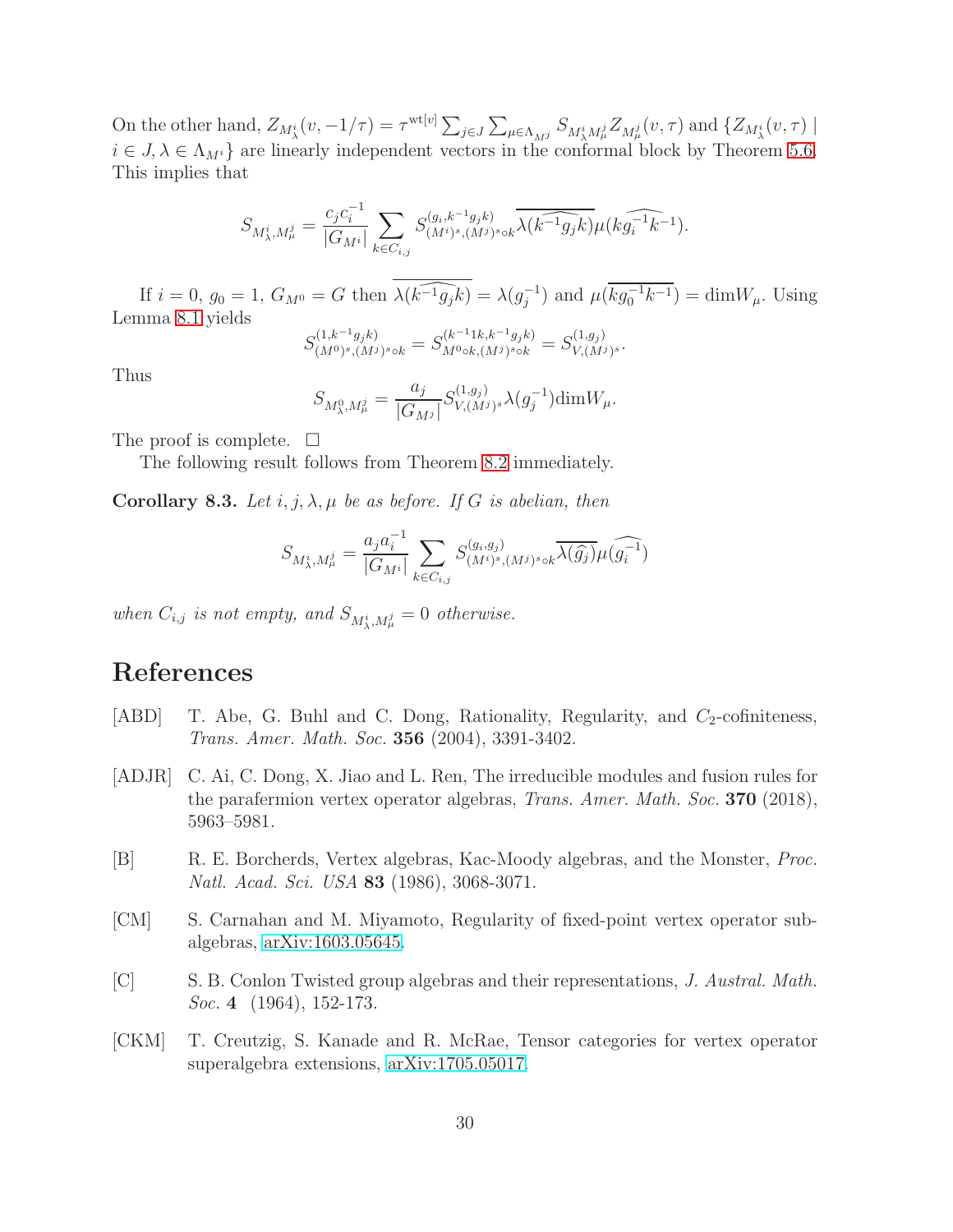On the other hand,  $Z_{M_\lambda^i}(v, -1/\tau) = \tau^{\text{wt}[v]} \sum_{j \in J} \sum_{\mu \in \Lambda_{M_j^j}} S_{M_\lambda^i M_\mu^j} Z_{M_\mu^j}(v, \tau)$  and  $\{Z_{M_\lambda^i}(v, \tau) \mid$  $i \in J, \lambda \in \Lambda_{M^i}$  are linearly independent vectors in the conformal block by Theorem [5.6.](#page-17-0) This implies that

$$
S_{M_{\lambda}^{i}, M_{\mu}^{j}} = \frac{c_{j} c_{i}^{-1}}{|G_{M^{i}}|} \sum_{k \in C_{i,j}} S_{(M^{i})^{s}, (M^{j})^{s} \circ k}^{(g_{i}, k^{-1} g_{j} k)} \overline{\lambda(k^{-1} g_{j} k)} \mu(k \widehat{g_{i}^{-1} k^{-1}}).
$$

If  $i = 0$ ,  $g_0 = 1$ ,  $G_{M^0} = G$  then  $\overline{\lambda(k^{-1}g_jk)} = \lambda(g_j^{-1})$  and  $\mu(\overline{kg_0^{-1}k^{-1}}) = \dim W_\mu$ . Using Lemma [8.1](#page-27-0) yields

$$
S_{(M^0)^s,(M^j)^s\circ k}^{(1,k^{-1}g_jk)}=S_{M^0\circ k,(M^j)^s\circ k}^{(k^{-1}1k,k^{-1}g_jk)}=S_{V,(M^j)^s}^{(1,g_j)}.
$$

Thus

$$
S_{M_{\lambda}^{0}, M_{\mu}^{j}} = \frac{a_{j}}{|G_{M^{j}}|} S_{V, (M^{j})^{s}}^{(1, g_{j})} \lambda(g_{j}^{-1}) \text{dim} W_{\mu}.
$$

The proof is complete.  $\Box$ 

The following result follows from Theorem [8.2](#page-28-0) immediately.

Corollary 8.3. Let i, j,  $\lambda$ ,  $\mu$  be as before. If G is abelian, then

$$
S_{M_{\lambda}^{i}, M_{\mu}^{j}} = \frac{a_{j} a_{i}^{-1}}{|G_{M^{i}}|} \sum_{k \in C_{i,j}} S_{(M^{i})^{s}, (M^{j})^{s} \circ k}^{(g_{i}, g_{j})} \widetilde{\lambda(\widehat{g_{j}})} \mu(\widehat{g_{i}^{-1}})
$$

when  $C_{i,j}$  is not empty, and  $S_{M^i_{\lambda},M^j_{\mu}}=0$  otherwise.

# References

- <span id="page-29-3"></span>[ABD] T. Abe, G. Buhl and C. Dong, Rationality, Regularity, and  $C_2$ -cofiniteness, Trans. Amer. Math. Soc. 356 (2004), 3391-3402.
- <span id="page-29-4"></span>[ADJR] C. Ai, C. Dong, X. Jiao and L. Ren, The irreducible modules and fusion rules for the parafermion vertex operator algebras, Trans. Amer. Math. Soc. 370 (2018), 5963–5981.
- <span id="page-29-2"></span>[B] R. E. Borcherds, Vertex algebras, Kac-Moody algebras, and the Monster, Proc. Natl. Acad. Sci. USA 83 (1986), 3068-3071.
- <span id="page-29-0"></span>[CM] S. Carnahan and M. Miyamoto, Regularity of fixed-point vertex operator subalgebras, [arXiv:1603.05645.](http://arxiv.org/abs/1603.05645)
- <span id="page-29-5"></span>[C] S. B. Conlon Twisted group algebras and their representations, J. Austral. Math. Soc. 4 (1964), 152-173.
- <span id="page-29-1"></span>[CKM] T. Creutzig, S. Kanade and R. McRae, Tensor categories for vertex operator superalgebra extensions, [arXiv:1705.05017.](http://arxiv.org/abs/1705.05017)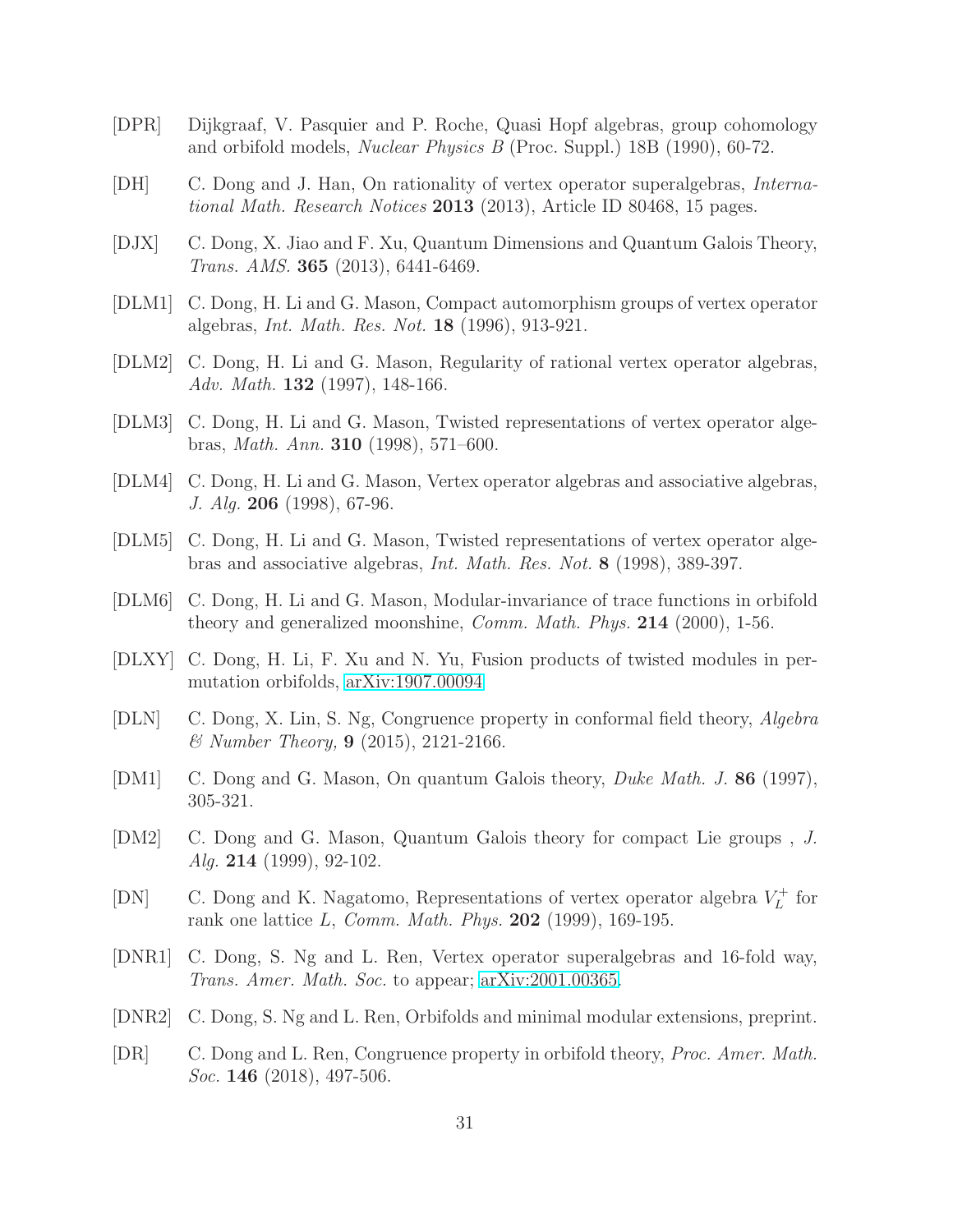- <span id="page-30-6"></span>[DPR] Dijkgraaf, V. Pasquier and P. Roche, Quasi Hopf algebras, group cohomology and orbifold models, Nuclear Physics B (Proc. Suppl.) 18B (1990), 60-72.
- [DH] C. Dong and J. Han, On rationality of vertex operator superalgebras, International Math. Research Notices 2013 (2013), Article ID 80468, 15 pages.
- <span id="page-30-4"></span>[DJX] C. Dong, X. Jiao and F. Xu, Quantum Dimensions and Quantum Galois Theory, Trans. AMS. 365 (2013), 6441-6469.
- <span id="page-30-2"></span>[DLM1] C. Dong, H. Li and G. Mason, Compact automorphism groups of vertex operator algebras, Int. Math. Res. Not. 18 (1996), 913-921.
- <span id="page-30-9"></span>[DLM2] C. Dong, H. Li and G. Mason, Regularity of rational vertex operator algebras, Adv. Math. **132** (1997), 148-166.
- <span id="page-30-8"></span>[DLM3] C. Dong, H. Li and G. Mason, Twisted representations of vertex operator algebras, Math. Ann. 310 (1998), 571–600.
- <span id="page-30-11"></span>[DLM4] C. Dong, H. Li and G. Mason, Vertex operator algebras and associative algebras, J. Alg. 206 (1998), 67-96.
- <span id="page-30-10"></span>[DLM5] C. Dong, H. Li and G. Mason, Twisted representations of vertex operator algebras and associative algebras, Int. Math. Res. Not. 8 (1998), 389-397.
- <span id="page-30-3"></span>[DLM6] C. Dong, H. Li and G. Mason, Modular-invariance of trace functions in orbifold theory and generalized moonshine, Comm. Math. Phys. 214 (2000), 1-56.
- <span id="page-30-5"></span>[DLXY] C. Dong, H. Li, F. Xu and N. Yu, Fusion products of twisted modules in permutation orbifolds, [arXiv:1907.00094](http://arxiv.org/abs/1907.00094)
- [DLN] C. Dong, X. Lin, S. Ng, Congruence property in conformal field theory, Algebra & Number Theory, 9 (2015), 2121-2166.
- <span id="page-30-1"></span>[DM1] C. Dong and G. Mason, On quantum Galois theory, Duke Math. J. 86 (1997), 305-321.
- <span id="page-30-14"></span>[DM2] C. Dong and G. Mason, Quantum Galois theory for compact Lie groups , J. Alg. 214 (1999), 92-102.
- <span id="page-30-13"></span>[DN] C. Dong and K. Nagatomo, Representations of vertex operator algebra  $V_L^+$  $L^+$  for rank one lattice L, Comm. Math. Phys.  $202$  (1999), 169-195.
- <span id="page-30-0"></span>[DNR1] C. Dong, S. Ng and L. Ren, Vertex operator superalgebras and 16-fold way, Trans. Amer. Math. Soc. to appear; [arXiv:2001.00365.](http://arxiv.org/abs/2001.00365)
- <span id="page-30-7"></span>[DNR2] C. Dong, S. Ng and L. Ren, Orbifolds and minimal modular extensions, preprint.
- <span id="page-30-12"></span>[DR] C. Dong and L. Ren, Congruence property in orbifold theory, Proc. Amer. Math. Soc. **146** (2018), 497-506.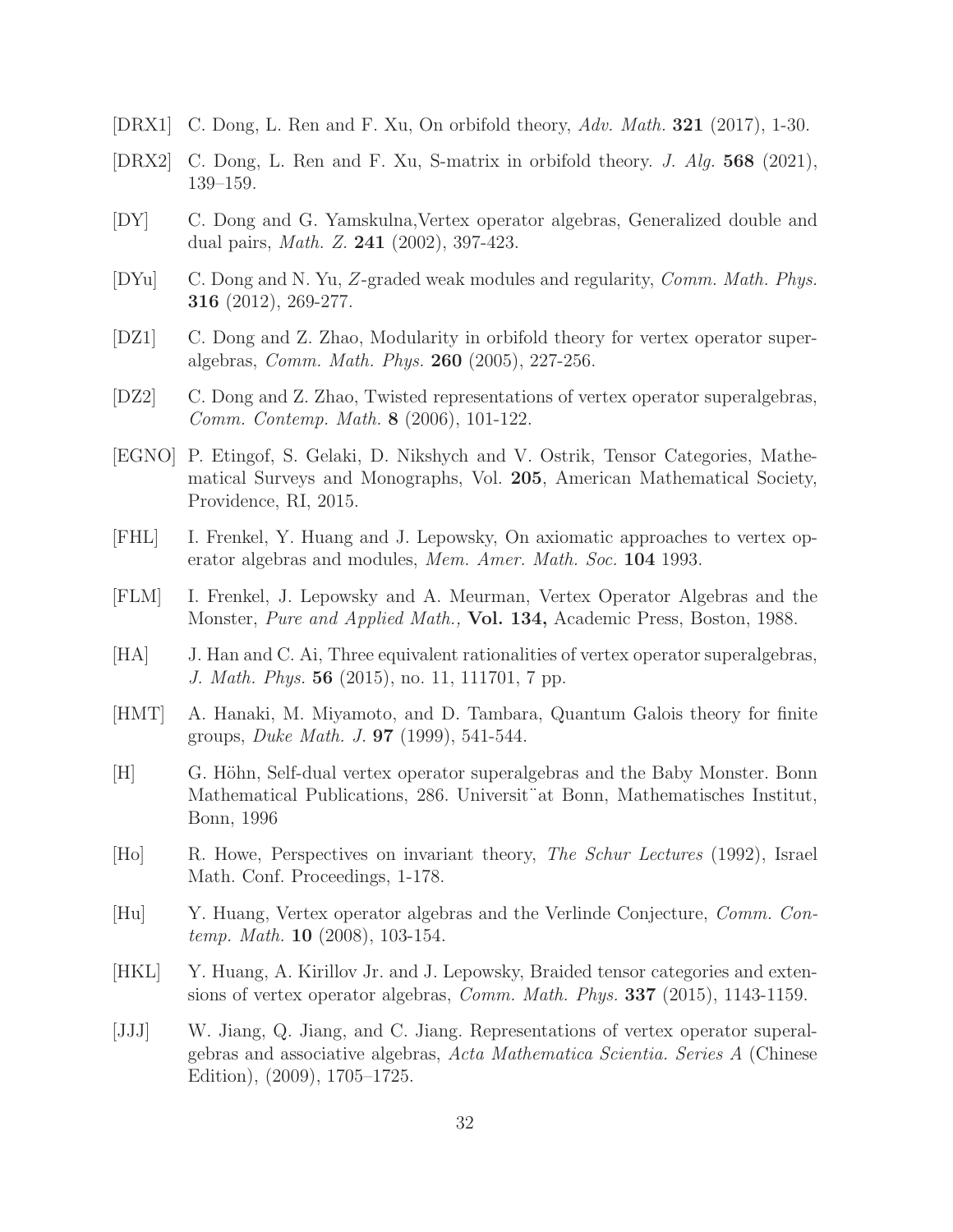- <span id="page-31-2"></span>[DRX1] C. Dong, L. Ren and F. Xu, On orbifold theory, Adv. Math. 321 (2017), 1-30.
- <span id="page-31-8"></span>[DRX2] C. Dong, L. Ren and F. Xu, S-matrix in orbifold theory. J. Alg. 568 (2021), 139–159.
- <span id="page-31-1"></span>[DY] C. Dong and G. Yamskulna,Vertex operator algebras, Generalized double and dual pairs, Math. Z. 241 (2002), 397-423.
- <span id="page-31-11"></span>[DYu] C. Dong and N. Yu, Z-graded weak modules and regularity, Comm. Math. Phys. 316 (2012), 269-277.
- <span id="page-31-3"></span>[DZ1] C. Dong and Z. Zhao, Modularity in orbifold theory for vertex operator superalgebras, Comm. Math. Phys. 260 (2005), 227-256.
- <span id="page-31-7"></span>[DZ2] C. Dong and Z. Zhao, Twisted representations of vertex operator superalgebras, Comm. Contemp. Math. 8 (2006), 101-122.
- <span id="page-31-15"></span>[EGNO] P. Etingof, S. Gelaki, D. Nikshych and V. Ostrik, Tensor Categories, Mathematical Surveys and Monographs, Vol. 205, American Mathematical Society, Providence, RI, 2015.
- <span id="page-31-10"></span>[FHL] I. Frenkel, Y. Huang and J. Lepowsky, On axiomatic approaches to vertex operator algebras and modules, Mem. Amer. Math. Soc. 104 1993.
- <span id="page-31-9"></span>[FLM] I. Frenkel, J. Lepowsky and A. Meurman, Vertex Operator Algebras and the Monster, Pure and Applied Math., Vol. 134, Academic Press, Boston, 1988.
- <span id="page-31-12"></span>[HA] J. Han and C. Ai, Three equivalent rationalities of vertex operator superalgebras, J. Math. Phys. 56 (2015), no. 11, 111701, 7 pp.
- <span id="page-31-5"></span>[HMT] A. Hanaki, M. Miyamoto, and D. Tambara, Quantum Galois theory for finite groups, Duke Math. J. 97 (1999), 541-544.
- <span id="page-31-14"></span>[H] G. Höhn, Self-dual vertex operator superalgebras and the Baby Monster. Bonn Mathematical Publications, 286. Universit¨at Bonn, Mathematisches Institut, Bonn, 1996
- <span id="page-31-0"></span>[Ho] R. Howe, Perspectives on invariant theory, The Schur Lectures (1992), Israel Math. Conf. Proceedings, 1-178.
- <span id="page-31-4"></span>[Hu] Y. Huang, Vertex operator algebras and the Verlinde Conjecture, Comm. Contemp. Math. 10 (2008), 103-154.
- <span id="page-31-6"></span>[HKL] Y. Huang, A. Kirillov Jr. and J. Lepowsky, Braided tensor categories and extensions of vertex operator algebras, Comm. Math. Phys. 337 (2015), 1143-1159.
- <span id="page-31-13"></span>[JJJ] W. Jiang, Q. Jiang, and C. Jiang. Representations of vertex operator superalgebras and associative algebras, Acta Mathematica Scientia. Series A (Chinese Edition), (2009), 1705–1725.